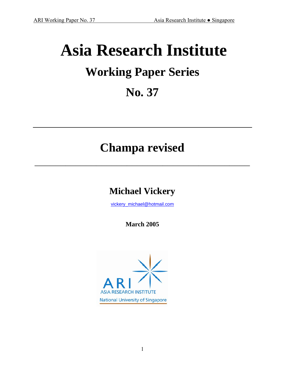# **Asia Research Institute Working Paper Series No. 37**

## **Champa revised**

 $\mathcal{L}_\mathcal{L} = \{ \mathcal{L}_\mathcal{L} \mid \mathcal{L}_\mathcal{L} \in \mathcal{L}_\mathcal{L} \}$ 

### **Michael Vickery**

[vickery\\_michael@hotmail.com](mailto:vickery_michael@hotmail.com)

**March 2005** 

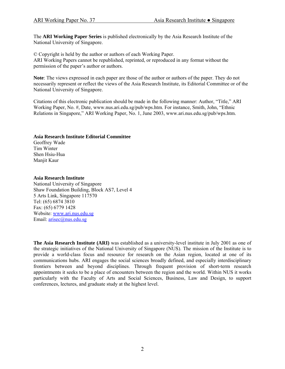The **ARI Working Paper Series** is published electronically by the Asia Research Institute of the National University of Singapore.

© Copyright is held by the author or authors of each Working Paper. ARI Working Papers cannot be republished, reprinted, or reproduced in any format without the permission of the paper's author or authors.

**Note**: The views expressed in each paper are those of the author or authors of the paper. They do not necessarily represent or reflect the views of the Asia Research Institute, its Editorial Committee or of the National University of Singapore.

Citations of this electronic publication should be made in the following manner: Author, "Title," ARI Working Paper, No. #, Date, www.nus.ari.edu.sg/pub/wps.htm. For instance, Smith, John, "Ethnic Relations in Singapore," ARI Working Paper, No. 1, June 2003, www.ari.nus.edu.sg/pub/wps.htm.

#### **Asia Research Institute Editorial Committee**

Geoffrey Wade Tim Winter Shen Hsiu-Hua Manjit Kaur

#### **Asia Research Institute**

National University of Singapore Shaw Foundation Building, Block AS7, Level 4 5 Arts Link, Singapore 117570 Tel: (65) 6874 3810 Fax: (65) 6779 1428 Website: [www.ari.nus.edu.sg](http://www.ari.nus.edu.sg/) Email: [arisec@nus.edu.sg](mailto:arisec@nus.edu.sg)

**The Asia Research Institute (ARI)** was established as a university-level institute in July 2001 as one of the strategic initiatives of the National University of Singapore (NUS). The mission of the Institute is to provide a world-class focus and resource for research on the Asian region, located at one of its communications hubs. ARI engages the social sciences broadly defined, and especially interdisciplinary frontiers between and beyond disciplines. Through frequent provision of short-term research appointments it seeks to be a place of encounters between the region and the world. Within NUS it works particularly with the Faculty of Arts and Social Sciences, Business, Law and Design, to support conferences, lectures, and graduate study at the highest level.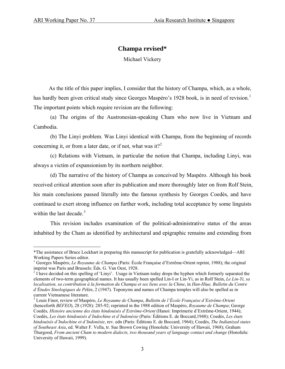#### **Champa revised\***

Michael Vickery

 As the title of this paper implies, I consider that the history of Champa, which, as a whole, has hardly been given critical study since Georges Maspéro's [1](#page-2-0)928 book, is in need of revision.<sup>1</sup> The important points which require revision are the following:

 (a) The origins of the Austronesian-speaking Cham who now live in Vietnam and Cambodia.

 (b) The Linyi problem. Was Linyi identical with Champa, from the beginning of records concerning it, or from a later date, or if not, what was it?<sup>[2](#page-2-1)</sup>

 (c) Relations with Vietnam, in particular the notion that Champa, including Linyi, was always a victim of expansionism by its northern neighbor.

 (d) The narrative of the history of Champa as conceived by Maspéro. Although his book received critical attention soon after its publication and more thoroughly later on from Rolf Stein, his main conclusions passed literally into the famous synthesis by Georges Coedès, and have continued to exert strong influence on further work, including total acceptance by some linguists within the last decade. $3$ 

 This revision includes examination of the political-administrative status of the areas inhabited by the Cham as identified by architectural and epigraphic remains and extending from

<span id="page-2-0"></span> $\overline{a}$ \*The assistance of Bruce Lockhart in preparing this manuscript for publication is gratefully acknowledged—ARI Working Papers Series editor.

<sup>&</sup>lt;sup>1</sup> Georges Maspéro, *Le Royaume de Champa* (Paris: École Française d'Extrême-Orient reprint, 1988); the original imprint was Paris and Brussels: Éds. G. Van Oest, 1928. 2 I have decided on this spelling of 'Linyi'. Usage in Vietnam today drops the hyphen which formerly separated the

<span id="page-2-1"></span>elements of two-term geographical names. It has usually been spelled Lin-I or Lin-Yi, as in Rolf Stein, *Le Lin-Yi, sa localisation, sa contribution à la formation du Champa et ses liens avec la Chine*, in *Han-Hiue, Bulletin du Centre d'Études Sinologiques de Pékin*, 2 (1947). Toponyms and names of Champa temples will also be spelled as in current Vietnamese literature.

<span id="page-2-2"></span><sup>3</sup> Louis Finot, review of Maspéro, *Le Royaume de Champa*, *Bulletin de l'École Française d'Extrême-Orient* (henceforth *BEFEO*), 28 (1928): 285-92; reprinted in the 1988 edition of Maspéro, *Royaume de Champa*; George Coedès*, Histoire ancienne des états hindouisés d'Extrême-Orient* (Hanoi: Imprimerie d'Extrême-Orient, 1944); Coedès, *Les états hindouisés d'Indochine et d'Indonésie* (Paris: Éditions E. de Boccard,1948); Coedès, *Les états hindouisés d'Indochine et d'Indonésie*, rev. edn (Paris: Éditions E. de Boccard, 1964); Coedès, *The Indianized states of Southeast Asia*, ed. Walter F. Vella, tr. Sue Brown Cowing (Honolulu: University of Hawaii, 1968); Graham Thurgood, *From ancient Cham to modern dialects, two thousand years of language contact and change* (Honolulu: University of Hawaii, 1999).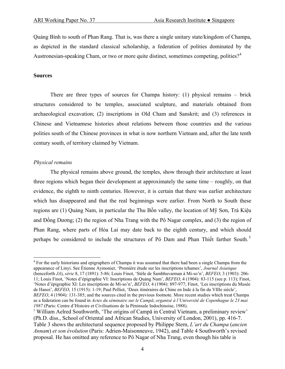Quảng Bình to south of Phan Rang. That is, was there a single unitary state/kingdom of Champa, as depicted in the standard classical scholarship, a federation of polities dominated by the Austronesian-speaking Cham, or two or more quite distinct, sometimes competing, polities?<sup>[4](#page-3-0)</sup>

#### **Sources**

 There are three types of sources for Champa history: (1) physical remains – brick structures considered to be temples, associated sculpture, and materials obtained from archaeological excavation; (2) inscriptions in Old Cham and Sanskrit; and (3) references in Chinese and Vietnamese histories about relations between those countries and the various polities south of the Chinese provinces in what is now northern Vietnam and, after the late tenth century south, of territory claimed by Vietnam.

#### *Physical remains*

 $\overline{a}$ 

 The physical remains above ground, the temples, show through their architecture at least three regions which began their development at approximately the same time – roughly, on that evidence, the eighth to ninth centuries. However, it is certain that there was earlier architecture which has disappeared and that the real beginnings were earlier. From North to South these regions are (1) Quảng Nam, in particular the Thu Bồn valley, the location of Mỹ Sơn, Trà Kiệu and Đồng Dương; (2) the region of Nha Trang with the Pô Nagar complex, and (3) the region of Phan Rang, where parts of Hòa Lai may date back to the eighth century, and which should perhaps be considered to include the structures of Pô Dam and Phan Thiết farther South. [5](#page-3-1)

<span id="page-3-0"></span><sup>4</sup> For the early historians and epigraphers of Champa it was assumed that there had been a single Champa from the appearance of Linyi. See Étienne Aymonier, 'Première étude sur les inscriptions tchames', *Journal Asiatique* (henceforth *JA*), *série* 8, 17 (1891): 5-86; Louis Finot, 'Stèle de Śambhuvarman à Mi-so'n', *BEFEO*, 3 (1903): 206- 11; Louis Finot, 'Notes d'épigraphie VI: Inscriptions de Quảng Nam', *BEFEO*, 4 (1904): 83-115 (see p. 113); Finot, 'Notes d'épigraphie XI: Les inscriptions de Mi-so'n', *BEFEO*, 4 (1904): 897-977; Finot, 'Les inscriptions du Musée de Hanoi', *BEFEO*, 15 (1915): 1-19; Paul Pelliot, 'Deux itinéraires de Chine en Inde à la fin du VIIIe siècle', *BEFEO*, 4 (1904): 131-385; and the sources cited in the previous footnote. More recent studies which treat Champa as a federation can be found in *Actes du séminaire sur le Campā*, *organisé à l'Université de Copenhague le 23 mai <sup>1987</sup>* (Paris: Centre d'Histoire et Civilisations de la Péninsule Indochinoise, 1988). 5

<span id="page-3-1"></span><sup>5</sup> William Aelred Southworth, 'The origins of Campa in Central Vietnam, a preliminary review' (Ph.D. diss., School of Oriental and African Studies, University of London, 2001), pp. 416-7. Table 3 shows the architectural sequence proposed by Philippe Stern, *L'art du Champa* (*ancien Annam*) *et son évolution* (Paris: Adrien-Maisonneuve, 1942), and Table 4 Southworth's revised proposal. He has omitted any reference to Pô Nagar of Nha Trang, even though his table is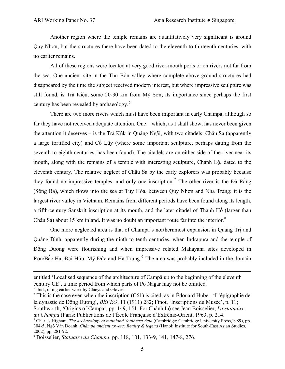Another region where the temple remains are quantitatively very significant is around Quy Nhơn, but the structures there have been dated to the eleventh to thirteenth centuries, with no earlier remains.

 All of these regions were located at very good river-mouth ports or on rivers not far from the sea. One ancient site in the Thu Bồn valley where complete above-ground structures had disappeared by the time the subject received modern interest, but where impressive sculpture was still found, is Trà Kiệu, some 20-30 km from Mỹ Sơn; its importance since perhaps the first century has been revealed by archaeology.<sup>[6](#page-4-0)</sup>

 There are two more rivers which must have been important in early Champa, although so far they have not received adequate attention. One – which, as I shall show, has never been given the attention it deserves – is the Trà Kúk in Quảng Ngãi, with two citadels: Châu Sa (apparently a large fortified city) and Cổ Lũy (where some important sculpture, perhaps dating from the seventh to eighth centuries, has been found). The citadels are on either side of the river near its mouth, along with the remains of a temple with interesting sculpture, Chánh Lộ, dated to the eleventh century. The relative neglect of Châu Sa by the early explorers was probably because they found no impressive temples, and only one inscription.<sup>[7](#page-4-1)</sup> The other river is the  $\overrightarrow{Da}$  Rằng (Sông Ba), which flows into the sea at Tuy Hòa, between Quy Nhơn and Nha Trang; it is the largest river valley in Vietnam. Remains from different periods have been found along its length, a fifth-century Sanskrit inscription at its mouth, and the later citadel of Thành Hồ (larger than Châu Sa) about 15 km inland. It was no doubt an important route far into the interior. $8$ 

 One more neglected area is that of Champa's northernmost expansion in Quảng Trị and Quảng Bình, apparently during the ninth to tenth centuries, when Indrapura and the temple of Đồng Dương were flourishing and when impressive related Mahayana sites developed in Ron/Bắc Hạ, Đại Hữu, Mỹ Đức and Hà Trung.<sup>[9](#page-4-3)</sup> The area was probably included in the domain

entitled 'Localised sequence of the architecture of Campā up to the beginning of the eleventh century CE', a time period from which parts of Pô Nagar may not be omitted. 6 Ibid., citing earlier work by Claeys and Glover.

<span id="page-4-1"></span><span id="page-4-0"></span><sup>&</sup>lt;sup>7</sup> This is the case even when the inscription (C61) is cited, as in Édouard Huber, 'L'épigraphie de la dynastie de Đồng Dương', *BEFEO*, 11 (1911) 282; Finot, 'Inscriptions du Musée', p. 11; Southworth, 'Origins of Campā', pp. 149, 151. For Chánh Lộ see Jean Boisselier, *La statuaire du Champa* (Paris: Publications de l'École Française d'Extrême-Orient, 1963, p. 214.

<span id="page-4-2"></span>Charles Higham, *The archaeology of mainland Southeast Asia* (Cambridge: Cambridge University Press,1989), pp. 304-5; Ngô Văn Doanh, *Chămpa ancient towers: Reality & legend* (Hanoi: Institute for South-East Asian Studies, 2002), pp. 281-92.

<span id="page-4-3"></span><sup>9</sup> Boisselier, *Statuaire du Champa*, pp. 118, 101, 133-9, 141, 147-8, 276.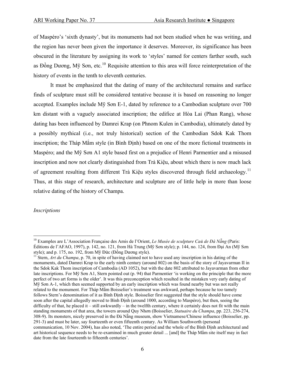of Maspéro's 'sixth dynasty', but its monuments had not been studied when he was writing, and the region has never been given the importance it deserves. Moreover, its significance has been obscured in the literature by assigning its work to 'styles' named for centers farther south, such as Đồng Dương,  $M\tilde{y}$  Sơn, etc.<sup>[10](#page-5-0)</sup> Requisite attention to this area will force reinterpretation of the history of events in the tenth to eleventh centuries.

 It must be emphasized that the dating of many of the architectural remains and surface finds of sculpture must still be considered tentative because it is based on reasoning no longer accepted. Examples include Mỹ Sơn E-1, dated by reference to a Cambodian sculpture over 700 km distant with a vaguely associated inscription; the edifice at Hòa Lai (Phan Rang), whose dating has been influenced by Damrei Krap (on Phnom Kulen in Cambodia), ultimately dated by a possibly mythical (i.e., not truly historical) section of the Cambodian Sdok Kak Thom inscription; the Tháp Mắm style (in Bình Ðịnh) based on one of the more fictional treatments in Maspéro; and the Mỹ Sơn A1 style based first on a prejudice of Henri Parmentier and a misused inscription and now not clearly distinguished from Trà Kiệu, about which there is now much lack of agreement resulting from different Trà Kiệu styles discovered through field archaeology.[11](#page-5-1) Thus, at this stage of research, architecture and sculpture are of little help in more than loose relative dating of the history of Champa.

#### *Inscriptions*

1

<span id="page-5-0"></span><sup>10</sup> Examples are L'Association Française des Amis de l'Orient, *Le Musée de sculpture Caü de Đà Nẵng* (Paris: Éditions de l'AFAO, 1997), p. 142, no. 121, from Hà Trung (Mỹ Sơn style); p. 144, no. 124, from Đại An (Mỹ Sơn style); and p. 175, no. 192, from Mỹ Đức (Đồng Dương style).<br><sup>11</sup> Stern, *Art du Champa*, p. 70, in spite of having claimed not to have used any inscription in his dating of the

<span id="page-5-1"></span>monuments, dated Damrei Krap to the early ninth century (around 802) on the basis of the story of Jayavarman II in the Sdok Kak Thom inscription of Cambodia (AD 1052), but with the date 802 attributed to Jayavarman from other late inscriptions. For Mỹ Sơn A1, Stern pointed out (p. 94) that Parmentier 'is working on the principle that the more perfect of two art forms is the older'. It was this preconception which resulted in the mistaken very early dating of Mỹ Sơn A-1, which then seemed supported by an early inscription which was found nearby but was not really related to the monument. For Tháp Mắm Boisselier's treatment was awkward, perhaps because he too tamely follows Stern's denomination of it as Bình Ðịnh style. Boisselier first suggested that the style should have come soon after the capital allegedly moved to Bình Đinh (around 1000, according to Maspéro), but then, seeing the difficulty of that, he placed it – still awkwardly – in the twelfth century, where it certainly does not fit with the main standing monuments of that area, the towers around Quy Nhơn (Boisselier, *Statuaire du Champa*, pp. 223, 256-274, 308-9). Its monsters, nicely preserved in the Đà Nẵng museum, show Vietnamese/Chinese influence (Boisselier, pp. 291-3) and must be later, say fourteenth or even fifteenth century. As William Southworth (personal communication, 10 Nov. 2004), has also noted, 'The entire period and the whole of the Bình Ðịnh architectural and art historical sequence needs to be re-examined in much greater detail ... [and] the Tháp Mắm site itself may in fact date from the late fourteenth to fifteenth centuries'.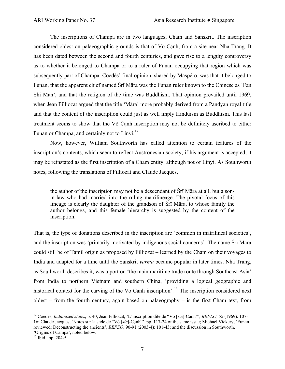The inscriptions of Champa are in two languages, Cham and Sanskrit. The inscription considered oldest on palaeographic grounds is that of Võ Cạnh, from a site near Nha Trang. It has been dated between the second and fourth centuries, and gave rise to a lengthy controversy as to whether it belonged to Champa or to a ruler of Funan occupying that region which was subsequently part of Champa. Coedès' final opinion, shared by Maspéro, was that it belonged to Funan, that the apparent chief named Śrī Māra was the Funan ruler known to the Chinese as 'Fan Shi Man', and that the religion of the time was Buddhism. That opinion prevailed until 1969, when Jean Filliozat argued that the title 'Māra' more probably derived from a Pandyan royal title, and that the content of the inscription could just as well imply Hinduism as Buddhism. This last treatment seems to show that the Võ Cạnh inscription may not be definitely ascribed to either Funan or Champa, and certainly not to Linyi.<sup>[12](#page-6-0)</sup>

 Now, however, William Southworth has called attention to certain features of the inscription's contents, which seem to reflect Austronesian society; if his argument is accepted, it may be reinstated as the first inscription of a Cham entity, although not of Linyi. As Southworth notes, following the translations of Filliozat and Claude Jacques,

the author of the inscription may not be a descendant of Śrī Māra at all, but a sonin-law who had married into the ruling matrilineage. The pivotal focus of this lineage is clearly the daughter of the grandson of Śrī Māra, to whose family the author belongs, and this female hierarchy is suggested by the content of the inscription.

That is, the type of donations described in the inscription are 'common in matrilineal societies', and the inscription was 'primarily motivated by indigenous social concerns'. The name Śrī Māra could still be of Tamil origin as proposed by Filliozat – learned by the Cham on their voyages to India and adapted for a time until the Sanskrit *varma* became popular in later times. Nha Trang, as Southworth describes it, was a port on 'the main maritime trade route through Southeast Asia' from India to northern Vietnam and southern China, 'providing a logical geographic and historical context for the carving of the Vo Canh inscription'.<sup>[13](#page-6-1)</sup> The inscription considered next oldest – from the fourth century, again based on palaeography – is the first Cham text, from

<span id="page-6-1"></span>'Origins of Campā', noted below. 13 Ibid., pp. 204-5.

<span id="page-6-0"></span><sup>12</sup> Coedès, *Indianized states*, p. 40; Jean Filliozat, 'L'inscription dite de "Vỏ [*sic*]*-*Cạnh"', *BEFEO*, 55 (1969): 107- 16; Claude Jacques, 'Notes sur la stèle de "Vỏ [*sic*]*-*Cạnh"', pp. 117-24 of the same issue; Michael Vickery, 'Funan reviewed: Deconstructing the ancients', *BEFEO*, 90-91 (2003-4): 101-43; and the discussion in Southworth,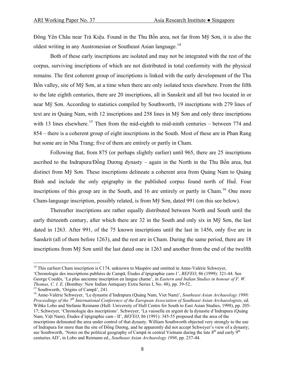Đông Yên Châu near Trà Kiệu. Found in the Thu Bồn area, not far from Mỹ Sơn, it is also the oldest writing in any Austronesian or Southeast Asian language.<sup>[14](#page-7-0)</sup>

 Both of these early inscriptions are isolated and may not be integrated with the rest of the corpus, surviving inscriptions of which are not distributed in total conformity with the physical remains. The first coherent group of inscriptions is linked with the early development of the Thu Bồn valley, site of Mỹ Sơn, at a time when there are only isolated texts elsewhere. From the fifth to the late eighth centuries, there are 20 inscriptions, all in Sanskrit and all but two located in or near Mỹ Sơn. According to statistics compiled by Southworth, 19 inscriptions with 279 lines of text are in Quảng Nam, with 12 inscriptions and 258 lines in Mỹ Sơn and only three inscriptions with 13 lines elsewhere.<sup>[15](#page-7-1)</sup> Then from the mid-eighth to mid-ninth centuries – between 774 and 854 – there is a coherent group of eight inscriptions in the South. Most of these are in Phan Rang but some are in Nha Trang; five of them are entirely or partly in Cham.

 Following that, from 875 (or perhaps slightly earlier) until 965, there are 25 inscriptions ascribed to the Indrapura/ $\vec{p}$  and Durong dynasty – again in the North in the Thu Bồn area, but distinct from Mỹ Sơn. These inscriptions delineate a coherent area from Quảng Nam to Quảng Bình and include the only epigraphy in the published corpus found north of Huế. Four inscriptions of this group are in the South, and [16](#page-7-2) are entirely or partly in Cham.<sup>16</sup> One more Cham-language inscription, possibly related, is from Mỹ Sơn, dated 991 (on this see below).

Thereafter inscriptions are rather equally distributed between North and South until the early thirteenth century, after which there are 32 in the South and only six in Mỹ Sơn, the last dated in 1263. After 991, of the 75 known inscriptions until the last in 1456, only five are in Sanskrit (all of them before 1263), and the rest are in Cham. During the same period, there are 18 inscriptions from Mỹ Sơn until the last dated one in 1263 and another from the end of the twelfth

<span id="page-7-0"></span><sup>&</sup>lt;sup>14</sup> This earliest Cham inscription is C174, unknown to Maspéro and omitted in Anne-Valérie Schweyer.

<sup>&#</sup>x27;Chronologie des inscriptions publiées de Campā, Études d'épigraphie cam-1', *BEFEO*, 86 (1999): 321-44. See George Coedès, 'La plus ancienne inscription en langue chame', in *Eastern and Indian Studies in honour of F. W. Thomas, C. I. E.* (Bombay: New Indian Antiquary Extra Series I, No. 48), pp. 39-52..

<span id="page-7-2"></span><span id="page-7-1"></span><sup>&</sup>lt;sup>15</sup> Southworth, 'Origins of Campa', 241.<br><sup>16</sup> Anne-Valérie Schweyer, 'Le dynastie d'Indrapura (Quảng Nam, Viet Nam)', Southeast Asian Archaeology 1998: *Proceedings of the 7th International Conference of the European Association of Southeast Asian Archaeologists*, ed. Wibke Lobo and Stefanie Reimann (Hull: University of Hull Centre for South to East Asian Studies, 1998), pp. 205- 17; Schweyer, 'Chronologie des inscriptions'. Schweyer, 'La vaisselle en argent de la dynastie d'Indrapura (Quảng Nam, Việt Nam), Études d'épigraphie cam - II', *BEFEO*, 86 (1991): 345-55 proposed that the area of the inscriptions delineated the area under control of that dynasty. William Southworth objected very strongly to the use of Indrapura for more than the site of Đồng Dương, and he apparently did not accept Schweyer's view of a dynasty; see Southworth, 'Notes on the political geography of Campa in central Vietnam during the late  $8<sup>th</sup>$  and early  $9<sup>th</sup>$ centuries AD', in Lobo and Reimann ed., *Southeast Asian Archaeology 1998*, pp. 237-44.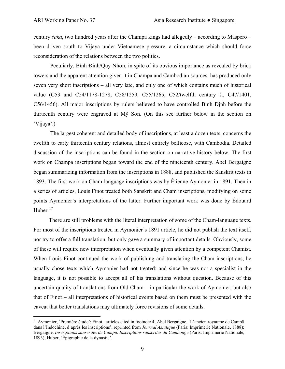century *śaka*, two hundred years after the Champa kings had allegedly – according to Maspéro – been driven south to Vijaya under Vietnamese pressure, a circumstance which should force reconsideration of the relations between the two polities.

 Peculiarly, Bình Ðịnh/Quy Nhơn, in spite of its obvious importance as revealed by brick towers and the apparent attention given it in Champa and Cambodian sources, has produced only seven very short inscriptions – all very late, and only one of which contains much of historical value (C53 and C54/1178-1278, C58/1259, C55/1265, C52/twelfth century ś., C47/1401, C56/1456). All major inscriptions by rulers believed to have controlled Bình Ðịnh before the thirteenth century were engraved at Mỹ Sơn. (On this see further below in the section on 'Vijaya'.)

 The largest coherent and detailed body of inscriptions, at least a dozen texts, concerns the twelfth to early thirteenth century relations, almost entirely bellicose, with Cambodia. Detailed discussion of the inscriptions can be found in the section on narrative history below. The first work on Champa inscriptions began toward the end of the nineteenth century. Abel Bergaigne began summarizing information from the inscriptions in 1888, and published the Sanskrit texts in 1893. The first work on Cham-language inscriptions was by Étienne Aymonier in 1891. Then in a series of articles, Louis Finot treated both Sanskrit and Cham inscriptions, modifying on some points Aymonier's interpretations of the latter. Further important work was done by Édouard Huber. $17$ 

 There are still problems with the literal interpretation of some of the Cham-language texts. For most of the inscriptions treated in Aymonier's 1891 article, he did not publish the text itself, nor try to offer a full translation, but only gave a summary of important details. Obviously, some of these will require new interpretation when eventually given attention by a competent Chamist. When Louis Finot continued the work of publishing and translating the Cham inscriptions, he usually chose texts which Aymonier had not treated; and since he was not a specialist in the language, it is not possible to accept all of his translations without question. Because of this uncertain quality of translations from Old Cham – in particular the work of Aymonier, but also that of Finot – all interpretations of historical events based on them must be presented with the caveat that better translations may ultimately force revisions of some details.

<span id="page-8-0"></span><sup>&</sup>lt;sup>17</sup> Aymonier, 'Première étude'; Finot, articles cited in footnote 4; Abel Bergaigne, 'L'ancien royaume de Campā dans l'Indochine, d'après les inscriptions', reprinted from *Journal Asiatique* (Paris: Imprimerie Nationale, 1888); Bergaigne, *Inscriptions sanscrites de Campā, Inscriptions sanscrites du Cambodge* (Paris: Imprimerie Nationale, 1893); Huber, 'Épigraphie de la dynastie'.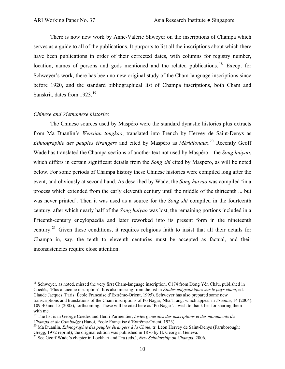There is now new work by Anne-Valérie Shweyer on the inscriptions of Champa which serves as a guide to all of the publications. It purports to list all the inscriptions about which there have been publications in order of their corrected dates, with columns for registry number, location, names of persons and gods mentioned and the related publications.<sup>[18](#page-9-0)</sup> Except for Schweyer's work, there has been no new original study of the Cham-language inscriptions since before 1920, and the standard bibliographical list of Champa inscriptions, both Cham and Sanskrit, dates from [19](#page-9-1)23.<sup>19</sup>

#### *Chinese and Vietnamese histories*

 $\overline{a}$ 

 The Chinese sources used by Maspéro were the standard dynastic histories plus extracts from Ma Duanlin's *Wenxian tongkao*, translated into French by Hervey de Saint-Denys as *Ethnographie des peuples étrangers* and cited by Maspéro as *Méridionaux*. [20](#page-9-2) Recently Geoff Wade has translated the Champa sections of another text not used by Maspéro – the *Song huiyao*, which differs in certain significant details from the *Song shi* cited by Maspéro, as will be noted below. For some periods of Champa history these Chinese histories were compiled long after the event, and obviously at second hand. As described by Wade, the *Song huiyao* was compiled 'in a process which extended from the early eleventh century until the middle of the thirteenth ... but was never printed'. Then it was used as a source for the *Song shi* compiled in the fourteenth century, after which nearly half of the *Song huiyao* was lost, the remaining portions included in a fifteenth-century encylopaedia and later reworked into its present form in the nineteenth century.[21](#page-9-3) Given these conditions, it requires religious faith to insist that all their details for Champa in, say, the tenth to eleventh centuries must be accepted as factual, and their inconsistencies require close attention.

<span id="page-9-0"></span><sup>&</sup>lt;sup>18</sup> Schwever, as noted, missed the very first Cham-language inscription, C174 from Đông Yên Châu, published in Coedès, 'Plus ancienne inscription'. It is also missing from the list in *Études épigraphiques sur le pays cham*, ed. Claude Jacques (Paris: École Française d'Extrême-Orient, 1995). Schweyer has also prepared some new transcriptions and translations of the Cham inscriptions of Pô Nagar, Nha Trang, which appear in *Aséanie*, 14 (2004): 109-40 and 15 (2005), forthcoming. These will be cited here as 'Po Nagar'. I wish to thank her for sharing them with me.

<span id="page-9-1"></span><sup>19</sup> The list is in George Coedès and Henri Parmentier, *Listes générales des inscriptions et des monuments du Champa et du Cambodge* (Hanoi, Ecole Française d'Extrême-Orient, 1923). 20 Ma Duanlin, *Ethnographie des peuples étrangers à la Chine*, tr. Léon Hervey de Saint-Denys (Farnborough:

<span id="page-9-2"></span>Gregg, 1972 reprint); the original edition was published in 1876 by H. Georg in Geneva.<br><sup>21</sup> See Geoff Wade's chapter in Lockhart and Tra (eds.), *New Scholarship on Champa*, 2006.

<span id="page-9-3"></span>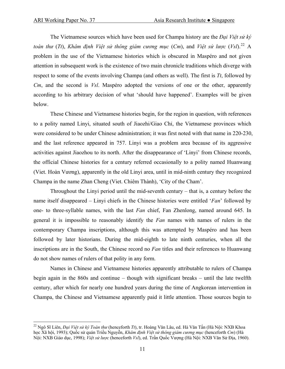1

 The Vietnamese sources which have been used for Champa history are the *Ðại Việt sử ký*  toàn thư (Tt), Khâm định Việt sử thông giám cương mục (Cm), and Việt sử lược (VsI).<sup>[22](#page-10-0)</sup> A problem in the use of the Vietnamese histories which is obscured in Maspéro and not given attention in subsequent work is the existence of two main chronicle traditions which diverge with respect to some of the events involving Champa (and others as well). The first is *Tt*, followed by *Cm*, and the second is *Vsl*. Maspéro adopted the versions of one or the other, apparently according to his arbitrary decision of what 'should have happened'. Examples will be given below.

 These Chinese and Vietnamese histories begin, for the region in question, with references to a polity named Linyi, situated south of Jiaozhi/Giao Chỉ, the Vietnamese provinces which were considered to be under Chinese administration; it was first noted with that name in 220-230, and the last reference appeared in 757. Linyi was a problem area because of its aggressive activities against Jiaozhou to its north. After the disappearance of 'Linyi' from Chinese records, the official Chinese histories for a century referred occasionally to a polity named Huanwang (Viet. Hoàn Vương), apparently in the old Linyi area, until in mid-ninth century they recognized Champa in the name Zhan Cheng (Viet. Chiêm Thành), 'City of the Cham'.

 Throughout the Linyi period until the mid-seventh century – that is, a century before the name itself disappeared – Linyi chiefs in the Chinese histories were entitled '*Fan*' followed by one- to three-syllable names, with the last *Fan* chief, Fan Zhenlong, named around 645. In general it is impossible to reasonably identify the *Fan* names with names of rulers in the contemporary Champa inscriptions, although this was attempted by Maspéro and has been followed by later historians. During the mid-eighth to late ninth centuries, when all the inscriptions are in the South, the Chinese record no *Fan* titles and their references to Huanwang do not show names of rulers of that polity in any form.

 Names in Chinese and Vietnamese histories apparently attributable to rulers of Champa begin again in the 860s and continue – though with significant breaks – until the late twelfth century, after which for nearly one hundred years during the time of Angkorean intervention in Champa, the Chinese and Vietnamese apparently paid it little attention. Those sources begin to

<span id="page-10-0"></span><sup>22</sup> Ngô Sĩ Liên, *Ðại Việt sử ký Toàn thư* (henceforth *Tt*), tr. Hoàng Văn Lâu, ed. Hà Văn Tấn (Hà Nội: NXB Khoa học Xã hội, 1993); Quốc sử quán Triều Nguyễn, *Khâm định Việt sử thông giám cương mục* (henceforth *Cm*) (Hà Nội: NXB Giáo dục, 1998); *Việt sử lược* (henceforth *Vsl*), ed. Trần Quốc Vượng (Hà Nội: NXB Văn Sử Địa, 1960).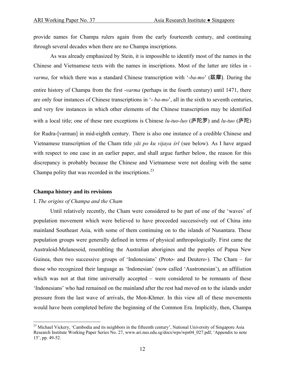provide names for Champa rulers again from the early fourteenth century, and continuing through several decades when there are no Champa inscriptions.

 As was already emphasized by Stein, it is impossible to identify most of the names in the Chinese and Vietnamese texts with the names in inscriptions. Most of the latter are titles in *varma*, for which there was a standard Chinese transcription with '-*ba-mo*' (跋摩). During the entire history of Champa from the first -*varma* (perhaps in the fourth century) until 1471, there are only four instances of Chinese transcriptions in '- *ba-mo*', all in the sixth to seventh centuries, and very few instances in which other elements of the Chinese transcription may be identified with a local title; one of these rare exceptions is Chinese *lu-tuo-luo* (庐陀罗) and *lu-tuo* (庐陀)

for Rudra-[varman] in mid-eighth century. There is also one instance of a credible Chinese and Vietnamese transcription of the Cham title *yāï po ku vijaya śrī* (see below). As I have argued with respect to one case in an earlier paper, and shall argue further below, the reason for this discrepancy is probably because the Chinese and Vietnamese were not dealing with the same Champa polity that was recorded in the inscriptions.<sup>[23](#page-11-0)</sup>

#### **Champa history and its revisions**

 $\overline{a}$ 

#### I. *The origins of Champa and the Cham*

 Until relatively recently, the Cham were considered to be part of one of the 'waves' of population movement which were believed to have proceeded successively out of China into mainland Southeast Asia, with some of them continuing on to the islands of Nusantara. These population groups were generally defined in terms of physical anthropologically. First came the Australoid-Melanesoid, resembling the Australian aborigines and the peoples of Papua New Guinea, then two successive groups of 'Indonesians' (Proto- and Deutero-). The Cham – for those who recognized their language as 'Indonesian' (now called 'Austronesian'), an affiliation which was not at that time universally accepted – were considered to be remnants of these 'Indonesians' who had remained on the mainland after the rest had moved on to the islands under pressure from the last wave of arrivals, the Mon-Khmer. In this view all of these movements would have been completed before the beginning of the Common Era. Implicitly, then, Champa

<span id="page-11-0"></span><sup>&</sup>lt;sup>23</sup> Michael Vickery, 'Cambodia and its neighbors in the fifteenth century', National University of Singapore Asia Research Institute Working Paper Series No. 27, www.ari.nus.edu.sg/docs/wps/wps04\_027.pdf, 'Appendix to note 15', pp. 49-52.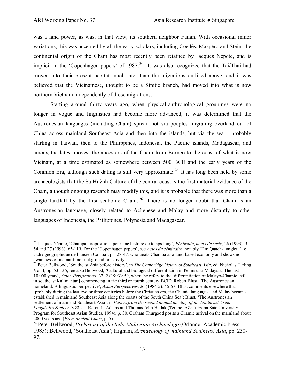was a land power, as was, in that view, its southern neighbor Funan. With occasional minor variations, this was accepted by all the early scholars, including Coedès, Maspéro and Stein; the continental origin of the Cham has most recently been retained by Jacques Népote, and is implicit in the 'Copenhagen papers' of  $1987<sup>24</sup>$  $1987<sup>24</sup>$  $1987<sup>24</sup>$  It was also recognized that the Tai/Thai had moved into their present habitat much later than the migrations outlined above, and it was believed that the Vietnamese, thought to be a Sinitic branch, had moved into what is now northern Vietnam independently of those migrations.

 Starting around thirty years ago, when physical-anthropological groupings were no longer in vogue and linguistics had become more advanced, it was determined that the Austronesian languages (including Cham) spread not via peoples migrating overland out of China across mainland Southeast Asia and then into the islands, but via the sea – probably starting in Taiwan, then to the Philippines, Indonesia, the Pacific islands, Madagascar, and among the latest moves, the ancestors of the Cham from Borneo to the coast of what is now Vietnam, at a time estimated as somewhere between 500 BCE and the early years of the Common Era, although such dating is still very approximate.<sup>[25](#page-12-1)</sup> It has long been held by some archaeologists that the Sa Huỳnh Culture of the central coast is the first material evidence of the Cham, although ongoing research may modify this, and it is probable that there was more than a single landfall by the first seaborne Cham.<sup>[26](#page-12-2)</sup> There is no longer doubt that Cham is an Austronesian language, closely related to Achenese and Malay and more distantly to other languages of Indonesia, the Philippines, Polynesia and Madagascar.

<span id="page-12-0"></span><sup>24</sup> Jacques Népote, 'Champa, propositions pour une histoire de temps long', *Péninsule*, *nouvelle série*, 26 (1993): 3- 54 and 27 (1993): 65-119. For the 'Copenhagen papers', see *Actes du séminaire*, notably Tâm Quach-Langlet, 'Le cadre géographique de l'ancien Campā', pp. 28-47, who treats Champa as a land-based economy and shows no

<span id="page-12-1"></span><sup>&</sup>lt;sup>25</sup> Peter Bellwood, 'Southeast Asia before history', in *The Cambridge history of Southeast Asia*, ed. Nicholas Tarling, Vol. I, pp. 53-136; see also Bellwood, 'Cultural and biological differentiation in Peninsular Malaysia: The last 10,000 years', *Asian Perspectives*, 32, 2 (1993): 50, where he refers to the 'differentiation of Malayo-Chamic [still in southeast Kalimantan] commencing in the third or fourth century BCE'; Robert Blust, 'The Austronesian homeland: A linguistic perspective', *Asian Perspectives*, 26 (1984-5): 45-67; Blust comments elsewhere that 'probably during the last two or three centuries before the Christian era, the Chamic languages and Malay became established in mainland Southeast Asia along the coasts of the South China Sea'; Blust, 'The Austronesian settlement of mainland Southeast Asia', in *Papers from the second annual meeting of the Southeast Asian Linguistics Society 1992*, ed. Karen L. Adams and Thomas John Hudak (Tempe, AZ: Arizona Sate University Program for Southeast Asian Studies, 1994), p. 30. Graham Thurgood posits a Chamic arrival on the mainland about 2000 years ago (*From ancient Cham*, p. 5). 26 Peter Bellwood, *Prehistory of the Indo-Malaysian Archipelago* (Orlando: Academic Press,

<span id="page-12-2"></span><sup>1985);</sup> Bellwood, 'Southeast Asia'; Higham, *Archaeology of mainland Southeast Asia*, pp. 230- 97.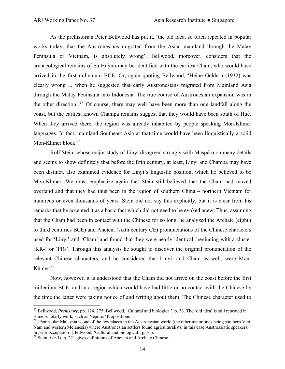As the prehistorian Peter Bellwood has put it, 'the old idea, so often repeated in popular works today, that the Austronesians migrated from the Asian mainland through the Malay Peninsula or Vietnam, is absolutely wrong'. Bellwood, moreover, considers that the archaeological remains of Sa Huỳnh may be identified with the earliest Cham, who would have arrived in the first millenium BCE. Or, again quoting Bellwood, 'Heine Geldern (1932) was clearly wrong ... when he suggested that early Austronesians migrated from Mainland Asia through the Malay Peninsula into Indonesia. The true course of Austronesian expansion was in the other direction'.<sup>[27](#page-13-0)</sup> Of course, there may well have been more than one landfall along the coast, but the earliest known Champa remains suggest that they would have been south of Huế. When they arrived there, the region was already inhabited by people speaking Mon-Khmer languages. In fact, mainland Southeast Asia at that time would have been linguistically a solid Mon-Khmer block. $28$ 

 Rolf Stein, whose major study of Linyi disagreed strongly with Maspéro on many details and seems to show definitely that before the fifth century, at least, Linyi and Champa may have been distinct, also examined evidence for Linyi's linguistic position, which he believed to be Mon-Khmer. We must emphasize again that Stein still believed that the Cham had moved overland and that they had thus been in the region of southern China – northern Vietnam for hundreds or even thousands of years. Stein did not say this explicitly, but it is clear from his remarks that he accepted it as a basic fact which did not need to be evoked anew. Thus, assuming that the Cham had been in contact with the Chinese for so long, he analyzed the Archaic (eighth to third centuries BCE) and Ancient (sixth century CE) pronunciations of the Chinese characters used for 'Linyi' and 'Cham' and found that they were nearly identical, beginning with a cluster 'KR-' or 'PR-'. Through this analysis he sought to discover the original pronunciation of the relevant Chinese characters, and he considered that Linyi, and Cham as well, were Mon-Khmer. $^{29}$  $^{29}$  $^{29}$ 

 Now, however, it is understood that the Cham did not arrive on the coast before the first millenium BCE, and in a region which would have had little or no contact with the Chinese by the time the latter were taking notice of and writing about them. The Chinese character used to

<span id="page-13-0"></span><sup>27</sup> Bellwood, *Prehistory*, pp. 124, 275; Bellwood, 'Cultural and biological', p. 53. The 'old idea' is still repeated in some scholarly work, such as Népote, 'Propositions'.

<span id="page-13-1"></span><sup>&</sup>lt;sup>28</sup> 'Peninsular Malaysia is one of the few places in the Austronesian world (the other major ones being southern Viet Nam and western Melanesia) where Austronesian settlers found agriculturalists, in this case Austroasiatic speakers, in prior occupation' (Bellwood, 'Cultural and biological', p. 51).

<span id="page-13-2"></span> $^{29}$  Stein, *Lin-Yi*, p. 221 gives definitions of Ancient and Archaic Chinese.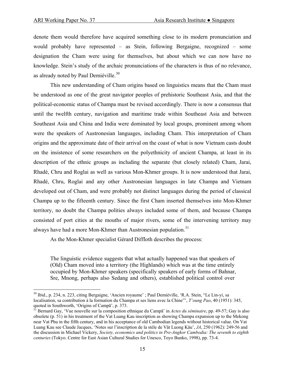denote them would therefore have acquired something close to its modern pronunciation and would probably have represented – as Stein, following Bergaigne, recognized – some designation the Cham were using for themselves, but about which we can now have no knowledge. Stein's study of the archaic pronunciations of the characters is thus of no relevance, as already noted by Paul Demiéville.<sup>[30](#page-14-0)</sup>

 This new understanding of Cham origins based on linguistics means that the Cham must be understood as one of the great navigator peoples of prehistoric Southeast Asia, and that the political-economic status of Champa must be revised accordingly. There is now a consensus that until the twelfth century, navigation and maritime trade within Southeast Asia and between Southeast Asia and China and India were dominated by local groups, prominent among whom were the speakers of Austronesian languages, including Cham. This interpretation of Cham origins and the approximate date of their arrival on the coast of what is now Vietnam casts doubt on the insistence of some researchers on the polyethnicity of ancient Champa, at least in its description of the ethnic groups as including the separate (but closely related) Cham, Jarai, Rhadé, Chru and Roglai as well as various Mon-Khmer groups. It is now understood that Jarai, Rhadé, Chru, Roglai and any other Austronesian languages in late Champa and Vietnam developed out of Cham, and were probably not distinct languages during the period of classical Champa up to the fifteenth century. Since the first Cham inserted themselves into Mon-Khmer territory, no doubt the Champa polities always included some of them, and because Champa consisted of port cities at the mouths of major rivers, some of the intervening territory may always have had a more Mon-Khmer than Austronesian population.<sup>[31](#page-14-1)</sup>

As the Mon-Khmer specialist Gérard Diffloth describes the process:

The linguistic evidence suggests that what actually happened was that speakers of (Old) Cham moved into a territory (the Highlands) which was at the time entirely occupied by Mon-Khmer speakers (specifically speakers of early forms of Bahnar, Sre, Mnong, perhaps also Sedang and others), established political control over

<span id="page-14-0"></span><sup>30</sup> Ibid., p. 234, n. 223, citing Bergaigne, 'Ancien royaume' ; Paul Demiéville, 'R.A. Stein, "Le Lin-yi, sa localisation, sa contribution à la formation du Champa et ses liens avec la Chine"', *T'oung Pao*, 40 (1951): 345,

<span id="page-14-1"></span><sup>&</sup>lt;sup>31</sup> Bernard Gay, 'Vue nouvelle sur la composition ethnique du Campā' in *Actes du séminaire*, pp. 49-57; Gay is also obsolete (p. 51) in his treatment of the Vat Luang Kau inscription as showing Champa expansion up to the Mekong near Vat Phu in the fifth century, and in his acceptance of old Cambodian legends without historical value. On Vat Luang Kau see Claude Jacques, 'Notes sur l'inscription de la stèle de Vǎt Luong Kǎu', *JA*, 250 (1962): 249-56 and the discussion in Michael Vickery, *Society, economics and politics in Pre-Angkor Cambodia: The seventh to eighth centuries* (Tokyo. Centre for East Asian Cultural Studies for Unesco, Toyo Bunko, 1998), pp. 73-4.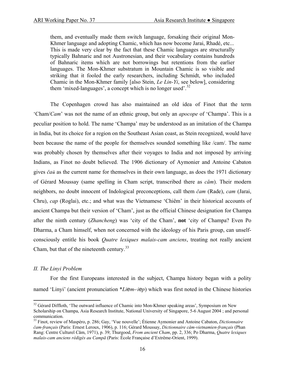them, and eventually made them switch language, forsaking their original Mon-Khmer language and adopting Chamic, which has now become Jarai, Rhadé, etc... This is made very clear by the fact that these Chamic languages are structurally typically Bahnaric and not Austronesian, and their vocabulary contains hundreds of Bahnaric items which are not borrowings but retentions from the earlier languages. The Mon-Khmer substratum in Mountain Chamic is so visible and striking that it fooled the early researchers, including Schmidt, who included Chamic in the Mon-Khmer family [also Stein, *Le Lin-Yi*, see below], considering them 'mixed-languages', a concept which is no longer used'. $32$ 

 The Copenhagen crowd has also maintained an old idea of Finot that the term 'Cham/*Cam*' was not the name of an ethnic group, but only an *apocope* of 'Champa'. This is a peculiar position to hold. The name 'Champa' may be understood as an imitation of the Champa in India, but its choice for a region on the Southeast Asian coast, as Stein recognized, would have been because the name of the people for themselves sounded something like /cam/. The name was probably chosen by themselves after their voyages to India and not imposed by arriving Indians, as Finot no doubt believed. The 1906 dictionary of Aymonier and Antoine Cabaton gives *čaü* as the current name for themselves in their own language, as does the 1971 dictionary of Gérard Moussay (same spelling in Cham script, transcribed there as *căm*). Their modern neighbors, no doubt innocent of Indological preconceptions, call them *čam* (Rade), *cam* (Jarai, Chru), *cap* (Roglai), etc.; and what was the Vietnamese 'Chiêm' in their historical accounts of ancient Champa but their version of 'Cham', just as the official Chinese designation for Champa after the ninth century (*Zhancheng*) was 'city of the Cham', **not** 'city of Champa? Even Po Dharma, a Cham himself, when not concerned with the ideology of his Paris group, can unselfconsciously entitle his book *Quatre lexiques malais-cam anciens*, treating not really ancient Cham, but that of the nineteenth century.<sup>[33](#page-15-1)</sup>

#### *II. The Linyi Problem*

 $\overline{a}$ 

 For the first Europeans interested in the subject, Champa history began with a polity named 'Linyi' (ancient pronunciation \**Liem-.iep*) which was first noted in the Chinese histories

<span id="page-15-0"></span><sup>&</sup>lt;sup>32</sup> Gérard Diffloth, 'The outward influence of Chamic into Mon-Khmer speaking areas', Symposium on New Scholarship on Champa, Asia Research Institute, National University of Singapore, 5-6 August 2004 ; and personal communication.

<span id="page-15-1"></span><sup>33</sup> Finot, review of Maspéro, p. 286; Gay, 'Vue nouvelle'; Étienne Aymonier and Antoine Cabaton, *Dictionnaire čam-français* (Paris: Ernest Leroux, 1906), p. 116; Gérard Moussay, *Dictionnaire cǎm-vietnamien-français* (Phan Rang: Centre Culturel Cǎm, 1971), p. 39; Thurgood, *From ancient Cham*, pp. 2, 336; Po Dharma, *Quatre lexiques malais-cam anciens rédigés au Campā* (Paris: École Française d'Extrême-Orient, 1999).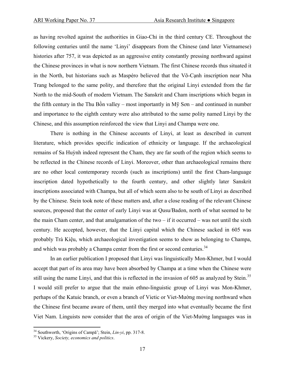as having revolted against the authorities in Giao-Chỉ in the third century CE. Throughout the following centuries until the name 'Linyi' disappears from the Chinese (and later Vietnamese) histories after 757, it was depicted as an aggressive entity constantly pressing northward against the Chinese provinces in what is now northern Vietnam. The first Chinese records thus situated it in the North, but historians such as Maspéro believed that the Võ-Cạnh inscription near Nha Trang belonged to the same polity, and therefore that the original Linyi extended from the far North to the mid-South of modern Vietnam. The Sanskrit and Cham inscriptions which began in the fifth century in the Thu Bồn valley – most importantly in  $M\tilde{y}$  Son – and continued in number and importance to the eighth century were also attributed to the same polity named Linyi by the Chinese, and this assumption reinforced the view that Linyi and Champa were one.

 There is nothing in the Chinese accounts of Linyi, at least as described in current literature, which provides specific indication of ethnicity or language. If the archaeological remains of Sa Huỳnh indeed represent the Cham, they are far south of the region which seems to be reflected in the Chinese records of Linyi. Moreover, other than archaeological remains there are no other local contemporary records (such as inscriptions) until the first Cham-language inscription dated hypothetically to the fourth century, and other slightly later Sanskrit inscriptions associated with Champa, but all of which seem also to be south of Linyi as described by the Chinese. Stein took note of these matters and, after a close reading of the relevant Chinese sources, proposed that the center of early Linyi was at Qusu/Badon, north of what seemed to be the main Cham center, and that amalgamation of the two – if it occurred – was not until the sixth century. He accepted, however, that the Linyi capital which the Chinese sacked in 605 was probably Trà Kiệu, which archaeological investigation seems to show as belonging to Champa, and which was probably a Champa center from the first or second centuries.<sup>[34](#page-16-0)</sup>

 In an earlier publication I proposed that Linyi was linguistically Mon-Khmer, but I would accept that part of its area may have been absorbed by Champa at a time when the Chinese were still using the name Linyi, and that this is reflected in the invasion of 605 as analyzed by Stein.<sup>[35](#page-16-1)</sup> I would still prefer to argue that the main ethno-linguistic group of Linyi was Mon-Khmer, perhaps of the Katuic branch, or even a branch of Vietic or Viet-Mường moving northward when the Chinese first became aware of them, until they merged into what eventually became the first Viet Nam. Linguists now consider that the area of origin of the Viet-Mường languages was in

1

<span id="page-16-0"></span><sup>34</sup> Southworth, 'Origins of Campā'; Stein, *Lin-yi*, pp. 317-8. 35 Vickery, *Society, economics and politics*.

<span id="page-16-1"></span>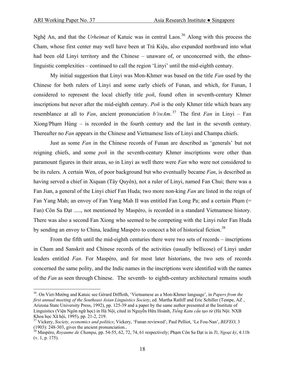Nghệ An, and that the *Urheimat* of Katuic was in central Laos.<sup>[36](#page-17-0)</sup> Along with this process the Cham, whose first center may well have been at Trà Kiệu, also expanded northward into what had been old Linyi territory and the Chinese – unaware of, or unconcerned with, the ethnolinguistic complexities – continued to call the region 'Linyi' until the mid-eighth century.

 My initial suggestion that Linyi was Mon-Khmer was based on the title *Fan* used by the Chinese for both rulers of Linyi and some early chiefs of Funan, and which, for Funan, I considered to represent the local chiefly title *poñ*, found often in seventh-century Khmer inscriptions but never after the mid-eighth century. *Poñ* is the only Khmer title which bears any resemblance at all to *Fan*, ancient pronunciation *b'iwAm*. [37](#page-17-1) The first *Fan* in Linyi – Fan Xiong/Phạm Hùng – is recorded in the fourth century and the last in the seventh century. Thereafter no *Fan* appears in the Chinese and Vietnamese lists of Linyi and Champa chiefs.

 Just as some *Fan* in the Chinese records of Funan are described as 'generals' but not reigning chiefs, and some *poñ* in the seventh-century Khmer inscriptions were other than paramount figures in their areas, so in Linyi as well there were *Fan* who were not considered to be its rulers. A certain Wen, of poor background but who eventually became *Fan*, is described as having served a chief in Xiquan (Tây Quyên), not a ruler of Linyi, named Fan Chui; there was a Fan Jian, a general of the Linyi chief Fan Huda; two more non-king *Fan* are listed in the reign of Fan Yang Mah; an envoy of Fan Yang Mah II was entitled Fan Long Pa; and a certain Pham (= Fan) Côn Sa Đạt ....., not mentioned by Maspéro, is recorded in a standard Vietnamese history. There was also a second Fan Xiong who seemed to be competing with the Linyi ruler Fan Huda by sending an envoy to China, leading Maspéro to concoct a bit of historical fiction.<sup>[38](#page-17-2)</sup>

 From the fifth until the mid-eighth centuries there were two sets of records – inscriptions in Cham and Sanskrit and Chinese records of the activities (usually bellicose) of Linyi under leaders entitled *Fan*. For Maspéro, and for most later historians, the two sets of records concerned the same polity, and the Indic names in the inscriptions were identified with the names of the *Fan* as seen through Chinese. The seventh- to eighth-century architectural remains south

<span id="page-17-0"></span><sup>36.</sup> On Viet-Mường and Katuic see Gérard Diffloth, 'Vietnamese as a Mon-Khmer language', in *Papers from the first annual meeting of the Southeast Asian Linguistics Society*, ed. Martha Ratliff and Eric Schiller (Tempe, AZ , Arizona State University Press, 1992), pp. 125-39 and a paper by the same author presented at the Institute of Linguistics (Viên Ngôn ngữ học) in Hà Nội, cited in Nguyễn Hữu Hoành, *Tiếng Katu cấu tạo từ* (Hà Nội: NXB Khoa học Xã hội, 1995), pp. 21-2, 219.<br><sup>37</sup> Vickery, *Society, economics and politics*; Vickery, 'Funan reviewed'; Paul Pelliot, 'Le Fou-Nan', *BEFEO*, 3

<span id="page-17-1"></span><sup>(1903): 248-303,</sup> gives the ancient pronunciation..

<span id="page-17-2"></span><sup>38</sup> Maspéro, *Royaume de Champa*, pp. 54-55, 62, 72, 74, 61 respectively; Phạm Côn Sa Đạt is in *Tt*, *Ngoại kỷ*, 4:11b (v. 1, p. 175).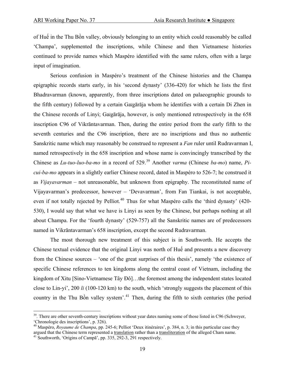of Huế in the Thu Bồn valley, obviously belonging to an entity which could reasonably be called 'Champa', supplemented the inscriptions, while Chinese and then Vietnamese histories continued to provide names which Maspéro identified with the same rulers, often with a large input of imagination.

 Serious confusion in Maspéro's treatment of the Chinese histories and the Champa epigraphic records starts early, in his 'second dynasty' (336-420) for which he lists the first Bhadravarman (known, apparently, from three inscriptions dated on palaeographic grounds to the fifth century) followed by a certain Gaïgārāja whom he identifies with a certain Di Zhen in the Chinese records of Linyi; Gaïgārāja, however, is only mentioned retrospectively in the 658 inscription C96 of Vikrāntavarman. Then, during the entire period from the early fifth to the seventh centuries and the C96 inscription, there are no inscriptions and thus no authentic Sanskritic name which may reasonably be construed to represent a *Fan* ruler until Rudravarman I, named retrospectively in the 658 inscription and whose name is convincingly transcribed by the Chinese as *Lu-tuo-luo-ba-mo* in a record of 529.<sup>[39](#page-18-0)</sup> Another *varma* (Chinese *ba-mo*) name, *Picui-ba-mo* appears in a slightly earlier Chinese record, dated in Maspéro to 526-7; he construed it as *Vijayavarman* – not unreasonable, but unknown from epigraphy. The reconstituted name of Vijayavarman's predecessor, however – 'Devavarman', from Fan Tiankai, is not acceptable, even if not totally rejected by Pelliot.<sup>[40](#page-18-1)</sup> Thus for what Maspéro calls the 'third dynasty' (420-530), I would say that what we have is Linyi as seen by the Chinese, but perhaps nothing at all about Champa. For the 'fourth dynasty' (529-757) all the Sanskritic names are of predecessors named in Vikrāntavarman's 658 inscription, except the second Rudravarman.

 The most thorough new treatment of this subject is in Southworth. He accepts the Chinese textual evidence that the original Linyi was north of Huế and presents a new discovery from the Chinese sources – 'one of the great surprises of this thesis', namely 'the existence of specific Chinese references to ten kingdoms along the central coast of Vietnam, including the kingdom of Xitu [Sino-Vietnamese Tây Ðô]…the foremost among the independent states located close to Lin-yi', 200 *li* (100-120 km) to the south, which 'strongly suggests the placement of this country in the Thu Bồn valley system'.[41](#page-18-2) Then, during the fifth to sixth centuries (the period

<span id="page-18-0"></span> $39$ . There are other seventh-century inscriptions without year dates naming some of those listed in C96 (Schweyer, 'Chronologie des inscriptions', p. 326).

<span id="page-18-1"></span><sup>&</sup>lt;sup>40</sup> Maspéro, *Royaume de Champa*, pp. 245-6; Pelliot 'Deux itinéraires', p. 384, n. 3; in this particular case they argued that the Chinese term represented a translation rather than a transliteration of the alleged Cham name. 41 Southworth, 'Origins of Campā', pp. 335, 292-3, 291 respectively.

<span id="page-18-2"></span>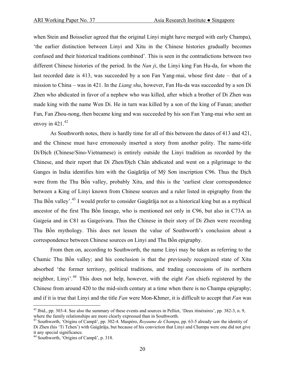when Stein and Boisselier agreed that the original Linyi might have merged with early Champa), 'the earlier distinction between Linyi and Xitu in the Chinese histories gradually becomes confused and their historical traditions combined'. This is seen in the contradictions between two different Chinese histories of the period. In the *Nan ji*, the Linyi king Fan Hu-da, for whom the last recorded date is 413, was succeeded by a son Fan Yang-mai, whose first date – that of a mission to China – was in 421. In the *Liang shu*, however, Fan Hu-da was succeeded by a son Di Zhen who abdicated in favor of a nephew who was killed, after which a brother of Di Zhen was made king with the name Wen Di. He in turn was killed by a son of the king of Funan; another Fan, Fan Zhou-nong, then became king and was succeeded by his son Fan Yang-mai who sent an envoy in  $421^{42}$  $421^{42}$ 

 As Southworth notes, there is hardly time for all of this between the dates of 413 and 421, and the Chinese must have erroneously inserted a story from another polity. The name-title Di/Đich (Chinese/Sino-Vietnamese) is entirely outside the Linyi tradition as recorded by the Chinese, and their report that Di Zhen/Ðịch Chân abdicated and went on a pilgrimage to the Ganges in India identifies him with the Gaïgārāja of Mỹ Sơn inscription C96. Thus the Ðịch were from the Thu Bồn valley, probably Xitu, and this is the 'earliest clear correspondence between a King of Linyi known from Chinese sources and a ruler listed in epigraphy from the Thu Bồn valley'.[43](#page-19-1) I would prefer to consider Gaïgārāja not as a historical king but as a mythical ancestor of the first Thu Bồn lineage, who is mentioned not only in C96, but also in C73A as Gaïgeśa and in C81 as Gaïgeśvara. Thus the Chinese in their story of Di Zhen were recording Thu Bồn mythology. This does not lessen the value of Southworth's conclusion about a correspondence between Chinese sources on Linyi and Thu Bồn epigraphy.

 From then on, according to Southworth, the name Linyi may be taken as referring to the Chamic Thu Bồn valley; and his conclusion is that the previously recognized state of Xitu absorbed 'the former territory, political traditions, and trading concessions of its northern neighbor, Linyi'.[44](#page-19-2) This does not help, however, with the eight *Fan* chiefs registered by the Chinese from around 420 to the mid-sixth century at a time when there is no Champa epigraphy; and if it is true that Linyi and the title *Fan* were Mon-Khmer, it is difficult to accept that *Fan* was

<span id="page-19-0"></span> $42$  Ibid., pp. 303-4. See also the summary of these events and sources in Pelliot, 'Deux itinéraires', pp. 382-3, n. 9, where the family relationships are more clearly expressed than in Southworth.<br><sup>43</sup> Southworth, 'Origins of Campā', pp. 302-4. Maspéro, *Royaume de Champa*, pp. 63-5 already saw the identity of

<span id="page-19-1"></span>Di Zhen (his 'Ti Tchen') with Gaïgārāja, but because of his conviction that Linyi and Champa were one did not give it any special significance.

<span id="page-19-2"></span><sup>44</sup> Southworth, 'Origins of Campā', p. 318.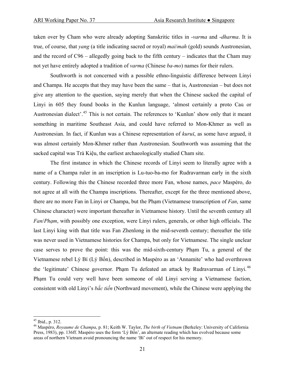taken over by Cham who were already adopting Sanskritic titles in -*varma* and -*dharma*. It is true, of course, that *yang* (a title indicating sacred or royal) *mai*/*mah* (gold) sounds Austronesian, and the record of C96 – allegedly going back to the fifth century – indicates that the Cham may not yet have entirely adopted a tradition of *varma* (Chinese *ba-mo*) names for their rulers.

 Southworth is not concerned with a possible ethno-linguistic difference between Linyi and Champa. He accepts that they may have been the same – that is, Austronesian – but does not give any attention to the question, saying merely that when the Chinese sacked the capital of Linyi in 605 they found books in the Kunlun language, 'almost certainly a proto Caü or Austronesian dialect'.[45](#page-20-0) This is not certain. The references to 'Kunlun' show only that it meant something in maritime Southeast Asia, and could have referred to Mon-Khmer as well as Austronesian. In fact, if Kunlun was a Chinese representation of *kuruï*, as some have argued, it was almost certainly Mon-Khmer rather than Austronesian. Southworth was assuming that the sacked capital was Trà Kiệu, the earliest archaeologically studied Cham site.

 The first instance in which the Chinese records of Linyi seem to literally agree with a name of a Champa ruler in an inscription is Lu-tuo-ba-mo for Rudravarman early in the sixth century. Following this the Chinese recorded three more Fan, whose names, *pace* Maspéro, do not agree at all with the Champa inscriptions. Thereafter, except for the three mentioned above, there are no more Fan in Linyi or Champa, but the Phạm (Vietnamese transcription of *Fan*, same Chinese character) were important thereafter in Vietnamese history. Until the seventh century all *Fan*/*Phạm*, with possibly one exception, were Linyi rulers, generals, or other high officials. The last Linyi king with that title was Fan Zhenlong in the mid-seventh century; thereafter the title was never used in Vietnamese histories for Champa, but only for Vietnamese. The single unclear case serves to prove the point: this was the mid-sixth-century Phạm Tu, a general of the Vietnamese rebel Lý Bí (Lý Bổn), described in Maspéro as an 'Annamite' who had overthrown the 'legitimate' Chinese governor. Phạm Tu defeated an attack by Rudravarman of Linyi.<sup>[46](#page-20-1)</sup> Phạm Tu could very well have been someone of old Linyi serving a Vietnamese faction, consistent with old Linyi's *bắc tiến* (Northward movement), while the Chinese were applying the

1

<span id="page-20-0"></span> $45$  Ibid., p. 312.

<span id="page-20-1"></span><sup>46</sup> Maspéro, *Royaume de Champa*, p. 81; Keith W. Taylor, *The birth of Vietnam* (Berkeley: University of California Press, 1983), pp. 136ff. Maspéro uses the form 'Lý Bổn', an alternate reading which has evolved because some areas of northern Vietnam avoid pronouncing the name 'Bí' out of respect for his memory.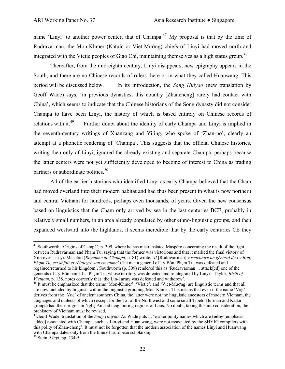name 'Linyi' to another power center, that of Champa.<sup>[47](#page-21-0)</sup> My proposal is that by the time of Rudravarman, the Mon-Khmer (Katuic or Viet-Mường) chiefs of Linyi had moved north and integrated with the Vietic peoples of Giao Chi, maintaining themselves as a high status group.<sup>[48](#page-21-1)</sup>

 Thereafter, from the mid-eighth century, Linyi disappears, new epigraphy appears in the South, and there are no Chinese records of rulers there or in what they called Huanwang. This period will be discussed below. In its introduction, the *Song Huiyao* (new translation by Geoff Wade) says, 'in previous dynasties, this country [Zhancheng] rarely had contact with China', which seems to indicate that the Chinese historians of the Song dynasty did not consider Champa to have been Linyi, the history of which is based entirely on Chinese records of relations with it.<sup>[49](#page-21-2)</sup> Further doubt about the identity of early Champa and Linyi is implied in the seventh-century writings of Xuanzang and Yijing, who spoke of 'Zhan-po', clearly an attempt at a phonetic rendering of 'Champa'. This suggests that the official Chinese histories, writing then only of Linyi, ignored the already existing and separate Champa, perhaps because the latter centers were not yet sufficiently developed to become of interest to China as trading partners or subordinate polities.<sup>[50](#page-21-3)</sup>

 All of the earlier historians who identified Linyi as early Champa believed that the Cham had moved overland into their modern habitat and had thus been present in what is now northern and central Vietnam for hundreds, perhaps even thousands, of years. Given the new consensus based on linguistics that the Cham only arrived by sea in the last centuries BCE, probably in relatively small numbers, in an area already populated by other ethno-linguistic groups, and then expanded westward into the highlands, it seems incredible that by the early centuries CE they

<span id="page-21-0"></span> $47$  Southworth, 'Origins of Campa', p. 309, where he has mistranslated Maspéro concerning the result of the fight between Rudravarman and Phạm Tu, saying that the former was victorious and that it marked the final victory of Xitu over Lin-yi. Maspéro (*Royaume de Champa*, p. 81) wrote, '*Il* [Rudravarman] *y rencontre un général de Ly Bon, Phạm Tu, est défait et réintegre son royaume*' ('he met a general of Lý Bổn, Phạm Tu, was defeated and regained/returned to his kingdom'. Southworth (p. 309) rendered this as 'Rudravarman ... attack[ed] one of the generals of Lý Bôn named ... Phạm Tu, whose territory was defeated and reintegrated by Linyi'. Taylor, *Birth of Vietnam*, p. 138, notes correctly that 'the Lin-i army was defeated and withdrew'.<br><sup>48</sup> It must be emphasized that the terms 'Mon-Khmer', 'Vietic', and 'Viet-Mường' are linguistic terms and that all

<span id="page-21-1"></span>are now included by linguists within the linguistic grouping Mon-Khmer. This means that even if the name 'Việt' derives from the 'Yue' of ancient southern China, the latter were not the linguistic ancestors of modern Vietnam, the languages and dialects of which (except for the Tai of the Northwest and some small Tibeto-Burman and Kadai groups) had their origins in Nghệ An and neighboring regions of Laos. No doubt, taking this into consideration, the prehistory of Vietnam must be revised.

<span id="page-21-2"></span><sup>49</sup>Geoff Wade, translation of the *Song Huiyao*. As Wade puts it, 'earlier polity names which are **today** [emphasis added] associated with Champa, such as Lin-yi and Huan wang, were not associated by the SHYJG compilers with this polity of Zhan-cheng'. It must not be forgotten that the modern association of the names Linyi and Huanwang with Champa dates only from the time of European scholarship.

<span id="page-21-3"></span><sup>50</sup> Stein, *Linyi*, pp. 234-5.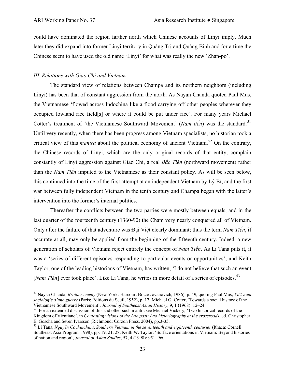could have dominated the region farther north which Chinese accounts of Linyi imply. Much later they did expand into former Linyi territory in Quảng Trị and Quảng Bình and for a time the Chinese seem to have used the old name 'Linyi' for what was really the new 'Zhan-po'.

#### *III. Relations with Giao Chỉ and Vietnam*

 The standard view of relations between Champa and its northern neighbors (including Linyi) has been that of constant aggression from the north. As Nayan Chanda quoted Paul Mus, the Vietnamese 'flowed across Indochina like a flood carrying off other peoples wherever they occupied lowland rice field[s] or where it could be put under rice'. For many years Michael Cotter's treatment of 'the Vietnamese Southward Movement' (*Nam tiến*) was the standard.<sup>[51](#page-22-0)</sup> Until very recently, when there has been progress among Vietnam specialists, no historian took a critical view of this *mantra* about the political economy of ancient Vietnam.<sup>[52](#page-22-1)</sup> On the contrary, the Chinese records of Linyi, which are the only original records of that entity, complain constantly of Linyi aggression against Giao Chỉ, a real *Bắc Tiến* (northward movement) rather than the *Nam Tiến* imputed to the Vietnamese as their constant policy. As will be seen below, this continued into the time of the first attempt at an independent Vietnam by Lý Bí, and the first war between fully independent Vietnam in the tenth century and Champa began with the latter's intervention into the former's internal politics.

 Thereafter the conflicts between the two parties were mostly between equals, and in the last quarter of the fourteenth century (1360-90) the Cham very nearly conquered all of Vietnam. Only after the failure of that adventure was Đại Việt clearly dominant; thus the term *Nam Tiến*, if accurate at all, may only be applied from the beginning of the fifteenth century. Indeed, a new generation of scholars of Vietnam reject entirely the concept of *Nam Tiến*. As Li Tana puts it, it was a 'series of different episodes responding to particular events or opportunities'; and Keith Taylor, one of the leading historians of Vietnam, has written, 'I do not believe that such an event [*Nam Tiến*] ever took place'. Like Li Tana, he writes in more detail of a series of episodes.<sup>[53](#page-22-2)</sup>

<span id="page-22-0"></span><sup>51</sup> Nayan Chanda, *Brother enemy* (New York: Harcourt Brace Jovanovich, 1986), p. 49, quoting Paul Mus, *Viêt-nam*: *sociologie d'une guerre* (Paris: Éditions du Seuil, 1952), p. 17; Michael G. Cotter, 'Towards a social history of the

<span id="page-22-1"></span><sup>&</sup>lt;sup>52</sup>. For an extended discussion of this and other such mantra see Michael Vickery, 'Two historical records of the Kingdom of Vientiane', in *Contesting visions of the Lao past: Lao historiography at the crossroads*, ed. Christopher E. Goscha and Søren Ivarsson (Richmond: Curzon Press, 2004), pp.3-35.

<span id="page-22-2"></span><sup>53</sup> Li Tana, *Nguyê˜n Cochinchina*, *Southern Vietnam in the seventeenth and eighteenth centuries* (Ithaca: Cornell Southeast Asia Program, 1998), pp. 19, 21, 28; Keith W. Taylor, 'Surface orientations in Vietnam: Beyond histories of nation and region', *Journal of Asian Studies*, 57, 4 (1998): 951, 960.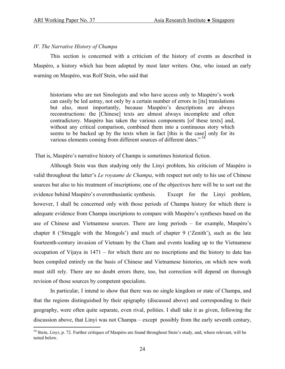#### *IV. The Narrative History of Champa*

 This section is concerned with a criticism of the history of events as described in Maspéro, a history which has been adopted by most later writers. One, who issued an early warning on Maspéro, was Rolf Stein, who said that

historians who are not Sinologists and who have access only to Maspéro's work can easily be led astray, not only by a certain number of errors in [its] translations but also, most importantly, because Maspéro's descriptions are always reconstructions: the [Chinese] texts are almost always incomplete and often contradictory. Maspéro has taken the various components [of these texts] and, without any critical comparison, combined them into a continuous story which seems to be backed up by the texts when in fact [this is the case] only for its various elements coming from different sources of different dates."<sup>[54](#page-23-0)</sup>

That is, Maspéro's narrative history of Champa is sometimes historical fiction.

 Although Stein was then studying only the Linyi problem, his criticism of Maspéro is valid throughout the latter's *Le royaume de Champa*, with respect not only to his use of Chinese sources but also to his treatment of inscriptions; one of the objectives here will be to sort out the evidence behind Maspéro's overenthusiastic synthesis. Except for the Linyi problem, however, I shall be concerned only with those periods of Champa history for which there is adequate evidence from Champa inscriptions to compare with Maspéro's syntheses based on the use of Chinese and Vietnamese sources. There are long periods – for example, Maspéro's chapter 8 ('Struggle with the Mongols') and much of chapter 9 ('Zenith'), such as the late fourteenth-century invasion of Vietnam by the Cham and events leading up to the Vietnamese occupation of Vijaya in 1471 – for which there are no inscriptions and the history to date has been compiled entirely on the basis of Chinese and Vietnamese histories, on which new work must still rely. There are no doubt errors there, too, but correction will depend on thorough revision of those sources by competent specialists.

 In particular, I intend to show that there was no single kingdom or state of Champa, and that the regions distinguished by their epigraphy (discussed above) and corresponding to their geography, were often quite separate, even rival, polities. I shall take it as given, following the discussion above, that Linyi was not Champa – except possibly from the early seventh century,

<span id="page-23-0"></span><sup>&</sup>lt;sup>54</sup> Stein, *Linyi*, p. 72. Further critiques of Maspéro are found throughout Stein's study, and, where relevant, will be noted below.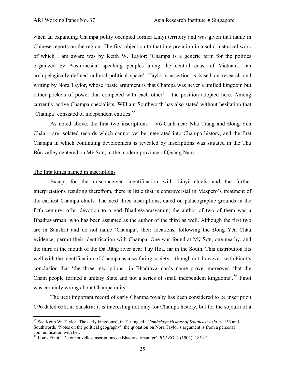when an expanding Champa polity occupied former Linyi territory and was given that name in Chinese reports on the region. The first objection to that interpretation in a solid historical work of which I am aware was by Keith W. Taylor: 'Champa is a generic term for the polities organized by Austronesian speaking peoples along the central coast of Vietnam... an archipelagically-defined cultural-political space'. Taylor's assertion is based on research and writing by Nora Taylor, whose 'basic argument is that Champa was never a unified kingdom but rather pockets of power that competed with each other' – the position adopted here. Among currently active Champa specialists, William Southworth has also stated without hesitation that 'Champa' consisted of independent entities.[55](#page-24-0)

 As noted above, the first two inscriptions – Võ-Cạnh near Nha Trang and Đông Yên Châu – are isolated records which cannot yet be integrated into Champa history, and the first Champa in which continuing development is revealed by inscriptions was situated in the Thu Bồn valley centered on Mỹ Sơn, in the modern province of Quảng Nam.

#### The first kings named in inscriptions

1

 Except for the misconceived identification with Linyi chiefs and the further interpretations resulting therefrom, there is little that is controversial in Maspéro's treatment of the earliest Champa chiefs. The next three inscriptions, dated on palaeographic grounds in the fifth century, offer devotion to a god Bhadreśvarasvāmin; the author of two of them was a Bhadravarman, who has been assumed as the author of the third as well. Although the first two are in Sanskrit and do not name 'Champa', their locations, following the Đông Yên Châu evidence, permit their identification with Champa. One was found at Mỹ Sơn, one nearby, and the third at the mouth of the Đà Rằng river near Tuy Hòa, far in the South. This distribution fits well with the identification of Champa as a seafaring society – though not, however, with Finot's conclusion that 'the three inscriptions…in Bhadravarman's name prove, moreover, that the Cham people formed a unitary State and not a series of small independent kingdoms'.[56](#page-24-1) Finot was certainly wrong about Champa unity.

 The next important record of early Champa royalty has been considered to be inscription C96 dated 658, in Sanskrit; it is interesting not only for Champa history, but for the sojourn of a

<span id="page-24-0"></span><sup>55</sup> See Keith W. Taylor,'The early kingdoms', in Tarling ed., *Cambridge History of Southeast Asia*, p. 153 and Southworth, 'Notes on the political geography'; the quotation on Nora Taylor's argument is from a personal communication with her.

<span id="page-24-1"></span><sup>56</sup> Louis Finot, 'Deux nouvelles inscriptions de Bhadravarman Ier', *BEFEO*, 2 (1902): 185-91.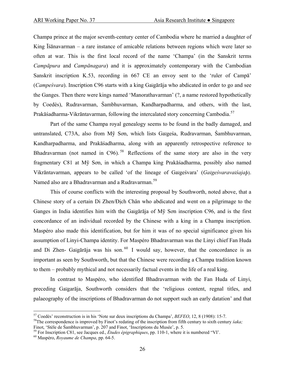Champa prince at the major seventh-century center of Cambodia where he married a daughter of King Īśānavarman – a rare instance of amicable relations between regions which were later so often at war. This is the first local record of the name 'Champa' (in the Sanskrit terms *Campāpura* and *Campānagara*) and it is approximately contemporary with the Cambodian Sanskrit inscription K.53, recording in 667 CE an envoy sent to the 'ruler of Campā' (*Campeśvara*). Inscription C96 starts with a king Gaïgārāja who abdicated in order to go and see the Ganges. Then there were kings named 'Manorathavarman' (?, a name restored hypothetically by Coedès), Rudravarman, Śambhuvarman, Kandharpadharma, and others, with the last, Prakāśadharma-Vikrāntavarman, following the intercalated story concerning Cambodia.[57](#page-25-0)

 Part of the same Champa royal genealogy seems to be found in the badly damaged, and untranslated, C73A, also from Mỹ Sơn, which lists Gaïgeśa, Rudravarman, Śambhuvarman, Kandharpadharma, and Prakāśadharma, along with an apparently retrospective reference to Bhadravarman (not named in C96).<sup>[58](#page-25-1)</sup> Reflections of the same story are also in the very fragmentary C81 at Mỹ Sơn, in which a Champa king Prakāśadharma, possibly also named Vikrāntavarman, appears to be called 'of the lineage of Gaïgeśvara' (*Gaïgeśvaravaïśajaþ*). Named also are a Bhadravarman and a Rudravarman.<sup>[59](#page-25-2)</sup>

 This of course conflicts with the interesting proposal by Southworth, noted above, that a Chinese story of a certain Di Zhen/Ðịch Chân who abdicated and went on a pilgrimage to the Ganges in India identifies him with the Gaïgārāja of Mỹ Sơn inscription C96, and is the first concordance of an individual recorded by the Chinese with a king in a Champa inscription. Maspéro also made this identification, but for him it was of no special significance given his assumption of Linyi-Champa identity. For Maspéro Bhadravarman was the Linyi chief Fan Huda and Di Zhen- Gaïgārāja was his son.  $60\,$  $60\,$  I would say, however, that the concordance is as important as seen by Southworth, but that the Chinese were recording a Champa tradition known to them – probably mythical and not necessarily factual events in the life of a real king.

 In contrast to Maspéro, who identified Bhadravarman with the Fan Huda of Linyi, preceding Gaïgarāja, Southworth considers that the 'religious content, regnal titles, and palaeography of the inscriptions of Bhadravarman do not support such an early datation' and that

<span id="page-25-0"></span><sup>&</sup>lt;sup>57</sup> Coedès' reconstruction is in his 'Note sur deux inscriptions du Champa', *BEFEO*, 12, 8 (1908): 15-7.<br><sup>58</sup>The correspondence is improved by Finot's redating of the inscription from fifth century to sixth century *sak* 

<span id="page-25-1"></span>Finot, 'Stèle de Śambhuvarman', p. 207 and Finot, 'Inscriptions du Musée', p. 5.<br><sup>59</sup> For Inscription C81, see Jacques ed., *Études épigraphiques*, pp. 110-1, where it is numbered "VI'.<br><sup>60</sup> Maspéro. *Rovaume de Champa*, p

<span id="page-25-3"></span><span id="page-25-2"></span>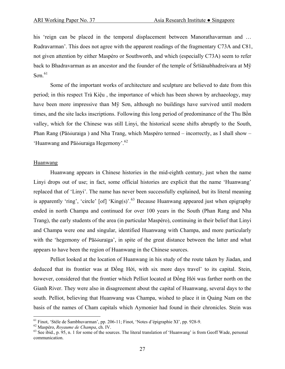his 'reign can be placed in the temporal displacement between Manorathavarman and ... Rudravarman'. This does not agree with the apparent readings of the fragmentary C73A and C81, not given attention by either Maspéro or Southworth, and which (especially C73A) seem to refer back to Bhadravarman as an ancestor and the founder of the temple of Śrīśānabhadreśvara at Mỹ  $S$ on.<sup>[61](#page-26-0)</sup>

 Some of the important works of architecture and sculpture are believed to date from this period; in this respect Trà Kiệu , the importance of which has been shown by archaeology, may have been more impressive than Mỹ Sơn, although no buildings have survived until modern times, and the site lacks inscriptions. Following this long period of predominance of the Thu Bồn valley, which for the Chinese was still Linyi, the historical scene shifts abruptly to the South, Phan Rang (Pāõóuraïga ) and Nha Trang, which Maspéro termed – incorrectly, as I shall show – 'Huanwang and Pāõóuraïga Hegemony'.<sup>[62](#page-26-1)</sup>

#### **Huanwang**

 Huanwang appears in Chinese histories in the mid-eighth century, just when the name Linyi drops out of use; in fact, some official histories are explicit that the name 'Huanwang' replaced that of 'Linyi'. The name has never been successfully explained, but its literal meaning is apparently 'ring', 'circle'  $\lceil$  of $\rceil$  'King(s)'.<sup>[63](#page-26-2)</sup> Because Huanwang appeared just when epigraphy ended in north Champa and continued for over 100 years in the South (Phan Rang and Nha Trang), the early students of the area (in particular Maspéro), continuing in their belief that Linyi and Champa were one and singular, identified Huanwang with Champa, and more particularly with the 'hegemony of Pāõóuraïga', in spite of the great distance between the latter and what appears to have been the region of Huanwang in the Chinese sources.

 Pelliot looked at the location of Huanwang in his study of the route taken by Jiadan, and deduced that its frontier was at Đồng Hới, with six more days travel' to its capital. Stein, however, considered that the frontier which Pelliot located at Đồng Hới was farther north on the Gianh River. They were also in disagreement about the capital of Huanwang, several days to the south. Pelliot, believing that Huanwang was Champa, wished to place it in Quảng Nam on the basis of the names of Cham capitals which Aymonier had found in their chronicles. Stein was

<span id="page-26-2"></span>

<span id="page-26-1"></span><span id="page-26-0"></span><sup>&</sup>lt;sup>61</sup> Finot, 'Stèle de Śambhuvarman', pp. 206-11; Finot, 'Notes d'épigraphie XI', pp. 928-9.<br><sup>62</sup> Maspéro, *Royaume de Champa*, ch. IV.<br><sup>63</sup> See ibid., p. 95, n. 1 for some of the sources. The literal translation of 'Huanw communication.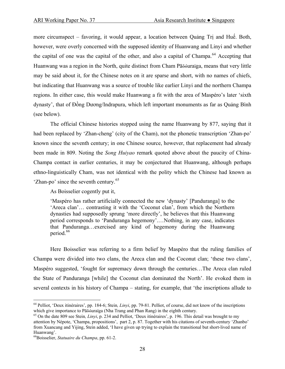more circumspect – favoring, it would appear, a location between Quảng Trị and Huế. Both, however, were overly concerned with the supposed identity of Huanwang and Linyi and whether the capital of one was the capital of the other, and also a capital of Champa.<sup>[64](#page-27-0)</sup> Accepting that Huanwang was a region in the North, quite distinct from Cham Pāõóuraïga, means that very little may be said about it, for the Chinese notes on it are sparse and short, with no names of chiefs, but indicating that Huanwang was a source of trouble like earlier Linyi and the northern Champa regions. In either case, this would make Huanwang a fit with the area of Maspéro's later 'sixth dynasty', that of Đồng Dương/Indrapura, which left important monuments as far as Quảng Bình (see below).

 The official Chinese histories stopped using the name Huanwang by 877, saying that it had been replaced by 'Zhan-cheng' (city of the Cham), not the phonetic transcription 'Zhan-po' known since the seventh century; in one Chinese source, however, that replacement had already been made in 809. Noting the *Song Huiyao* remark quoted above about the paucity of China-Champa contact in earlier centuries, it may be conjectured that Huanwang, although perhaps ethno-linguistically Cham, was not identical with the polity which the Chinese had known as 'Zhan-po' since the seventh century.<sup>[65](#page-27-1)</sup>

As Boisselier cogently put it,

'Maspéro has rather artificially connected the new 'dynasty' [Panduranga] to the 'Areca clan'… contrasting it with the 'Coconut clan', from which the Northern dynasties had supposedly sprung 'more directly', he believes that this Huanwang period corresponds to 'Panduranga hegemony'.…Nothing, in any case, indicates that Panduranga…exercised any kind of hegemony during the Huanwang period.<sup>[66](#page-27-2)</sup>

 Here Boisselier was referring to a firm belief by Maspéro that the ruling families of Champa were divided into two clans, the Areca clan and the Coconut clan; 'these two clans', Maspéro suggested, 'fought for supremacy down through the centuries…The Areca clan ruled the State of Panduranga [while] the Coconut clan dominated the North'. He evoked them in several contexts in his history of Champa – stating, for example, that 'the inscriptions allude to

<span id="page-27-0"></span> $\overline{a}$ 64 Pelliot, 'Deux itinéraires', pp. 184-6; Stein*, Linyi*, pp. 79-81. Pelliot, of course, did not know of the inscriptions which give importance to Pāõóuraïga (Nha Trang and Phan Rang) in the eighth century.<br><sup>65</sup> On the date 809 see Stein, *Linyi*, p. 234 and Pelliot, 'Deux itinéraires', p. 196. This detail was brought to my

<span id="page-27-1"></span>attention by Népote, 'Champa, propositions', part 2, p. 87. Together with his citations of seventh-century 'Zhanbo' from Xuancang and Yijing, Stein added, 'I have given up trying to explain the transitional but short-lived name of Huanwang'.

<span id="page-27-2"></span><sup>66</sup>Boisselier, *Statuaire du Champa*, pp. 61-2.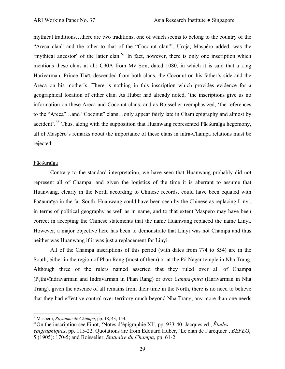mythical traditions…there are two traditions, one of which seems to belong to the country of the "Areca clan" and the other to that of the "Coconut clan"'. Uroja, Maspéro added, was the 'mythical ancestor' of the latter clan. $^{67}$  $^{67}$  $^{67}$  In fact, however, there is only one inscription which mentions these clans at all: C90A from Mỹ Sơn, dated 1080, in which it is said that a king Harivarman, Prince Thãï, descended from both clans, the Coconut on his father's side and the Areca on his mother's. There is nothing in this inscription which provides evidence for a geographical location of either clan. As Huber had already noted, 'the inscriptions give us no information on these Areca and Coconut clans; and as Boisselier reemphasized, 'the references to the "Areca"…and "Coconut" clans…only appear fairly late in Cham epigraphy and almost by accident'.<sup>[68](#page-28-1)</sup> Thus, along with the supposition that Huanwang represented Pāõóuraïga hegemony, all of Maspéro's remarks about the importance of these clans in intra-Champa relations must be rejected.

#### Pāõóuraïga

 $\overline{a}$ 

 Contrary to the standard interpretation, we have seen that Huanwang probably did not represent all of Champa, and given the logistics of the time it is aberrant to assume that Huanwang, clearly in the North according to Chinese records, could have been equated with Pāõóuraïga in the far South. Huanwang could have been seen by the Chinese as replacing Linyi, in terms of political geography as well as in name, and to that extent Maspéro may have been correct in accepting the Chinese statements that the name Huanwang replaced the name Linyi. However, a major objective here has been to demonstrate that Linyi was not Champa and thus neither was Huanwang if it was just a replacement for Linyi.

 All of the Champa inscriptions of this period (with dates from 774 to 854) are in the South, either in the region of Phan Rang (most of them) or at the Pô Nagar temple in Nha Trang. Although three of the rulers named asserted that they ruled over all of Champa (Pçthivīndravarman and Indravarman in Phan Rang) or over *Campa-pura* (Harivarman in Nha Trang), given the absence of all remains from their time in the North, there is no need to believe that they had effective control over territory much beyond Nha Trang, any more than one needs

<span id="page-28-1"></span><span id="page-28-0"></span><sup>&</sup>lt;sup>67</sup>Maspéro, *Royaume de Champa*, pp. 18, 43, 154.<br><sup>68</sup>On the inscription see Finot, 'Notes d'épigraphie XI', pp. 933-40; Jacques ed., *Études épigraphiques*, pp. 115-22. Quotations are from Édouard Huber, 'Le clan de l'aréquier', *BEFEO*, 5 (1905): 170-5; and Boisselier, *Statuaire du Champa*, pp. 61-2.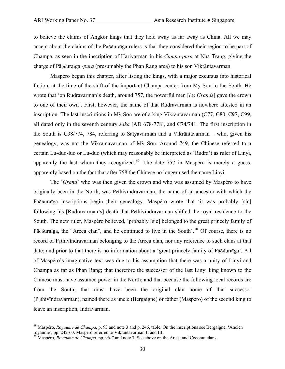to believe the claims of Angkor kings that they held sway as far away as China. All we may accept about the claims of the Pāõóuraïga rulers is that they considered their region to be part of Champa, as seen in the inscription of Harivarman in his *Campa-pura* at Nha Trang, giving the charge of Pāõóuraïga *-pura* (presumably the Phan Rang area) to his son Vikrāntavarman.

 Maspéro began this chapter, after listing the kings, with a major excursus into historical fiction, at the time of the shift of the important Champa center from Mỹ Sơn to the South. He wrote that 'on Rudravarman's death, around 757, the powerful men [*les Grands*] gave the crown to one of their own'. First, however, the name of that Rudravarman is nowhere attested in an inscription. The last inscriptions in Mỹ Sơn are of a king Vikrāntavarman (C77, C80, C97, C99, all dated only in the seventh century *śaka* [AD 678-778], and C74/741. The first inscription in the South is C38/774, 784, referring to Satyavarman and a Vikrāntavarman – who, given his genealogy, was not the Vikrāntavarman of Mỹ Sơn. Around 749, the Chinese referred to a certain Lu-duo-luo or Lu-duo (which may reasonably be interpreted as 'Rudra') as ruler of Linyi, apparently the last whom they recognized.  $69$  The date 757 in Maspéro is merely a guess, apparently based on the fact that after 758 the Chinese no longer used the name Linyi.

 The '*Grand*' who was then given the crown and who was assumed by Maspéro to have originally been in the North, was Pçthivīndravarman, the name of an ancestor with which the Pāõóuraïga inscriptions begin their genealogy. Maspéro wrote that 'it was probably [sic] following his [Rudravarman's] death that Pçthivīndravarman shifted the royal residence to the South. The new ruler, Maspéro believed, 'probably [sic] belonged to the great princely family of Pāõóuraïga, the "Areca clan", and he continued to live in the South'.<sup>[70](#page-29-1)</sup> Of course, there is no record of Pçthivīndravarman belonging to the Areca clan, nor any reference to such clans at that date; and prior to that there is no information about a 'great princely family of Pāõóuraïga'. All of Maspéro's imaginative text was due to his assumption that there was a unity of Linyi and Champa as far as Phan Rang; that therefore the successor of the last Linyi king known to the Chinese must have assumed power in the North; and that because the following local records are from the South, that must have been the original clan home of that successor (Pçthivīndravarman), named there as uncle (Bergaigne) or father (Maspéro) of the second king to leave an inscription, Indravarman.

<span id="page-29-0"></span><sup>&</sup>lt;sup>69</sup> Maspéro, *Royaume de Champa*, p. 93 and note 3 and p. 246, table. On the inscriptions see Bergaigne, 'Ancien royaume', pp. 242-60. Maspéro referred to Vikrāntavarman II and III.

<span id="page-29-1"></span><sup>&</sup>lt;sup>70</sup> Maspéro, *Royaume de Champa*, pp. 96-7 and note 7. See above on the Areca and Coconut clans.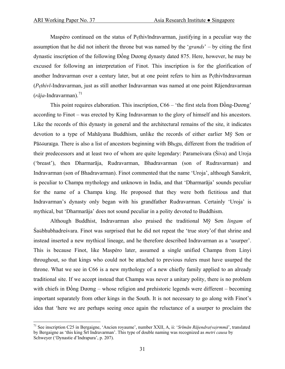Maspéro continued on the status of Pçthivīndravarman, justifying in a peculiar way the assumption that he did not inherit the throne but was named by the '*grands*' – by citing the first dynastic inscription of the following Đồng Dương dynasty dated 875. Here, however, he may be excused for following an interpretation of Finot. This inscription is for the glorification of another Indravarman over a century later, but at one point refers to him as Pçthivīndravarman (*Pçthivī*-Indravarman, just as still another Indravarman was named at one point Rājendravarman  $(r\bar{a}ia$ -Indravarman).<sup>[71](#page-30-0)</sup>

 This point requires elaboration. This inscription, C66 – 'the first stela from Ðồng-Dương' according to Finot – was erected by King Indravarman to the glory of himself and his ancestors. Like the records of this dynasty in general and the architectural remains of the site, it indicates devotion to a type of Mahāyana Buddhism, unlike the records of either earlier Mỹ Sơn or Pāõóuraïga. There is also a list of ancestors beginning with Bhçgu, different from the tradition of their predecessors and at least two of whom are quite legendary: Parameśvara (Śiva) and Uroja ('breast'), then Dharmarāja, Rudravarman, Bhadravarman (son of Rudravarman) and Indravarman (son of Bhadravarman). Finot commented that the name 'Uroja', although Sanskrit, is peculiar to Champa mythology and unknown in India, and that 'Dharmarāja' sounds peculiar for the name of a Champa king. He proposed that they were both fictitious and that Indravarman's dynasty only began with his grandfather Rudravarman. Certainly 'Uroja' is mythical, but 'Dharmarāja' does not sound peculiar in a polity devoted to Buddhism.

 Although Buddhist, Indravarman also praised the traditional Mỹ Sơn *lingam* of Śaübhubhadreśvara. Finot was surprised that he did not repeat the 'true story'of that shrine and instead inserted a new mythical lineage, and he therefore described Indravarman as a 'usurper'. This is because Finot, like Maspéro later, assumed a single unified Champa from Linyi throughout, so that kings who could not be attached to previous rulers must have usurped the throne. What we see in C66 is a new mythology of a new chiefly family applied to an already traditional site. If we accept instead that Champa was never a unitary polity, there is no problem with chiefs in Đồng Dương – whose religion and prehistoric legends were different – becoming important separately from other kings in the South. It is not necessary to go along with Finot's idea that 'here we are perhaps seeing once again the reluctance of a usurper to proclaim the

<span id="page-30-0"></span><sup>71</sup> See inscription C25 in Bergaigne, 'Ancien royaume', number XXII, A, ii: '*Srīmān Rājendra(va)rmmā*', translated by Bergaigne as 'this king Śrī Indravarman'. This type of double naming was recognized as *metri causa* by Schweyer ('Dynastie d'Indrapura', p. 207).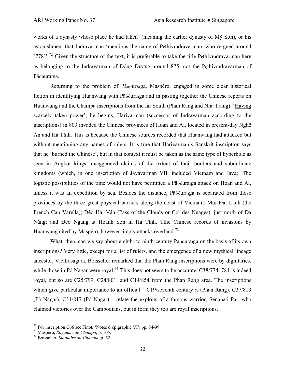works of a dynasty whose place he had taken' (meaning the earlier dynasty of Mỹ Sơn), or his astonishment that Indravarman 'mentions the name of Pçthivīndravarman, who reigned around [778]'.<sup>[72](#page-31-0)</sup> Given the structure of the text, it is preferable to take the title P<sub>s</sub>thiv $\bar{\text{m}}$ dravarman here as belonging to the Indravarman of Đồng Dương around 875, not the Pçthivīndravarman of Pāõóuraïga.

 Returning to the problem of Pāõóuraïga, Maspéro, engaged in some clear historical fiction in identifying Huanwang with Pāõóuraïga and in pasting together the Chinese reports on Huanwang and the Champa inscriptions from the far South (Phan Rang and Nha Trang). 'Having scarcely taken power', he begins, Harivarman (successor of Indravarman according to the inscriptions) in 803 invaded the Chinese provinces of Hoan and Ái, located in present-day Nghệ An and Hà Tĩnh. This is because the Chinese sources recorded that Huanwang had attacked but without mentioning any names of rulers. It is true that Harivarman's Sanskrit inscription says that he 'burned the Chinese', but in that context it must be taken as the same type of hyperbole as seen in Angkor kings' exaggerated claims of the extent of their borders and subordinate kingdoms (which, in one inscription of Jayavarman VII, included Vietnam and Java). The logistic possibilities of the time would not have permitted a Pāõóuraïga attack on Hoan and Ái, unless it was an expedition by sea. Besides the distance, Pāõóuraïga is separated from those provinces by the three great physical barriers along the coast of Vietnam: Mũi Đại Lãnh (the French Cap Varella); Ðèo Hái Vân (Pass of the Clouds or Col des Nuages), just north of Đà Nẵng; and Ðèo Ngang at Hoành Sơn in Hà Tĩnh. Tthe Chinese records of invasions by Huanwang cited by Maspéro, however, imply attacks overland.[73](#page-31-1)

 What, then, can we say about eighth- to ninth-century Pāõóuraïga on the basis of its own inscriptions? Very little, except for a list of rulers, and the emergence of a new mythical lineage ancestor, Vicitrasagara. Boisselier remarked that the Phan Rang inscriptions were by dignitaries, while those in Pô Nagar were royal.<sup>[74](#page-31-2)</sup> This does not seem to be accurate. C38/774, 784 is indeed royal, but so are C25/799, C24/801, and C14/854 from the Phan Rang area. The inscriptions which give particular importance to an official – C19/seventh century *ś.* (Phan Rang), C37/813 (Pô Nagar), C31/817 (Pô Nagar) – relate the exploits of a famous warrior, Senāpati Pār, who claimed victories over the Cambodians, but in form they too are royal inscriptions.

<span id="page-31-0"></span> $72$  For inscription C66 see Finot, 'Notes d'épigraphie VI', pp. 84-99.

<span id="page-31-1"></span><sup>&</sup>lt;sup>73</sup> Maspéro, *Royaume de Champa*, p. 105.<br><sup>74</sup> Boisselier, *Statuaire du Champa*, p. 62.

<span id="page-31-2"></span>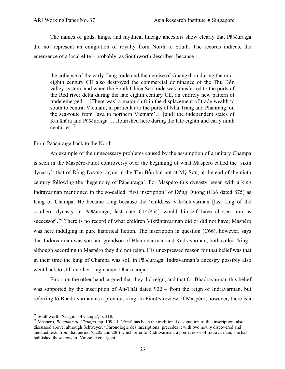The names of gods, kings, and mythical lineage ancestors show clearly that Pāõóuraïga did not represent an emigration of royalty from North to South. The records indicate the emergence of a local elite – probably, as Southworth describes, because

the collapse of the early Tang trade and the demise of Guangzhou during the mideighth century CE also destroyed the commercial dominance of the Thu Bồn valley system, and when the South China Sea trade was transferred to the ports of the Red river delta during the late eighth century CE, an entirely new pattern of trade emerged… [There was] a major shift in the displacement of trade wealth to south to central Vietnam, in particular to the ports of Nha Trang and Phanrang, on the sea-route from Java to northern Vietnam'… [and] the independent states of Kauñhāra and Pāõóuraïga … flourished here during the late eighth and early ninth centuries.[75](#page-32-0)

#### From Pāõóuraïga back to the North

 An example of the unnecessary problems caused by the assumption of a unitary Champa is seen in the Maspéro-Finot controversy over the beginning of what Maspéro called the 'sixth dynasty': that of Đồng Dương, again in the Thu Bồn but not at Mỹ Sơn, at the end of the ninth century following the 'hegemony of Pāõóuraïga'. For Maspéro this dynasty began with a king Indravarman mentioned in the so-called 'first inscription' of Đồng Dương (C66 dated 875) as King of Champa. He became king because the 'childless Vikrāntavarman [last king of the southern dynasty in Pāõóuraïga, last date C14/854] would himself have chosen him as successor'.<sup>[76](#page-32-1)</sup> There is no record of what children Vikrāntavarman did or did not have; Maspéro was here indulging in pure historical fiction. The inscription in question (C66), however, says that Indravarman was son and grandson of Bhadravarman and Rudravarman, both called 'king', although according to Maspéro they did not reign. His unexpressed reason for that belief was that in their time the king of Champa was still in Pāõóuraïga. Indravarman's ancestry possibly also went back to still another king named Dharmarāja.

 Finot, on the other hand, argued that they did reign, and that for Bhadravarman this belief was supported by the inscription of An-Thái dated 902 – from the reign of Indravarman, but referring to Bhadravarman as a previous king. In Finot's review of Maspéro, however, there is a

<span id="page-32-0"></span><sup>&</sup>lt;sup>75</sup> Southworth. 'Origins of Campa', p. 318.

<span id="page-32-1"></span><sup>&</sup>lt;sup>76</sup> Maspéro, *Royaume de Champa*, pp. 109-11. 'First' has been the traditional designation of this inscription, also discussed above, although Schweyer, 'Chronologie des inscriptions' precedes it with two newly discovered and undated texts from that period (C205 and 206) which refer to Rudravarman, a predecessor of Indravarman; she has published these texts in 'Vaisselle en argent'.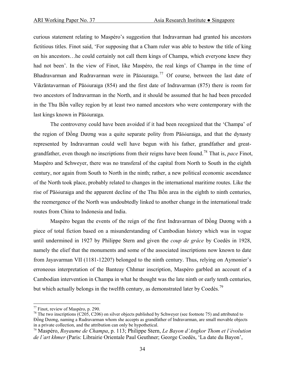curious statement relating to Maspéro's suggestion that Indravarman had granted his ancestors fictitious titles. Finot said, 'For supposing that a Cham ruler was able to bestow the title of king on his ancestors…he could certainly not call them kings of Champa, which everyone knew they had not been'. In the view of Finot, like Maspéro, the real kings of Champa in the time of Bhadravarman and Rudravarman were in Pāõóuraïga.<sup>[77](#page-33-0)</sup> Of course, between the last date of Vikrāntavarman of Pāõóuraïga (854) and the first date of Indravarman (875) there is room for two ancestors of Indravarman in the North, and it should be assumed that he had been preceded in the Thu Bồn valley region by at least two named ancestors who were contemporary with the last kings known in Pāõóuraïga.

 The controversy could have been avoided if it had been recognized that the 'Champa' of the region of Đồng Dương was a quite separate polity from Pāõóuraïga, and that the dynasty represented by Indravarman could well have begun with his father, grandfather and greatgrandfather, even though no inscriptions from their reigns have been found.[78](#page-33-1) That is, *pace* Finot, Maspéro and Schweyer, there was no transferal of the capital from North to South in the eighth century, nor again from South to North in the ninth; rather, a new political economic ascendance of the North took place, probably related to changes in the international maritime routes. Like the rise of Pāõóuraïga and the apparent decline of the Thu Bồn area in the eighth to ninth centuries, the reemergence of the North was undoubtedly linked to another change in the international trade routes from China to Indonesia and India.

 Maspéro began the events of the reign of the first Indravarman of Đồng Dương with a piece of total fiction based on a misunderstanding of Cambodian history which was in vogue until undermined in 1927 by Philippe Stern and given the *coup de grâce* by Coedès in 1928, namely the elief that the monuments and some of the associated inscriptions now known to date from Jayavarman VII (1181-1220?) belonged to the ninth century. Thus, relying on Aymonier's erroneous interpretation of the Banteay Chhmar inscription, Maspéro garbled an account of a Cambodian intervention in Champa in what he thought was the late ninth or early tenth centuries, but which actually belongs in the twelfth century, as demonstrated later by Coedès.<sup>[79](#page-33-2)</sup>

 $\overline{a}$ <sup>77</sup> Finot, review of Maspéro, p. 290.

<span id="page-33-1"></span><span id="page-33-0"></span><sup>&</sup>lt;sup>78</sup> The two inscriptions (C205, C206) on silver objects published by Schweyer (see footnote 75) and attributed to Đồng Dương, naming a Rudravarman whom she accepts as grandfather of Indravarman, are small movable objects in a private collection, and the attribution can only be hypothetical.

<span id="page-33-2"></span><sup>79</sup> Maspéro, *Royaume de Champa*, p. 113; Philippe Stern, *Le Bayon d'Angkor Thom et l'évolution de l'art khmer* (Paris: Librairie Orientale Paul Geuthner; George Coedès, 'La date du Bayon',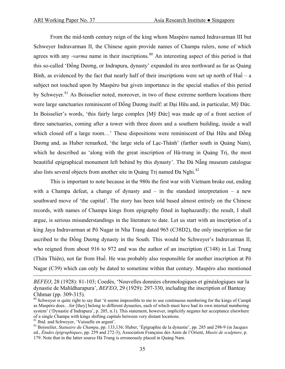From the mid-tenth century reign of the king whom Maspéro named Indravarman III but Schweyer Indravarman II, the Chinese again provide names of Champa rulers, none of which agrees with any *-varma* name in their inscriptions.<sup>[80](#page-34-0)</sup> An interesting aspect of this period is that this so-called 'Đồng Dương, or Indrapura, dynasty' expanded its area northward as far as Quảng Bình, as evidenced by the fact that nearly half of their inscriptions were set up north of Huế – a subject not touched upon by Maspéro but given importance in the special studies of this period by Schweyer.<sup>[81](#page-34-1)</sup> As Boisselier noted, moreover, in two of these extreme northern locations there were large sanctuaries reminiscent of Đồng Dương itself: at Đại Hữu and, in particular, Mỹ Đức. In Boisselier's words, 'this fairly large complex [Mỹ Đức] was made up of a front section of three sanctuaries, coming after a tower with three doors and a southern building, inside a wall which closed off a large room...' These dispositions were reminiscent of Đại Hữu and Đồng Dương and, as Huber remarked, 'the large stela of Lạc-Thành' (farther south in Quảng Nam), which he described as 'along with the great inscription of Hà-trung in Quảng Trị, the most beautiful epigraphical monument left behind by this dynasty'. The Đà Nẵng museum catalogue also lists several objects from another site in Quảng Tri named Đa Nghi.<sup>[82](#page-34-2)</sup>

 This is important to note because in the 980s the first war with Vietnam broke out, ending with a Champa defeat, a change of dynasty and  $-$  in the standard interpretation  $-$  a new southward move of 'the capital'. The story has been told based almost entirely on the Chinese records, with names of Champa kings from epigraphy fitted in haphazardly; the result, I shall argue, is serious misunderstandings in the literature to date. Let us start with an inscription of a king Jaya Indravarman at Pô Nagar in Nha Trang dated 965 (C38D2), the only inscription so far ascribed to the Đồng Dương dynasty in the South. This would be Schweyer's Indravarman II, who reigned from about 916 to 972 and was the author of an inscription (C148) in Lai Trung (Thừa Thiên), not far from Huế. He was probably also responsible for another inscription at Pô Nagar (C39) which can only be dated to sometime within that century. Maspéro also mentioned

*BEFEO*, 28 (1928): 81-103; Coedès, 'Nouvelles données chronologiques et généalogiques sur la dynastie de Mahīdharapura', *BEFEO*, 29 (1929): 297-330, including the inscription of Banteay Chhmar (pp. 309-315).

<span id="page-34-0"></span> $80$  Schweyer is quite right to say that 'it seems impossible to me to use continuous numbering for the kings of Campa as Maspéro does…for [they] belong to different dynasties, each of which must have had its own internal numbering system' ('Dynastie d'Indrapura', p. 205, n.1). This statement, however, implicitly negates her acceptance elsewhere of a single Champa with kings shifting capitals between very distant locations.<br><sup>81</sup> Ibid. and Schwever, 'Vaisselle en argent'.

<span id="page-34-2"></span><span id="page-34-1"></span>

<sup>&</sup>lt;sup>82</sup> Boisselier, *Statuaire du Champa*, pp. 133,136; Huber, 'Épigraphie de la dynastie', pp. 285 and 298-9 (in Jacques ed., *Études épigraphiques*, pp. 259 and 272-3); Association Française des Amis de l'Orient, *Musée de sculpture*, p. 179. Note that in the latter source Hà Trung is erroneously placed in Quảng Nam.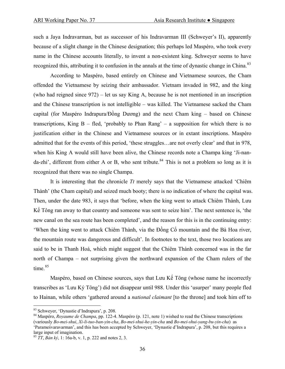such a Jaya Indravarman, but as successor of his Indravarman III (Schweyer's II), apparently because of a slight change in the Chinese designation; this perhaps led Maspéro, who took every name in the Chinese accounts literally, to invent a non-existent king. Schweyer seems to have recognized this, attributing it to confusion in the annals at the time of dynastic change in China.<sup>[83](#page-35-0)</sup>

 According to Maspéro, based entirely on Chinese and Vietnamese sources, the Cham offended the Vietnamese by seizing their ambassador. Vietnam invaded in 982, and the king (who had reigned since 972) – let us say King A, because he is not mentioned in an inscription and the Chinese transcription is not intelligible – was killed. The Vietnamese sacked the Cham capital (for Maspéro Indrapura/Đồng Dương) and the next Cham king – based on Chinese transcriptions, King  $B - fled$ , 'probably to Phan Rang' – a supposition for which there is no justification either in the Chinese and Vietnamese sources or in extant inscriptions. Maspéro admitted that for the events of this period, 'these struggles…are not overly clear' and that in 978, when his King A would still have been alive, the Chinese records note a Champa king 'Ji-nan $da$ -zhi', different from either A or B, who sent tribute.<sup>[84](#page-35-1)</sup> This is not a problem so long as it is recognized that there was no single Champa.

 It is interesting that the chronicle *Tt* merely says that the Vietnamese attacked 'Chiêm Thành' (the Cham capital) and seized much booty; there is no indication of where the capital was. Then, under the date 983, it says that 'before, when the king went to attack Chiêm Thành, Lưu Kế Tông ran away to that country and someone was sent to seize him'. The next sentence is, 'the new canal on the sea route has been completed', and the reason for this is in the continuing entry: 'When the king went to attack Chiêm Thành, via the Đồng Cổ mountain and the Bà Hoa river, the mountain route was dangerous and difficult'. In footnotes to the text, those two locations are said to be in Thanh Hoá, which might suggest that the Chiêm Thành concerned was in the far north of Champa – not surprising given the northward expansion of the Cham rulers of the time. $85$ 

 Maspéro, based on Chinese sources, says that Lưu Kế Tông (whose name he incorrectly transcribes as 'Lưu Ký Tông') did not disappear until 988. Under this 'usurper' many people fled to Hainan, while others 'gathered around a *national claimant* [to the throne] and took him off to

<span id="page-35-0"></span><sup>83</sup> Schweyer, 'Dynastie d'Indrapura', p. 208.

<span id="page-35-1"></span><sup>84</sup> Maspéro, *Royaume de Champa*, pp. 122-4. Maspéro (p. 121, note 1) wished to read the Chinese transcriptions (variously *Bo-mei-shui*, *Xi-li-tuo-ban-yin-cha*, *Bo-mei-shui-he-yin-cha* and *Bo-mei-shui-yang-bu-yin-cha*) as 'Parameśvaravarman', and this has been accepted by Schweyer, 'Dynastie d'Indrapura', p. 208, but this requires a large input of imagination.

<span id="page-35-2"></span><sup>85</sup> *TT*, *Bản kỷ*, 1: 16a-b, v. 1, p. 222 and notes 2, 3.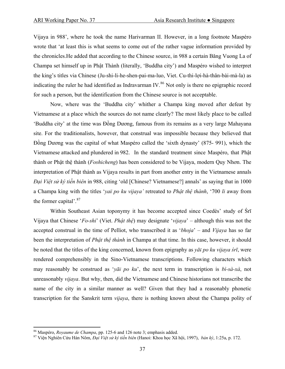Vijaya in 988', where he took the name Harivarman II. However, in a long footnote Maspéro wrote that 'at least this is what seems to come out of the rather vague information provided by the chronicles.He added that according to the Chinese source, in 988 a certain Bǎng Vuong La of Champa set himself up in Phật Thành (literally, 'Buddha city') and Maspéro wished to interpret the king's titles via Chinese (Ju-shi-li-he-shen-pai-ma-luo, Viet. Cu-thi-lợi-hà-thân-bài-mà-la) as indicating the ruler he had identified as Indravarman IV.<sup>[86](#page-36-0)</sup> Not only is there no epigraphic record for such a person, but the identification from the Chinese source is not acceptable.

 Now, where was the 'Buddha city' whither a Champa king moved after defeat by Vietnamese at a place which the sources do not name clearly? The most likely place to be called 'Buddha city' at the time was Đồng Dương, famous from its remains as a very large Mahayana site. For the traditionalists, however, that construal was impossible because they believed that Đồng Dương was the capital of what Maspéro called the 'sixth dynasty' (875- 991), which the Vietnamese attacked and plundered in 982. In the standard treatment since Maspéro, that Phật thành or Phật thệ thành (*Foshicheng*) has been considered to be Vijaya, modern Quy Nhơn. The interpretation of Phật thành as Vijaya results in part from another entry in the Vietnamese annals *Đại Việt sử ký tiền biên* in 988, citing 'old [Chinese? Vietnamese?] annals' as saying that in 1000 a Champa king with the titles '*yaï po ku vijaya'* retreated to *Phật thệ thành*, '700 *li* away from the former capital'.<sup>[87](#page-36-1)</sup>

Within Southeast Asian toponymy it has become accepted since Coedès' study of  $\overline{S}r\overline{1}$ Vijaya that Chinese '*Fo-shi*' (Viet. *Phật thệ*) may designate '*vijaya*' – although this was not the accepted construal in the time of Pelliot, who transcribed it as '*bhoja*' – and *Vijaya* has so far been the interpretation of *Phật thệ thành* in Champa at that time. In this case, however, it should be noted that the titles of the king concerned, known from epigraphy as *yāï po ku vijaya śrī*, were rendered comprehensibly in the Sino-Vietnamese transcriptions. Following characters which may reasonably be construed as '*yāï po ku*', the next term in transcription is *bì-sà-xà*, not unreasonably *vijaya*. But why, then, did the Vietnamese and Chinese historians not transcribe the name of the city in a similar manner as well? Given that they had a reasonably phonetic transcription for the Sanskrit term *vijaya*, there is nothing known about the Champa polity of

<span id="page-36-1"></span>

<span id="page-36-0"></span><sup>&</sup>lt;sup>86</sup> Maspéro, *Royaume de Champa*, pp. 125-6 and 126 note 3; emphasis added.<br><sup>87</sup> Viên Nghiên Cứu Hán Nôm, *Đại Việt sử ký tiền biên* (Hanoi: Khoa học Xã hội, 1997), *bản ký*, 1:25a, p. 172.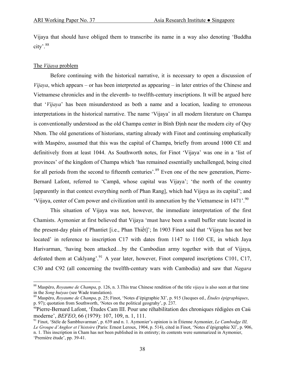Vijaya that should have obliged them to transcribe its name in a way also denoting 'Buddha city'.[88](#page-37-0)

## The *Vijaya* problem

 $\overline{a}$ 

 Before continuing with the historical narrative, it is necessary to open a discussion of *Vijaya*, which appears – or has been interpreted as appearing – in later entries of the Chinese and Vietnamese chronicles and in the eleventh- to twelfth-century inscriptions. It will be argued here that '*Vijaya*' has been misunderstood as both a name and a location, leading to erroneous interpretations in the historical narrative. The name 'Vijaya' in all modern literature on Champa is conventionally understood as the old Champa center in Bình Ðịnh near the modern city of Quy Nhơn. The old generations of historians, starting already with Finot and continuing emphatically with Maspéro, assumed that this was the capital of Champa, briefly from around 1000 CE and definitively from at least 1044. As Southworth notes, for Finot 'Vijaya' was one in a 'list of provinces' of the kingdom of Champa which 'has remained essentially unchallenged, being cited for all periods from the second to fifteenth centuries'.<sup>[89](#page-37-1)</sup> Even one of the new generation, Pierre-Bernard Lafont, referred to 'Campā, whose capital was Vijaya'; 'the north of the country [apparently in that context everything north of Phan Rang], which had Vijaya as its capital'; and 'Vijaya, center of Cam power and civilization until its annexation by the Vietnamese in 1471'.<sup>[90](#page-37-2)</sup>

 This situation of Vijaya was not, however, the immediate interpretation of the first Chamists. Aymonier at first believed that Vijaya 'must have been a small buffer state located in the present-day plain of Phantiet [i.e., Phan Thiết]'; In 1903 Finot said that 'Vijaya has not bee located' in reference to inscription C17 with dates from 1147 to 1160 CE, in which Jaya Harivarman, 'having been attacked…by the Cambodian army together with that of Vijaya, defeated them at Caklyang'.<sup>[91](#page-37-3)</sup> A year later, however, Finot compared inscriptions C101, C17, C30 and C92 (all concerning the twelfth-century wars with Cambodia) and saw that *Nagara* 

<span id="page-37-0"></span><sup>88</sup> Maspéro, *Royaume de Champa*, p. 126, n. 3.This true Chinese rendition of the title *vijaya* is also seen at that time

<span id="page-37-1"></span>in the *Song huiyao* (see Wade translation). 89 Maspéro, *Royaume de Champa*, p. 25; Finot, 'Notes d'épigraphie XI', p. 915 (Jacques ed., *Études épigraphiques*, p. 97); quotation from Southworth, 'Notes on the political geograhy', p. 237.

<span id="page-37-2"></span><sup>90</sup>Pierre-Bernard Lafont, 'Études Cam III. Pour une réhabilitation des chroniques rédigées en Caü moderne', *BEFEO*, 66 (1979): 107, 109, n. 1, 111.<br><sup>91</sup> Finot, 'Stèle de Śambhuvarman', p. 639 and n. 1. Aymonier's opinion is in Étienne Aymonier, *Le Cambodge III*,

<span id="page-37-3"></span>*Le Groupe d'Angkor et l'histoire* (Paris: Ernest Leroux, 1904, p. 514), cited in Finot, 'Notes d'épigraphie XI', p. 906, n. 1. This inscription in Cham has not been published in its entirety; its contents were summarized in Aymonier, 'Première étude', pp. 39-41.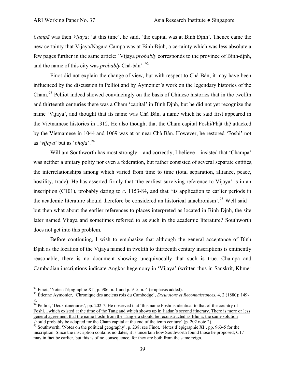*Campā* was then *Vijaya*; 'at this time', he said, 'the capital was at Bình Định'. Thence came the new certainty that Vijaya/Nagara Campa was at Bình Ðịnh, a certainty which was less absolute a few pages further in the same article: 'Vijaya *probably* corresponds to the province of Bình-định, and the name of this city was *probably* Chà-bàn'. [92](#page-38-0)

 Finot did not explain the change of view, but with respect to Chà Bàn, it may have been influenced by the discussion in Pelliot and by Aymonier's work on the legendary histories of the Cham.[93](#page-38-1) Pelliot indeed showed convincingly on the basis of Chinese histories that in the twelfth and thirteenth centuries there was a Cham 'capital' in Bình Ðịnh, but he did not yet recognize the name 'Vijaya', and thought that its name was Chà Bàn, a name which he said first appeared in the Vietnamese histories in 1312. He also thought that the Cham capital Foshi/Phật thệ attacked by the Vietnamese in 1044 and 1069 was at or near Chà Bàn. However, he restored 'Foshi' not as '*vijaya*' but as '*bhoja*'.[94](#page-38-2)

William Southworth has most strongly – and correctly, I believe – insisted that 'Champa' was neither a unitary polity nor even a federation, but rather consisted of several separate entities, the interrelationships among which varied from time to time (total separation, alliance, peace, hostility, trade). He has asserted firmly that 'the earliest surviving reference to Vijaya' is in an inscription (C101), probably dating to *c*. 1153-84, and that 'its application to earlier periods in the academic literature should therefore be considered an historical anachronism'.<sup>[95](#page-38-3)</sup> Well said – but then what about the earlier references to places interpreted as located in Bình Ðịnh, the site later named Vijaya and sometimes referred to as such in the academic literature? Southworth does not get into this problem.

 Before continuing, I wish to emphasize that although the general acceptance of Bình Ðịnh as the location of the Vijaya named in twelfth to thirteenth century inscriptions is eminently reasonable, there is no document showing unequivocally that such is true. Champa and Cambodian inscriptions indicate Angkor hegemony in 'Vijaya' (written thus in Sanskrit, Khmer

<span id="page-38-0"></span> $92$  Finot, 'Notes d'épigraphie XI', p. 906, n. 1 and p. 915, n. 4 (emphasis added).

<span id="page-38-1"></span><sup>93</sup> Étienne Aymonier, 'Chronique des anciens rois du Cambodge', *Excursions et Reconnaissances*, 4, 2 (1880): 149- 8.

<span id="page-38-2"></span><sup>&</sup>lt;sup>94</sup> Pelliot, 'Deux itinéraires', pp. 202-7. He observed that 'this name Foshi is identical to that of the country of Foshi…which existed at the time of the Tang and which shows up in Jiadan's second itinerary. There is more or less general agreement that the name Foshi from the Tang era should be reconstructed as Bhoja; the same solution should probably be adopted for the Cham capital at the end of the tenth century' (p. 202 note 2).

<span id="page-38-3"></span> $\frac{95}{25}$  Southworth, 'Notes on the political geography', p. 238; see Finot, 'Notes d'épigraphie XI', pp. 963-5 for the inscription. Since the inscription contains no dates, it is uncertain how Southworth found those he proposed; C17 may in fact be earlier, but this is of no consequence, for they are both from the same reign.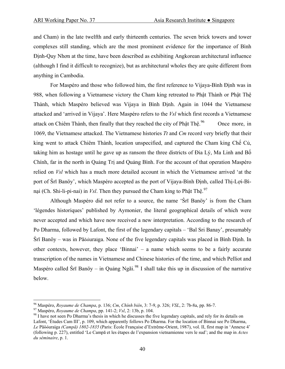and Cham) in the late twelfth and early thirteenth centuries. The seven brick towers and tower complexes still standing, which are the most prominent evidence for the importance of Bình Ðịnh-Quy Nhơn at the time, have been described as exhibiting Angkorean architectural influence (although I find it difficult to recognize), but as architectural wholes they are quite different from anything in Cambodia.

 For Maspéro and those who followed him, the first reference to Vijaya-Bình Ðịnh was in 988, when following a Vietnamese victory the Cham king retreated to Phật Thành or Phật Thệ Thành, which Maspéro believed was Vijaya in Bình Ðịnh. Again in 1044 the Vietnamese attacked and 'arrived in Vijaya'. Here Maspéro refers to the *Vsl* which first records a Vietnamese attack on Chiêm Thành, then finally that they reached the city of Phật Thệ. Once more, in 1069, the Vietnamese attacked. The Vietnamese histories *Tt* and *Cm* record very briefly that their king went to attack Chiêm Thành, location unspecified, and captured the Cham king Chế Củ, taking him as hostage until he gave up as ransom the three districts of Ðia Lý, Ma Linh and Bố Chính, far in the north in Quảng Trị and Quảng Bình. For the account of that operation Maspéro relied on *Vsl* which has a much more detailed account in which the Vietnamese arrived 'at the port of Śrī Banöy', which Maspéro accepted as the port of Vijaya-Bình Ðịnh, called Thị-Lợi-Bìnại (Ch. Shi-li-pi-nai) in *Vsl*. Then they pursued the Cham king to Phật Thệ. [97](#page-39-1)

 Although Maspéro did not refer to a source, the name 'Śrī Banöy' is from the Cham 'légendes historiques' published by Aymonier, the literal geographical details of which were never accepted and which have now received a new interpretation. According to the research of Po Dharma, followed by Lafont, the first of the legendary capitals – 'Bal Sri Banay', presumably Śrī Banöy – was in Pāõóuraïga. None of the five legendary capitals was placed in Bình Ðịnh. In other contexts, however, they place 'Binnai' – a name which seems to be a fairly accurate transcription of the names in Vietnamese and Chinese histories of the time, and which Pelliot and Maspéro called Śrī Banöy – in Quảng Ngãi.<sup>[98](#page-39-2)</sup> I shall take this up in discussion of the narrative below.

<sup>&</sup>lt;sup>96</sup> Maspéro, *Royaume de Champa*, p. 136; *Cm*, *Chinh biên*, 3: 7-9, p. 326; *VSL*, 2: 7b-8a, pp. 86-7.

<span id="page-39-2"></span><span id="page-39-1"></span><span id="page-39-0"></span><sup>&</sup>lt;sup>97</sup> Maspéro, *Royaume de Champa*, pp. 141-2; *Vsl*, 2: 13b, p. 104.<br><sup>98</sup> I have not seen Po Dharma's thesis in which he discusses the five legendary capitals, and rely for its details on Lafont, 'Études Cam III', p. 109, which apparently follows Po Dharma. For the location of Binnai see Po Dharma, *Le* Pāõóuraïga *(Campā) 1802-1835* (Paris: École Française d'Extrême-Orient, 1987), vol. II, first map in 'Annexe 4' (following p. 227), entitled 'Le Campā et les étapes de l'expansion vietnamienne vers le sud'; and the map in *Actes du séminaire*, p. 1.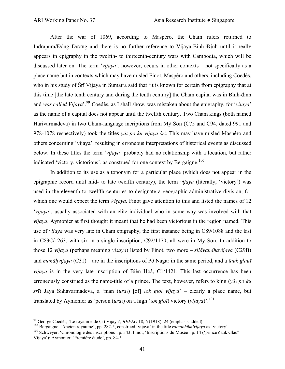After the war of 1069, according to Maspéro, the Cham rulers returned to Indrapura/Đồng Dương and there is no further reference to Vijaya-Bình Ðịnh until it really appears in epigraphy in the twelfth- to thirteenth-century wars with Cambodia, which will be discussed later on. The term '*vijaya*', however, occurs in other contexts – not specifically as a place name but in contexts which may have misled Finot, Maspéro and others, including Coedès, who in his study of Śrī Vijaya in Sumatra said that 'it is known for certain from epigraphy that at this time [the late tenth century and during the tenth century] the Cham capital was in Bình-định and *was called Vijaya*'.[99](#page-40-0) Coedès, as I shall show, was mistaken about the epigraphy, for '*vijaya*' as the name of a capital does not appear until the twelfth century. Two Cham kings (both named Harivarmadeva) in two Cham-language incriptions from Mỹ Sơn (C75 and C94, dated 991 and 978-1078 respectively) took the titles *yāï po ku vijaya śrī*. This may have misled Maspéro and others concerning 'vijaya', resulting in erroneous interpretations of historical events as discussed below. In these titles the term '*vijaya*' probably had no relationship with a location, but rather indicated 'victory, victorious', as construed for one context by Bergaigne.<sup>[100](#page-40-1)</sup>

 In addition to its use as a toponym for a particular place (which does not appear in the epigraphic record until mid- to late twelfth century), the term *vijaya* (literally, 'victory') was used in the eleventh to twelfth centuries to designate a geographic-administrative division, for which one would expect the term *Visaya*. Finot gave attention to this and listed the names of 12 '*vijaya*', usually associated with an elite individual who in some way was involved with that *vijaya*. Aymonier at first thought it meant that he had been victorious in the region named. This use of *vijaya* was very late in Cham epigraphy, the first instance being in C89/1088 and the last in C83C/1263, with six in a single inscription, C92/1170; all were in Mỹ Sơn. In addition to those 12 *vijaya* (perhaps meaning *visaya .* ) listed by Finot, two more – *śilāvandhavijaya* (C29B) and *manāhvijaya* (C31) – are in the inscriptions of Pô Nagar in the same period, and a *ïauk glauï vijaya* is in the very late inscription of Biên Hoà, C1/1421. This last occurrence has been erroneously construed as the name-title of a prince. The text, however, refers to king (*yāï po ku śrī*) Jaya Siïhavarmadeva, a 'man (*uraï*) [of] *ïok gloï vijaya*' – clearly a place name, but translated by Aymonier as 'person (*uraï*) on a high (*ïok gloï*) victory (*vijaya*)'.[101](#page-40-2)

<span id="page-40-0"></span><sup>&</sup>lt;sup>99</sup> George Coedès, 'Le royaume de Crī Vijaya', *BEFEO* 18, 6 (1918): 24 (emphasis added).

<span id="page-40-2"></span><span id="page-40-1"></span><sup>&</sup>lt;sup>100</sup> Bergaigne, 'Ancien royaume', pp. 282-5, construed 'vijaya' in the title *ratnabhūmivijaya* as 'victory'.<br><sup>101</sup> Schwever, 'Chronologie des inscriptions', p. 343; Finot, 'Inscriptions du Musée', p. 14 ('prince ðauk Gl Vijaya'); Aymonier, 'Première étude', pp. 84-5.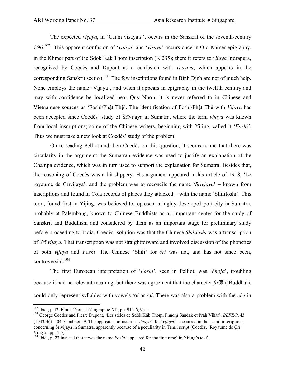The expected *visaya*, in 'Caum visayaü', occurs in the Sanskrit of the seventh-century C96.<sup>[102](#page-41-0)</sup> This apparent confusion of '*vijaya*' and '*visaya*' occurs once in Old Khmer epigraphy, in the Khmer part of the Sdok Kak Thom inscription (K.235); there it refers to *vijaya* Indrapura, recognized by Coedès and Dupont as a confusion with *vi s aya*, which appears in the corresponding Sanskrit section.<sup>[103](#page-41-1)</sup> The few inscriptions found in Bình Định are not of much help. None employs the name 'Vijaya', and when it appears in epigraphy in the twelfth century and may with confidence be localized near Quy Nhơn, it is never referred to in Chinese and Vietnamese sources as 'Foshi/Phật Thệ'. The identification of Foshi/Phật Thệ with *Vijaya* has been accepted since Coedès' study of Śrīvijaya in Sumatra, where the term *vijaya* was known from local inscriptions; some of the Chinese writers, beginning with Yijing, called it '*Foshi'*. Thus we must take a new look at Coedès' study of the problem.

 On re-reading Pelliot and then Coedès on this question, it seems to me that there was circularity in the argument: the Sumatran evidence was used to justify an explanation of the Champa evidence, which was in turn used to support the explanation for Sumatra. Besides that, the reasoning of Coedès was a bit slippery. His argument appeared in his article of 1918, 'Le royaume de Çrīvijaya', and the problem was to reconcile the name '*Srīvjaya*' – known from inscriptions and found in Cola records of places they attacked – with the name 'Shilifoshi'. This term, found first in Yijing, was believed to represent a highly developed port city in Sumatra, probably at Palembang, known to Chinese Buddhists as an important center for the study of Sanskrit and Buddhism and considered by them as an important stage for preliminary study before proceeding to India. Coedès' solution was that the Chinese *Shilifoshi* was a transcription of *Srī vijaya.* That transcription was not straightforward and involved discussion of the phonetics of both *vijaya* and *Foshi*. The Chinese 'Shili' for *śrī* was not, and has not since been, controversial.<sup>[104](#page-41-2)</sup>

 The first European interpretation of '*Foshi*', seen in Pelliot, was '*bhoja*', troubling because it had no relevant meaning, but there was agreement that the character *fo*佛 ('Buddha'), could only represent syllables with vowels /o/ or /u/. There was also a problem with the *che* in

<span id="page-41-1"></span><span id="page-41-0"></span><sup>&</sup>lt;sup>102</sup> Ibid., p.42; Finot, 'Notes d'épigraphie XI', pp. 915-6, 921.<br><sup>103</sup> George Coedès and Pierre Dupont, 'Les stèles de Sdòk Kăk Thom, Phnom Sandak et Práḥ Vihãr', *BEFEO*, 43 (1943-46): 104-5 and note 9. The opposite confusion – '*viàaya*' for '*vijaya*' – occurred in the Tamil inscriptions concerning Śrīvijaya in Sumatra, apparently because of a peculiarity in Tamil script (Coedès, 'Royaume de Çrī Vijaya', pp. 4-5).

<span id="page-41-2"></span><sup>104</sup> Ibid., p. 23 insisted that it was the name *Foshi* 'appeared for the first time' in Yijing's text'.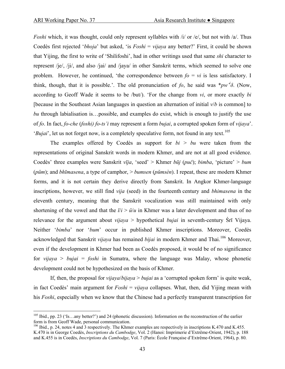*Foshi* which, it was thought, could only represent syllables with /i/ or /e/, but not with /a/. Thus Coedès first rejected '*bhoja*' but asked, 'is *Foshi* = *vijaya* any better?' First, it could be shown that Yijing, the first to write of 'Shilifoshi', had in other writings used that same *shi* character to represent /je/, /ji/, and also /jai/ and /jaya/ in other Sanskrit terms, which seemed to solve one problem. However, he continued, 'the correspondence between  $fo = vi$  is less satisfactory. I think, though, that it is possible.'. The old pronunciation of *fo*, he said was  $*pw^{i}\delta$ . (Now, according to Geoff Wade it seems to be /but/). 'For the change from *vi*, or more exactly *bi* [because in the Southeast Asian languages in question an alternation of initial *v*/*b* is common] to *bu* through labialisation is…possible, and examples do exist, which is enough to justify the use of *fo*. In fact, *fo-che* (*foshi) fo-ts'i* may represent a form *bujai*, a corrupted spoken form of *vijaya*'. '*Bujai*', let us not forget now, is a completely speculative form, not found in any text.<sup>[105](#page-42-0)</sup>

 The examples offered by Coedès as support for *bi* > *bu* were taken from the representations of original Sanskrit words in modern Khmer, and are not at all good evidence. Coedès' three examples were Sanskrit *vīja*, 'seed' > Khmer *būj* (*puč*); *bimba*, 'picture' > *bum* (*pŭm*); and *bhīmasena*, a type of camphor, > *bumsen* (*pŭmsèn*). I repeat, these are modern Khmer forms, and it is not certain they derive directly from Sanskrit. In Angkor Khmer-language inscriptions, however, we still find *vija* (seed) in the fourteenth century and *bhimasena* in the eleventh century, meaning that the Sanskrit vocalization was still maintained with only shortening of the vowel and that the  $\bar{i}/i > \bar{i}/u$  in Khmer was a later development and thus of no relevance for the argument about *vijaya* > hypothetical *bujai* in seventh-century Śrī Vijaya. Neither '*bimba*' nor '*bum*' occur in published Khmer inscriptions. Moreover, Coedès acknowledged that Sanskrit *vijaya* has remained *bijai* in modern Khmer and Thai.<sup>[106](#page-42-1)</sup> Moreover, even if the development in Khmer had been as Coedès proposed, it would be of no significance for *vijaya* > *bujai* = *foshi* in Sumatra, where the language was Malay, whose phonetic development could not be hypothesized on the basis of Khmer.

 If, then, the proposal for *vijaya*/*bijaya* > *bujai* as a 'corrupted spoken form' is quite weak, in fact Coedès' main argument for *Foshi* = *vijaya* collapses. What, then, did Yijing mean with his *Foshi*, especially when we know that the Chinese had a perfectly transparent transcription for

<span id="page-42-0"></span><sup>&</sup>lt;sup>105</sup> Ibid., pp. 23 ('Is.., any better?') and 24 (phonetic discussion). Information on the reconstruction of the earlier form is from Geoff Wade, personal communication.

<span id="page-42-1"></span> $106$  Ibid., p. 24, notes 4 and 3 respectively. The Khmer examples are respectively in inscriptions K.470 and K.455. K.470 is in George Coedès, *Inscriptions du Cambodge*, Vol. 2 (Hanoi: Imprimerie d'Extrême-Orient, 1942), p. 188 and K.455 is in Coedès, *Inscriptions du Cambodge*, Vol. 7 (Paris: École Française d'Extrême-Orient, 1964), p. 80.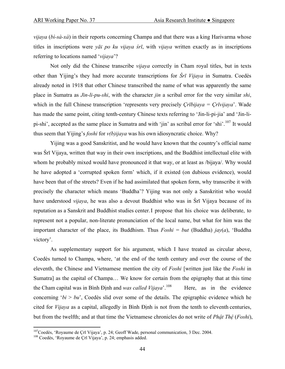*vijaya* (*bì-sà-xà*) in their reports concerning Champa and that there was a king Harivarma whose titles in inscriptions were *yāï po ku vijaya śrī*, with *vijaya* written exactly as in inscriptions referring to locations named '*vijaya*'?

 Not only did the Chinese transcribe *vijaya* correctly in Cham royal titles, but in texts other than Yijing's they had more accurate transcriptions for *Śrī Vijaya* in Sumatra. Coedès already noted in 1918 that other Chinese transcribed the name of what was apparently the same place in Sumatra as *Jin-li-pu-shi*, with the character *jin* a scribal error for the very similar *shi*, which in the full Chinese transcription 'represents very precisely *Çrībijaya = Çrīvijaya*'. Wade has made the same point, citing tenth-century Chinese texts referring to 'Jin-li-pi-jia' and 'Jin-lipi-shi', accepted as the same place in Sumatra and with 'jin' as scribal error for 'shi'.[107](#page-43-0) It would thus seem that Yijing's *foshi* for *v(b)ijaya* was his own idiosyncratic choice. Why?

 Yijing was a good Sanskritist, and he would have known that the country's official name was Śrī Vijaya, written that way in their own inscriptions, and the Buddhist intellectual elite with whom he probably mixed would have pronounced it that way, or at least as /bijaya/. Why would he have adopted a 'corrupted spoken form' which, if it existed (on dubious evidence), would have been that of the streets? Even if he had assimilated that spoken form, why transcribe it with precisely the character which means 'Buddha'? Yijing was not only a Sanskritist who would have understood *vijaya*, he was also a devout Buddhist who was in Śrī Vijaya because of its reputation as a Sanskrit and Buddhist studies center. I propose that his choice was deliberate, to represent not a popular, non-literate pronunciation of the local name, but what for him was the important character of the place, its Buddhism. Thus *Foshi* = *but* (Buddha) *jay*(*a*), 'Buddha victory'.

 As supplementary support for his argument, which I have treated as circular above, Coedès turned to Champa, where, 'at the end of the tenth century and over the course of the eleventh, the Chinese and Vietnamese mention the city of *Foshi* [written just like the *Foshi* in Sumatra] as the capital of Champa… We know for certain from the epigraphy that at this time the Cham capital was in Bình Định and *was called Vijaya*<sup>'. [108](#page-43-1)</sup> Here, as in the evidence concerning ' $bi > bu$ ', Coedès slid over some of the details. The epigraphic evidence which he cited for *Vijaya* as a capital, allegedly in Bình Ðịnh is not from the tenth to eleventh centuries, but from the twelfth; and at that time the Vietnamese chronicles do not write of *Phật Thệ* (*Foshi*),

1

<span id="page-43-0"></span><sup>&</sup>lt;sup>107</sup>Coedès, 'Royaume de Çrī Vijaya', p. 24; Geoff Wade, personal communication, 3 Dec. 2004.<br><sup>108</sup> Coedès, 'Royaume de Çrī Vijaya', p. 24; emphasis added.

<span id="page-43-1"></span>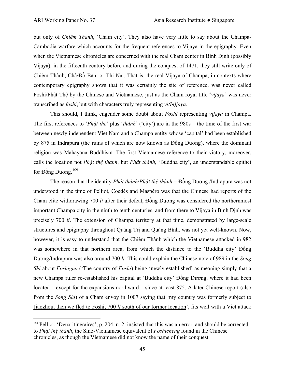but only of *Chiêm Thành*, 'Cham city'. They also have very little to say about the Champa-Cambodia warfare which accounts for the frequent references to Vijaya in the epigraphy. Even when the Vietnamese chronicles are concerned with the real Cham center in Bình Đinh (possibly Vijaya), in the fifteenth century before and during the conquest of 1471, they still write only of Chiêm Thành, Chà/Đồ Bàn, or Thị Nai. That is, the real Vijaya of Champa, in contexts where contemporary epigraphy shows that it was certainly the site of reference, was never called Foshi/Phật Thệ by the Chinese and Vietnamese, just as the Cham royal title '*vijaya*' was never transcribed as *foshi*, but with characters truly representing *vi(bi)jaya*.

 This should, I think, engender some doubt about *Foshi* representing *vijaya* in Champa. The first references to '*Phật thệ*' plus '*thành*' ('city') are in the 980s – the time of the first war between newly independent Viet Nam and a Champa entity whose 'capital' had been established by 875 in Indrapura (the ruins of which are now known as Đồng Dương), where the dominant religion was Mahayana Buddhism. The first Vietnamese reference to their victory, moreover, calls the location not *Phật thệ thành*, but *Phật thành*, 'Buddha city', an understandable epithet for Đồng Dương.<sup>[109](#page-44-0)</sup>

 The reason that the identity *Phật thành*/*Phật thệ thành* = Đồng Dương /Indrapura was not understood in the time of Pelliot, Coedès and Maspéro was that the Chinese had reports of the Cham elite withdrawing 700 *li* after their defeat, Đồng Dương was considered the northernmost important Champa city in the ninth to tenth centuries, and from there to Vijaya in Bình Ðịnh was precisely 700 *li*. The extension of Champa territory at that time, demonstrated by large-scale structures and epigraphy throughout Quảng Trị and Quảng Bình, was not yet well-known. Now, however, it is easy to understand that the Chiêm Thành which the Vietnamese attacked in 982 was somewhere in that northern area, from which the distance to the 'Buddha city' Đồng Dương/Indrapura was also around 700 *li*. This could explain the Chinese note of 989 in the *Song Shi* about *Foshiguo* ('The country of *Foshi*) being 'newly established' as meaning simply that a new Champa ruler re-established his capital at 'Buddha city' Đồng Dương, where it had been located – except for the expansions northward – since at least 875. A later Chinese report (also from the *Song Shi*) of a Cham envoy in 1007 saying that 'my country was formerly subject to Jiaozhou, then we fled to Foshi, 700 *li* south of our former location', fits well with a Viet attack

<span id="page-44-0"></span><sup>109</sup> Pelliot, 'Deux itinéraires', p. 204, n. 2, insisted that this was an error, and should be corrected to *Phật thệ thành*, the Sino-Vietnamese equivalent of *Foshicheng* found in the Chinese chronicles, as though the Vietnamese did not know the name of their conquest.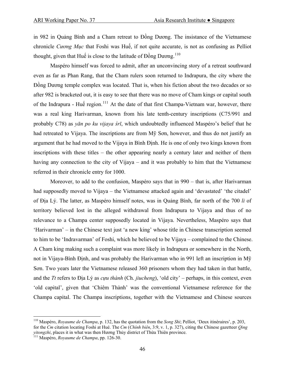in 982 in Quảng Bình and a Cham retreat to Đồng Dương. The insistance of the Vietnamese chronicle *Cương Mục* that Foshi was Huế, if not quite accurate, is not as confusing as Pelliot thought, given that Huế is close to the latitude of  $\vec{D}$ ong Dương.<sup>[110](#page-45-0)</sup>

 Maspéro himself was forced to admit, after an unconvincing story of a retreat southward even as far as Phan Rang, that the Cham rulers soon returned to Indrapura, the city where the Đồng Dương temple complex was located. That is, when his fiction about the two decades or so after 982 is bracketed out, it is easy to see that there was no move of Cham kings or capital south of the Indrapura - Huế region.<sup>[111](#page-45-1)</sup> At the date of that first Champa-Vietnam war, however, there was a real king Harivarman, known from his late tenth-century inscriptions (C75/991 and probably C78) as *yān po ku vijaya śrī*, which undoubtedly influenced Maspéro's belief that he had retreated to Vijaya. The inscriptions are from Mỹ Sơn, however, and thus do not justify an argument that he had moved to the Vijaya in Bình Ðịnh. He is one of only two kings known from inscriptions with these titles – the other appearing nearly a century later and neither of them having any connection to the city of Vijaya – and it was probably to him that the Vietnamese referred in their chronicle entry for 1000.

 Moreover, to add to the confusion, Maspéro says that in 990 – that is, after Harivarman had supposedly moved to Vijaya – the Vietnamese attacked again and 'devastated' 'the citadel' of Địa Lý. The latter, as Maspéro himself notes, was in Quảng Bình, far north of the 700 *li* of territory believed lost in the alleged withdrawal from Indrapura to Vijaya and thus of no relevance to a Champa center supposedly located in Vijaya. Nevertheless, Maspéro says that 'Harivarman' – in the Chinese text just 'a new king' whose title in Chinese transcription seemed to him to be 'Indravarman' of Foshi, which he believed to be Vijaya – complained to the Chinese. A Cham king making such a complaint was more likely in Indrapura or somewhere in the North, not in Vijaya-Bình Ðịnh, and was probably the Harivarman who in 991 left an inscription in Mỹ Sơn. Two years later the Vietnamese released 360 prisoners whom they had taken in that battle, and the *Tt* refers to Địa Lý as *cựu thành* (Ch. *jiucheng*), 'old city' – perhaps, in this context, even 'old capital', given that 'Chiêm Thành' was the conventional Vietnamese reference for the Champa capital. The Champa inscriptions, together with the Vietnamese and Chinese sources

<span id="page-45-0"></span><sup>110</sup> Maspéro, *Royaume de Champa*, p. 132, has the quotation from the *Song Shi*; Pelliot, 'Deux itinéraires', p. 203, for the *Cm* citation locating Foshi at Hué. The *Cm* (*Chính biên*, 3:9, v. 1, p. 327), citing the Chinese gazetteer *Qing yitongzhi*, places it in what was then Hương Thủy district of Thừa Thiên province. 111 Maspéro, *Royaume de Champa*, pp. 126-30.

<span id="page-45-1"></span>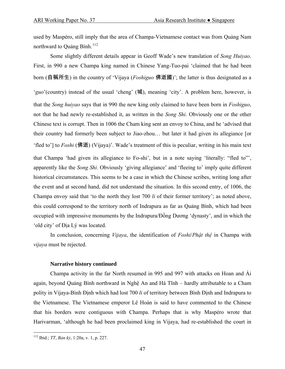used by Maspéro, still imply that the area of Champa-Vietnamese contact was from Quảng Nam northward to Quảng Bình.<sup>[112](#page-46-0)</sup>

 Some slightly different details appear in Geoff Wade's new translation of *Song Huiyao*. First, in 990 a new Champa king named in Chinese Yang-Tuo-pai 'claimed that he had been born (自稱所生) in the country of 'Vijaya (*Foshiguo* 佛逝國)'; the latter is thus designated as a '*guo*'(country) instead of the usual 'cheng' (城), meaning 'city'. A problem here, however, is that the *Song huiyao* says that in 990 the new king only claimed to have been born in *Foshiguo*, not that he had newly re-established it, as written in the *Song Shi*. Obviously one or the other Chinese text is corrupt. Then in 1006 the Cham king sent an envoy to China, and he 'advised that their country had formerly been subject to Jiao-zhou… but later it had given its allegiance [or 'fled to'] to *Foshi* (佛逝) (Vijaya)'. Wade's treatment of this is peculiar, writing in his main text that Champa 'had given its allegiance to Fo-shi', but in a note saying 'literally: "fled to"', apparently like the *Song Shi*. Obviously 'giving allegiance' and 'fleeing to' imply quite different historical circumstances. This seems to be a case in which the Chinese scribes, writing long after the event and at second hand, did not understand the situation. In this second entry, of 1006, the Champa envoy said that 'to the north they lost 700 *li* of their former territory'; as noted above, this could correspond to the territory north of Indrapura as far as Quảng Bình, which had been occupied with impressive monuments by the Indrapura/Đồng Dương 'dynasty', and in which the 'old city' of Địa Lý was located.

 In conclusion, concerning *Vijaya*, the identification of *Foshi*/*Phật thệ* in Champa with *vijaya* must be rejected.

## **Narrative history continued**

 Champa activity in the far North resumed in 995 and 997 with attacks on Hoan and Ái again, beyond Quảng Bình northward in Nghệ An and Hà Tĩnh – hardly attributable to a Cham polity in Vijaya-Bình Ðịnh which had lost 700 *li* of territory between Bình Ðịnh and Indrapura to the Vietnamese. The Vietnamese emperor Lê Hoàn is said to have commented to the Chinese that his borders were contiguous with Champa. Perhaps that is why Maspéro wrote that Harivarman, 'although he had been proclaimed king in Vijaya, had re-established the court in

<span id="page-46-0"></span><sup>112</sup> Ibid.; *TT*, *Bản kỷ*, 1:20a, v. 1, p. 227.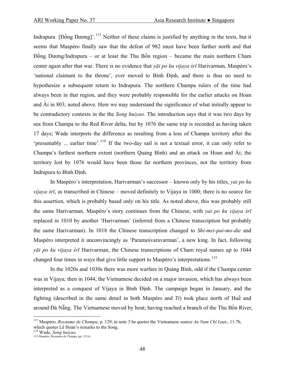Indrapura [Đồng Dương]'.<sup>[113](#page-47-0)</sup> Neither of these claims is justified by anything in the texts, but it seems that Maspéro finally saw that the defeat of 982 must have been farther north and that Đồng Dương/Indrapura – or at least the Thu Bồn region – became the main northern Cham center again after that war. There is no evidence that *yāï po ku vijaya śrī* Harivarman, Maspéro's 'national claimant to the throne', ever moved to Bình Ðịnh, and there is thus no need to hypothesize a subsequent return to Indrapura. The northern Champa rulers of the time had always been in that region, and they were probably responsible for the earlier attacks on Hoan and Ái in 803, noted above. Here we may understand the significance of what initially appear to be contradictory contexts in the the *Song huiyao*. The introduction says that it was two days by sea from Champa to the Red River delta, but by 1076 the same trip is recorded as having taken 17 days; Wade interprets the difference as resulting from a loss of Champa territory after the 'presumably ... earlier time'.<sup>[114](#page-47-1)</sup> If the two-day sail is not a textual error, it can only refer to Champa's farthest northern extent (northern Quảng Bình) and an attack on Hoan and Ái; the territory lost by 1076 would have been those far northern provinces, not the territory from Indrapura to Bình Ðịnh.

 In Maspéro's interpretation, Harivarman's successor – known only by his titles, *yaï po ku vijaya śrī*, as transcribed in Chinese – moved definitely to Vijaya in 1000; there is no source for this assertion, which is probably based only on his title. As noted above, this was probably still the same Harivarman. Maspéro's story continues from the Chinese, with *yaï po ku vijaya śrī* replaced in 1010 by another 'Harivarman' (inferred from a Chinese transcription but probably the same Harivarman). In 1018 the Chinese transcription changed to *Shi-mei-pai-mo-die* and Maspéro interpreted it unconvincingly as 'Parameśvaravarman', a new king. In fact, following *yāï po ku vijaya śrī* Harivarman, the Chinese transcriptions of Cham royal names up to 1044 changed four times in ways that give little support to Maspéro's interpretations.<sup>[115](#page-47-2)</sup>

 In the 1020s and 1030s there was more warfare in Quảng Bình, odd if the Champa center was in Vijaya; then in 1044, the Vietnamese decided on a major invasion, which has always been interpreted as a conquest of Vijaya in Bình Ðịnh. The campaign began in January, and the fighting (described in the same detail in both Maspéro and *Tt*) took place north of Huế and around Đà Nẵng. The Vietnamese moved by boat; having reached a branch of the Thu Bồn River,

<span id="page-47-0"></span><sup>113</sup> Maspéro, *Royaume de Champa*, p. 129; in note 3 he quotes the Vietnamese source *An Nam Chí Lược*, 11:7b, which quotes Lê Hoàn's remarks to the Song.

<span id="page-47-2"></span>

<span id="page-47-1"></span><sup>114</sup> Wade, *Song huiyao*. 115 Maspéro, Royaume de Champa, pp. 133-6.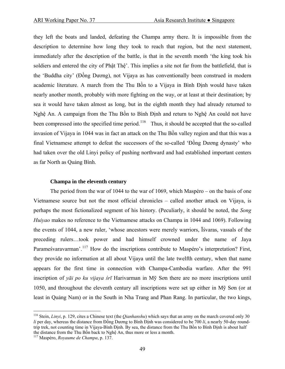they left the boats and landed, defeating the Champa army there. It is impossible from the description to determine how long they took to reach that region, but the next statement, immediately after the description of the battle, is that in the seventh month 'the king took his soldiers and entered the city of Phật Thệ'. This implies a site not far from the battlefield, that is the 'Buddha city' (Đồng Dương), not Vijaya as has conventionally been construed in modern academic literature. A march from the Thu Bồn to a Vijaya in Bình Ðịnh would have taken nearly another month, probably with more fighting on the way, or at least at their destination; by sea it would have taken almost as long, but in the eighth month they had already returned to Nghệ An. A campaign from the Thu Bồn to Bình Ðịnh and return to Nghệ An could not have been compressed into the specified time period.<sup>116</sup> Thus, it should be accepted that the so-called invasion of Vijaya in 1044 was in fact an attack on the Thu Bồn valley region and that this was a final Vietnamese attempt to defeat the successors of the so-called 'Đồng Dương dynasty' who had taken over the old Linyi policy of pushing northward and had established important centers as far North as Quảng Bình.

## **Champa in the eleventh century**

 The period from the war of 1044 to the war of 1069, which Maspéro – on the basis of one Vietnamese source but not the most official chronicles – called another attack on Vijaya, is perhaps the most fictionalized segment of his history. (Peculiarly, it should be noted, the *Song Huiyao* makes no reference to the Vietnamese attacks on Champa in 1044 and 1069). Following the events of 1044, a new ruler, 'whose ancestors were merely warriors, Īśvaras, vassals of the preceding rulers…took power and had himself crowned under the name of Jaya Parameśvaravarman'.<sup>[117](#page-48-1)</sup> How do the inscriptions contribute to Maspéro's interpretation? First, they provide no information at all about Vijaya until the late twelfth century, when that name appears for the first time in connection with Champa-Cambodia warfare. After the 991 inscription of *yāï po ku vijaya śrī* Harivarman in Mỹ Sơn there are no more inscriptions until 1050, and throughout the eleventh century all inscriptions were set up either in Mỹ Sơn (or at least in Quảng Nam) or in the South in Nha Trang and Phan Rang. In particular, the two kings,

<span id="page-48-0"></span><sup>116</sup> Stein, *Linyi*, p. 129, cites a Chinese text (the *Qianhanshu*) which says that an army on the march covered only 30 *li* per day, whereas the distance from Đồng Dương to Bình Ðịnh was considered to be 700 *li*, a nearly 50-day roundtrip trek, not counting time in Vijaya-Bình Ðịnh. By sea, the distance from the Thu Bồn to Bình Ðịnh is about half the distance from the Thu Bồn back to Nghệ An, thus more or less a month. 117 Maspéro, *Royaume de Champa*, p. 137.

<span id="page-48-1"></span>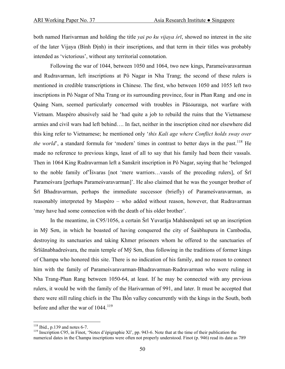both named Harivarman and holding the title *yaï po ku vijaya śrī*, showed no interest in the site of the later Vijaya (Bình Ðịnh) in their inscriptions, and that term in their titles was probably intended as 'victorious', without any territorial connotation.

 Following the war of 1044, between 1050 and 1064, two new kings, Parameśvaravarman and Rudravarman, left inscriptions at Pô Nagar in Nha Trang; the second of these rulers is mentioned in credible transcriptions in Chinese. The first, who between 1050 and 1055 left two inscriptions in Pô Nagar of Nha Trang or its surrounding province, four in Phan Rang and one in Quảng Nam, seemed particularly concerned with troubles in Pāõóuraïga, not warfare with Vietnam. Maspéro abusively said he 'had quite a job to rebuild the ruins that the Vietnamese armies and civil wars had left behind…. In fact, neither in the inscription cited nor elsewhere did this king refer to Vietnamese; he mentioned only '*this Kali age where Conflict holds sway over the world*', a standard formula for 'modern' times in contrast to better days in the past.<sup>[118](#page-49-0)</sup> He made no reference to previous kings, least of all to say that his family had been their vassals. Then in 1064 King Rudravarman left a Sanskrit inscription in Pô Nagar, saying that he 'belonged to the noble family of'Īśvaras [not 'mere warriors…vassls of the preceding rulers], of Śrī Parameśvara [perhaps Parameśvaravarman]'. He also claimed that he was the younger brother of Śrī Bhadravarman, perhaps the immediate successor (briefly) of Parameśvaravarman, as reasonably interpreted by Maspéro – who added without reason, however, that Rudravarman 'may have had some connection with the death of his older brother'.

 In the meantime, in C95/1056, a certain Śrī Yuvarāja Mahāsenāpati set up an inscription in Mỹ Sơn, in which he boasted of having conquered the city of Śaübhupura in Cambodia, destroying its sanctuaries and taking Khmer prisoners whom he offered to the sanctuaries of Śrīśānabhadreśvara, the main temple of Mỹ Sơn, thus following in the traditions of former kings of Champa who honored this site. There is no indication of his family, and no reason to connect him with the family of Parameśvaravarman-Bhadravarman-Rudravarman who were ruling in Nha Trang-Phan Rang between 1050-64, at least. If he may be connected with any previous rulers, it would be with the family of the Harivarman of 991, and later. It must be accepted that there were still ruling chiefs in the Thu Bồn valley concurrently with the kings in the South, both before and after the war of  $1044$ <sup>[119](#page-49-1)</sup>

<span id="page-49-1"></span><span id="page-49-0"></span><sup>&</sup>lt;sup>118</sup> Ibid., p.139 and notes 6-7.<br><sup>119</sup> Inscription C95, in Finot, 'Notes d'épigraphie XI', pp. 943-6. Note that at the time of their publication the numerical dates in the Champa inscriptions were often not properly understood. Finot (p. 946) read its date as 789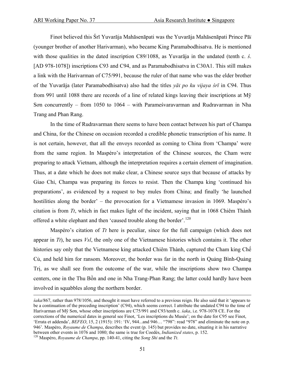Finot believed this Śrī Yuvarāja Mahāsenāpati was the Yuvarāja Mahāsenāpati Prince Pāï (younger brother of another Harivarman), who became King Paramabodhisatva. He is mentioned with those qualities in the dated inscription C89/1088, as Yuvarāja in the undated (tenth c. *ś*. [AD 978-1078]) inscriptions C93 and C94, and as Paramabodhisatva in C30A1. This still makes a link with the Harivarman of C75/991, because the ruler of that name who was the elder brother of the Yuvarāja (later Paramabodhisatva) also had the titles *yāï po ku vijaya śrī* in C94. Thus from 991 until 1088 there are records of a line of related kings leaving their inscriptions at Mỹ Sơn concurrently – from 1050 to 1064 – with Parameśvaravarman and Rudravarman in Nha Trang and Phan Rang.

 In the time of Rudravarman there seems to have been contact between his part of Champa and China, for the Chinese on occasion recorded a credible phonetic transcription of his name. It is not certain, however, that all the envoys recorded as coming to China from 'Champa' were from the same region. In Maspéro's interpretation of the Chinese sources, the Cham were preparing to attack Vietnam, although the interpretation requires a certain element of imagination. Thus, at a date which he does not make clear, a Chinese source says that because of attacks by Giao Chỉ, Champa was preparing its forces to resist. Then the Champa king 'continued his preparations', as evidenced by a request to buy mules from China; and finally 'he launched hostilities along the border' – the provocation for a Vietnamese invasion in 1069. Maspéro's citation is from *Tt*, which in fact makes light of the incident, saying that in 1068 Chiêm Thành offered a white elephant and then 'caused trouble along the border'.<sup>[120](#page-50-0)</sup>

 Maspéro's citation of *Tt* here is peculiar, since for the full campaign (which does not appear in *Tt*), he uses *Vsl*, the only one of the Vietnamese histories which contains it. The other histories say only that the Vietnamese king attacked Chiêm Thành, captured the Cham king Chế Củ, and held him for ransom. Moreover, the border was far in the north in Quảng Bình-Quảng Trị, as we shall see from the outcome of the war, while the inscriptions show two Champa centers, one in the Thu Bồn and one in Nha Trang-Phan Rang; the latter could hardly have been involved in squabbles along the northern border.

<span id="page-50-0"></span>*śaka*/867, rather than 978/1056, and thought it must have referred to a previous reign. He also said that it 'appears to be a continuation of the preceding inscription' (C94), which seems correct. I attribute the undated C94 to the time of Harivarman of Mỹ Sơn, whose other inscriptions are C75/991 and C93/tenth c. *śaka*, i.e. 978-1078 CE. For the corrections of the numerical dates in general see Finot, 'Les inscriptions du Musée'; on the date for C95 see Finot, 'Errata et addenda', *BEFEO*, 15, 2 (1915): 191: 'IV, 944...and 946… "798": read "978" and eliminate the note on p. 946'. Maspéro, *Royaume de Champa*, describes the event (p. 145) but provides no date, situating it in his narrative between other events in 1076 and 1080; the same is true for Coedès, *Indianized states*, p. 152. 120 Maspéro, *Royaume de Champa*, pp. 140-41, citing the *Song Shi* and the *Tt*.

<sup>51</sup>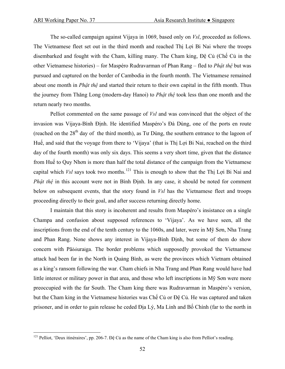The so-called campaign against Vijaya in 1069, based only on *Vsl*, proceeded as follows. The Vietnamese fleet set out in the third month and reached Thị Lợi Bi Nai where the troops disembarked and fought with the Cham, killing many. The Cham king, Ðệ Củ (Chế Củ in the other Vietnamese histories) – for Maspéro Rudravarman of Phan Rang – fled to *Phật thệ* but was pursued and captured on the border of Cambodia in the fourth month. The Vietnamese remained about one month in *Phật thệ* and started their return to their own capital in the fifth month. Thus the journey from Thăng Long (modern-day Hanoi) to *Phật thệ* took less than one month and the return nearly two months.

 Pelliot commented on the same passage of *Vsl* and was convinced that the object of the invasion was Vijaya-Bình Ðịnh. He identified Maspéro's Ðà Dùng, one of the ports en route (reached on the  $28<sup>th</sup>$  day of the third month), as Tu Dùng, the southern entrance to the lagoon of Huế, and said that the voyage from there to 'Vijaya' (that is Thị Lợi Bi Nai, reached on the third day of the fourth month) was only six days. This seems a very short time, given that the distance from Huế to Quy Nhơn is more than half the total distance of the campaign from the Vietnamese capital which *Vsl* says took two months.<sup>[121](#page-51-0)</sup> This is enough to show that the Thi Loi Bi Nai and *Phật thệ* in this account were not in Bình Ðịnh. In any case, it should be noted for comment below on subsequent events, that the story found in *Vsl* has the Vietnamese fleet and troops proceeding directly to their goal, and after success returning directly home.

 I maintain that this story is incoherent and results from Maspéro's insistance on a single Champa and confusion about supposed references to 'Vijaya'. As we have seen, all the inscriptions from the end of the tenth century to the 1060s, and later, were in Mỹ Sơn, Nha Trang and Phan Rang. None shows any interest in Vijaya-Bình Ðịnh, but some of them do show concern with Pāõóuraïga. The border problems which supposedly provoked the Vietnamese attack had been far in the North in Quảng Bình, as were the provinces which Vietnam obtained as a king's ransom following the war. Cham chiefs in Nha Trang and Phan Rang would have had little interest or military power in that area, and those who left inscriptions in Mỹ Sơn were more preoccupied with the far South. The Cham king there was Rudravarman in Maspéro's version, but the Cham king in the Vietnamese histories was Chế Củ or Ðệ Củ. He was captured and taken prisoner, and in order to gain release he ceded Ðịa Lý, Ma Linh and Bố Chính (far to the north in

<span id="page-51-0"></span><sup>&</sup>lt;sup>121</sup> Pelliot, 'Deux itinéraires', pp. 206-7. Đệ Củ as the name of the Cham king is also from Pelliot's reading.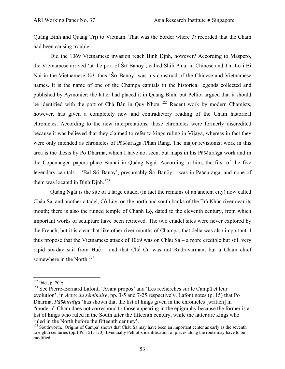Quảng Bình and Quảng Trị) to Vietnam. That was the border where *Tt* recorded that the Cham had been causing trouble.

 Did the 1069 Vietnamese invasion reach Bình Ðịnh, however? According to Maspéro, the Vietnamese arrived 'at the port of Śrī Banöy', called Shili Pinai in Chinese and Thị Lợ'i Bi Nai in the Vietnamese *Vsl*; thus 'Śrī Banöy' was his construal of the Chinese and Vietnamese names. It is the name of one of the Champa capitals in the historical legends collected and published by Aymonier; the latter had placed it in Quảng Bình, but Pelliot argued that it should be identified with the port of Chà Bàn in Quy Nhon.<sup>[122](#page-52-0)</sup> Recent work by modern Chamists, however, has given a completely new and contradictory reading of the Cham historical chronicles. According to the new interpretations, those chronicles were formerly discredited because it was believed that they claimed to refer to kings ruling in Vijaya, whereas in fact they were only intended as chronicles of Pāõóuraïga /Phan Rang. The major revisionist work in this area is the thesis by Po Dharma, which I have not seen, but maps in his Pāõóuraïga work and in the Copenhagen papers place Binnai in Quảng Ngãi. According to him, the first of the five legendary capitals – 'Bal Sri Banay', presumably Śrī Banöy – was in Pāõóuraïga, and none of them was located in Bình Định.<sup>[123](#page-52-1)</sup>

 Quảng Ngãi is the site of a large citadel (in fact the remains of an ancient city) now called Châu Sa, and another citadel, Cổ Lũy, on the north and south banks of the Trà Khúc river near its mouth; there is also the ruined temple of Chánh Lộ, dated to the eleventh century, from which important works of sculpture have been retrieved. The two citadel sites were never explored by the French, but it is clear that like other river mouths of Champa, that delta was also important. I thus propose that the Vietnamese attack of 1069 was on Châu Sa – a more credible but still very rapid six-day sail from Huế – and that Chế Củ was not Rudravarman, but a Cham chief somewhere in the North.<sup>[124](#page-52-2)</sup>

<span id="page-52-0"></span> $122$  Ibid., p. 209;

<span id="page-52-1"></span><sup>&</sup>lt;sup>123</sup> See Pierre-Bernard Lafont, 'Avant propos' and 'Les recherches sur le Campā et leur évolution', in *Actes du séminaire*, pp. 3-5 and 7-25 respectively. Lafont notes (p. 15) that Po Dharma, *Pāõóuraïga* 'has shown that the list of kings given in the chronicles [written] in "modern" Cham does not correspond to those appearing in the epigraphy because the former is a list of kings who ruled in the South after the fifteenth century, while the latter are kings who ruled in the North before the fifteenth century'.

<span id="page-52-2"></span><sup>&</sup>lt;sup>124</sup> Southworth, 'Origins of Campa' shows that Châu Sa may have been an important center as early as the seventh to eighth centuries (pp.149, 151, 170). Eventually Pelliot's identification of places along the route may have to be modified.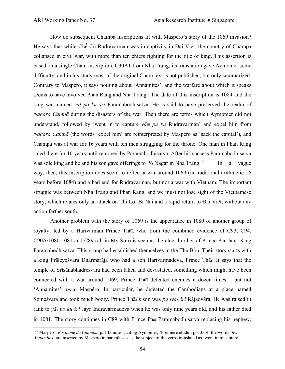How do subsequent Champa inscriptions fit with Maspéro's story of the 1069 invasion? He says that while Chế Củ-Rudravarman was in captivity in Đại Việt, the country of Champa collapsed in civil war, with more than ten chiefs fighting for the title of king. This assertion is based on a single Cham inscription, C30A1 from Nha Trang; its translation gave Aymonier some difficulty, and in his study most of the original Cham text is not published, but only summarized. Contrary to Maspéro, it says nothing about 'Annamites', and the warfare about which it speaks seems to have involved Phan Rang and Nha Trang. The date of this inscription is 1084 and the king was named *yāï po ku śrī* Paramabodhisatva. He is said to have preserved the realm of *Nagara Campā* during the disasters of the war. Then there are terms which Aymonier did not understand, followed by 'went in to capture  $y\bar{a} = pu$  ku Rudravarman' and expel him from *Nagara Campā* (the words 'expel him' are reinterpreted by Maspéro as 'sack the capital'), and Champa was at war for 16 years with ten men struggling for the throne. One man in Phan Rang ruled there for 16 years until removed by Paramabodhisatva. After his success Paramabodhisatva was sole king and he and his son gave offerings to Pô Nagar in Nha Trang.<sup>[125](#page-53-0)</sup> In a vague way, then, this inscription does seem to reflect a war around 1069 (in traditional arithmetic 16 years before 1084) and a bad end for Rudravarman, but not a war with Vietnam. The important struggle was between Nha Trang and Phan Rang, and we must not lose sight of the Vietnamese story, which relates only an attack on Thị Lợi Bi Nai and a rapid return to Đại Việt, without any action farther south.

 Another problem with the story of 1069 is the appearance in 1080 of another group of royalty, led by a Harivarman Prince Thāï, who from the combined evidence of C93, C94, C90A/1080-1081 and C89 (all in Mỹ Sơn) is seen as the elder brother of Prince Pāï, later King Paramabodhisatva. This group had established themselves in the Thu Bồn. Their story starts with a king Prāleyeśvara Dharmarāja who had a son Harivarmadeva, Prince Thāï. It says that the temple of Śrīśānabhadreśvara had been taken and devastated, something which might have been connected with a war around 1069. Prince Thāï defeated enemies a dozen times – but not 'Annamites', *pace* Maspéro. In particular, he defeated the Cambodians at a place named Someśvara and took much booty. Prince Thāï's son was *pu lyaï śrī* Rājadvāra. He was raised in rank to *yāï po ku śrī* Jaya Indravarmadeva when he was only nine years old, and his father died in 1081. The story continues in C89 with Prince Pā≡ Paramabodhisatva replacing his nephew,

<span id="page-53-0"></span><sup>125</sup> Maspéro, *Royaume de Champa*, p. 143 note 1, citing Aymonier, 'Première étude', pp. 33-4; the words '*les Annamites*' are inserted by Maspéro in parentheses as the subject of the verbs translated as 'went in to capture'.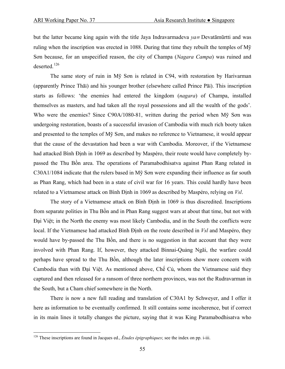but the latter became king again with the title Jaya Indravarmadeva *ya*≡ Devatāmūrtti and was ruling when the inscription was erected in 1088. During that time they rebuilt the temples of Mỹ Sơn because, for an unspecified reason, the city of Champa (*Nagara Campa*) was ruined and deserted.[126](#page-54-0)

 The same story of ruin in Mỹ Sơn is related in C94, with restoration by Harivarman (apparently Prince Thāï) and his younger brother (elsewhere called Prince Pāï). This inscription starts as follows: 'the enemies had entered the kingdom (*nagara*) of Champa, installed themselves as masters, and had taken all the royal possessions and all the wealth of the gods'. Who were the enemies? Since C90A/1080-81, written during the period when Mỹ Sơn was undergoing restoration, boasts of a successful invasion of Cambodia with much rich booty taken and presented to the temples of Mỹ Sơn, and makes no reference to Vietnamese, it would appear that the cause of the devastation had been a war with Cambodia. Moreover, if the Vietnamese had attacked Bình Ðịnh in 1069 as described by Maspéro, their route would have completely bypassed the Thu Bồn area. The operations of Paramabodhisatva against Phan Rang related in C30A1/1084 indicate that the rulers based in Mỹ Sơn were expanding their influence as far south as Phan Rang, which had been in a state of civil war for 16 years. This could hardly have been related to a Vietnamese attack on Bình Ðịnh in 1069 as described by Maspéro, relying on *Vsl*.

 The story of a Vietnamese attack on Bình Ðịnh in 1069 is thus discredited. Inscriptions from separate polities in Thu Bồn and in Phan Rang suggest wars at about that time, but not with Đại Việt; in the North the enemy was most likely Cambodia, and in the South the conflicts were local. If the Vietnamese had attacked Bình Ðịnh on the route described in *Vsl* and Maspéro, they would have by-passed the Thu Bồn, and there is no suggestion in that account that they were involved with Phan Rang. If, however, they attacked Binnai-Quảng Ngãi, the warfare could perhaps have spread to the Thu Bồn, although the later inscriptions show more concern with Cambodia than with Đại Việt. As mentioned above, Chế Củ, whom the Vietnamese said they captured and then released for a ransom of three northern provinces, was not the Rudravarman in the South, but a Cham chief somewhere in the North.

 There is now a new full reading and translation of C30A1 by Schweyer, and I offer it here as information to be eventually confirmed. It still contains some incoherence, but if correct in its main lines it totally changes the picture, saying that it was King Paramabodhisatva who

<span id="page-54-0"></span><sup>126</sup> These inscriptions are found in Jacques ed., *Études épigraphiques*; see the index on pp. i-iii.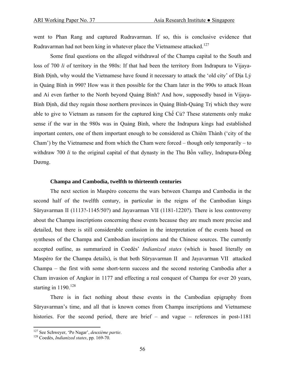went to Phan Rang and captured Rudravarman. If so, this is conclusive evidence that Rudravarman had not been king in whatever place the Vietnamese attacked.<sup>[127](#page-55-0)</sup>

 Some final questions on the alleged withdrawal of the Champa capital to the South and loss of 700 *li* of territory in the 980s: If that had been the territory from Indrapura to Vijaya-Bình Đinh, why would the Vietnamese have found it necessary to attack the 'old city' of Địa Lý in Quảng Bình in 990? How was it then possible for the Cham later in the 990s to attack Hoan and Aí even farther to the North beyond Quảng Bình? And how, supposedly based in Vijaya-Bình Ðịnh, did they regain those northern provinces in Quảng Bình-Quảng Trị which they were able to give to Vietnam as ransom for the captured king Chế Củ? These statements only make sense if the war in the 980s was in Quảng Bình, where the Indrapura kings had established important centers, one of them important enough to be considered as Chiêm Thành ('city of the Cham') by the Vietnamese and from which the Cham were forced – though only temporarily – to withdraw 700 *li* to the original capital of that dynasty in the Thu Bồn valley, Indrapura-Đồng Dương.

## **Champa and Cambodia, twelfth to thirteenth centuries**

 The next section in Maspéro concerns the wars between Champa and Cambodia in the second half of the twelfth century, in particular in the reigns of the Cambodian kings Sūryavarman II (1113?-1145/50?) and Jayavarman VII (1181-1220?). There is less controversy about the Champa inscriptions concerning these events because they are much more precise and detailed, but there is still considerable confusion in the interpretation of the events based on syntheses of the Champa and Cambodian inscriptions and the Chinese sources. The currently accepted outline, as summarized in Coedès' *Indianized states* (which is based literally on Maspéro for the Champa details), is that both Sūryavarman II and Jayavarman VII attacked Champa – the first with some short-term success and the second restoring Cambodia after a Cham invasion of Angkor in 1177 and effecting a real conquest of Champa for over 20 years, starting in  $1190^{128}$  $1190^{128}$  $1190^{128}$ 

 There is in fact nothing about these events in the Cambodian epigraphy from Sūryavarman's time, and all that is known comes from Champa inscriptions and Vietnamese histories. For the second period, there are brief – and vague – references in post-1181

<span id="page-55-0"></span><sup>127</sup> See Schweyer, 'Po Nagar', *deuxième partie*. 128 Coedès, *Indianized states*, pp. 169-70.

<span id="page-55-1"></span>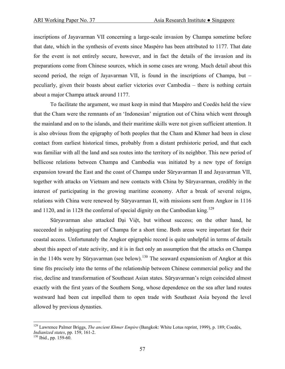inscriptions of Jayavarman VII concerning a large-scale invasion by Champa sometime before that date, which in the synthesis of events since Maspéro has been attributed to 1177. That date for the event is not entirely secure, however, and in fact the details of the invasion and its preparations come from Chinese sources, which in some cases are wrong. Much detail about this second period, the reign of Jayavarman VII, is found in the inscriptions of Champa, but – peculiarly, given their boasts about earlier victories over Cambodia – there is nothing certain about a major Champa attack around 1177.

 To facilitate the argument, we must keep in mind that Maspéro and Coedès held the view that the Cham were the remnants of an 'Indonesian' migration out of China which went through the mainland and on to the islands, and their maritime skills were not given sufficient attention. It is also obvious from the epigraphy of both peoples that the Cham and Khmer had been in close contact from earliest historical times, probably from a distant prehistoric period, and that each was familiar with all the land and sea routes into the territory of its neighbor. This new period of bellicose relations between Champa and Cambodia was initiated by a new type of foreign expansion toward the East and the coast of Champa under Sūryavarman II and Jayavarman VII, together with attacks on Vietnam and new contacts with China by Sūryavarman, credibly in the interest of participating in the growing maritime economy. After a break of several reigns, relations with China were renewed by Sūryavarman II, with missions sent from Angkor in 1116 and 1120, and in 1128 the conferral of special dignity on the Cambodian king.<sup>[129](#page-56-0)</sup>

 Sūryavarman also attacked Đại Việt, but without success; on the other hand, he succeeded in subjugating part of Champa for a short time. Both areas were important for their coastal access. Unfortunately the Angkor epigraphic record is quite unhelpful in terms of details about this aspect of state activity, and it is in fact only an assumption that the attacks on Champa in the 1140s were by Sūryavarman (see below).<sup>[130](#page-56-1)</sup> The seaward expansionism of Angkor at this time fits precisely into the terms of the relationship between Chinese commercial policy and the rise, decline and transformation of Southeast Asian states. Sūryavarman's reign coincided almost exactly with the first years of the Southern Song, whose dependence on the sea after land routes westward had been cut impelled them to open trade with Southeast Asia beyond the level allowed by previous dynasties.

<span id="page-56-0"></span><sup>129</sup> Lawrence Palmer Briggs, *The ancient Khmer Empire* (Bangkok: White Lotus reprint, 1999), p. 189; Coedès, *Indianized states*, pp. 159, 161-2.<br><sup>130</sup> Ibid., pp. 159-60.

<span id="page-56-1"></span>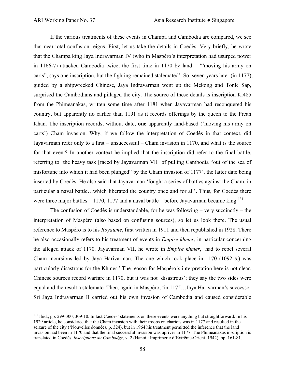If the various treatments of these events in Champa and Cambodia are compared, we see that near-total confusion reigns. First, let us take the details in Coedès. Very briefly, he wrote that the Champa king Jaya Indravarman IV (who in Maspéro's interpretation had usurped power in 1166-7) attacked Cambodia twice, the first time in 1170 by land – '"moving his army on carts", says one inscription, but the fighting remained stalemated'. So, seven years later (in 1177), guided by a shipwrecked Chinese, Jaya Indravarman went up the Mekong and Tonle Sap, surprised the Cambodians and pillaged the city. The source of these details is inscription K.485 from the Phimeanakas, written some time after 1181 when Jayavarman had reconquered his country, but apparently no earlier than 1191 as it records offerings by the queen to the Preah Khan. The inscription records, without date, **one** apparently land-based ('moving his army on carts') Cham invasion. Why, if we follow the interpretation of Coedès in that context, did Jayavarman refer only to a first – unsuccessful – Cham invasion in 1170, and what is the source for that event? In another context he implied that the inscription did refer to the final battle, referring to 'the heavy task [faced by Jayavarman VII] of pulling Cambodia "out of the sea of misfortune into which it had been plunged" by the Cham invasion of 1177', the latter date being inserted by Coedès. He also said that Jayavarman 'fought a series of battles against the Cham, in particular a naval battle…which liberated the country once and for all'. Thus, for Coedès there were three major battles  $-1170$ , 1177 and a naval battle  $-$  before Jayavarman became king.<sup>[131](#page-57-0)</sup>

The confusion of Coedès is understandable, for he was following – very succinctly – the interpretation of Maspéro (also based on confusing sources), so let us look there. The usual reference to Maspéro is to his *Royaume*, first written in 1911 and then republished in 1928. There he also occasionally refers to his treatment of events in *Empire khmer*, in particular concerning the alleged attack of 1170. Jayavarman VII, he wrote in *Empire khmer*, 'had to repel several Cham incursions led by Jaya Harivarman. The one which took place in 1170 (1092 ś.) was particularly disastrous for the Khmer.' The reason for Maspéro's interpretation here is not clear. Chinese sources record warfare in 1170, but it was not 'disastrous'; they say the two sides were equal and the result a stalemate. Then, again in Maspéro, 'in 1175…Jaya Harivarman's successor Sri Jaya Indravarman II carried out his own invasion of Cambodia and caused considerable

<span id="page-57-0"></span> $131$  Ibid., pp. 299-300, 309-10. In fact Coedès' statements on these events were anything but straightforward. In his 1929 article, he considered that the Cham invasion with their troops on chariots was in 1177 and resulted in the seizure of the city ('Nouvelles données, p. 324), but in 1964 his treatment permitted the inference that the land invasion had been in 1170 and that the final successful invasion was upriver in 1177. The Phimeanakas inscription is translated in Coedès, *Inscriptions du Cambodge*, v. 2 (Hanoi : Imprimerie d'Extrême-Orient, 1942), pp. 161-81.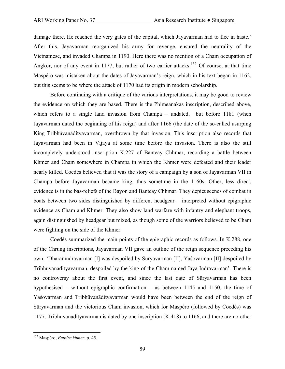damage there. He reached the very gates of the capital, which Jayavarman had to flee in haste.' After this, Jayavarman reorganized his army for revenge, ensured the neutrality of the Vietnamese, and invaded Champa in 1190. Here there was no mention of a Cham occupation of Angkor, nor of any event in 1177, but rather of two earlier attacks.<sup>[132](#page-58-0)</sup> Of course, at that time Maspéro was mistaken about the dates of Jayavarman's reign, which in his text began in 1162, but this seems to be where the attack of 1170 had its origin in modern scholarship.

 Before continuing with a critique of the various interpretations, it may be good to review the evidence on which they are based. There is the Phimeanakas inscription, described above, which refers to a single land invasion from Champa – undated, but before 1181 (when Jayavarman dated the beginning of his reign) and after 1166 (the date of the so-called usurping King Tribhūvanādityavarman, overthrown by that invasion. This inscription also records that Jayavarman had been in Vijaya at some time before the invasion. There is also the still incompletely understood inscription K.227 of Banteay Chhmar, recording a battle between Khmer and Cham somewhere in Champa in which the Khmer were defeated and their leader nearly killed. Coedès believed that it was the story of a campaign by a son of Jayavarman VII in Champa before Jayavarman became king, thus sometime in the 1160s. Other, less direct, evidence is in the bas-reliefs of the Bayon and Banteay Chhmar. They depict scenes of combat in boats between two sides distinguished by different headgear – interpreted without epigraphic evidence as Cham and Khmer. They also show land warfare with infantry and elephant troops, again distinguished by headgear but mixed, as though some of the warriors believed to be Cham were fighting on the side of the Khmer.

 Coedès summarized the main points of the epigraphic records as follows. In K.288, one of the Chrung inscriptions, Jayavarman VII gave an outline of the reign sequence preceding his own: 'Dharanīndravarman [I] was despoiled by Sūryavarman [II], Yaśovarman [II] despoiled by Tribhūvanādityavarman, despoiled by the king of the Cham named Jaya Indravarman'. There is no controversy about the first event, and since the last date of Sūryavarman has been hypothesised – without epigraphic confirmation – as between 1145 and 1150, the time of Yaśovarman and Tribhūvanādityavarman would have been between the end of the reign of Sūryavarman and the victorious Cham invasion, which for Maspéro (followed by Coedès) was 1177. Tribhūvanādityavarman is dated by one inscription (K.418) to 1166, and there are no other

<span id="page-58-0"></span><sup>132</sup> Maspéro, *Empire khmer*, p. 45.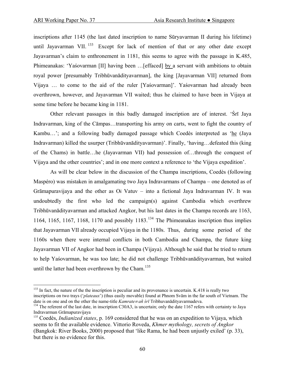inscriptions after 1145 (the last dated inscription to name Sūryavarman II during his lifetime) until Jayavarman VII.  $^{133}$  $^{133}$  $^{133}$  Except for lack of mention of that or any other date except Jayavarman's claim to enthronement in 1181, this seems to agree with the passage in K.485, Phimeanakas: 'Yaśovarman [II] having been …[effaced] by a servant with ambitions to obtain royal power [presumably Tribhūvanādityavarman], the king [Jayavarman VII] returned from Vijaya … to come to the aid of the ruler [Yaśovarman]'. Yaśovarman had already been overthrown, however, and Jayavarman VII waited; thus he claimed to have been in Vijaya at some time before he became king in 1181.

 Other relevant passages in this badly damaged inscription are of interest. 'Śrī Jaya Indravarman, king of the Cāmpas…transporting his army on carts, went to fight the country of Kambu…'; and a following badly damaged passage which Coedès interpreted as 'he (Jaya Indravarman) killed the usurper (Tribhūvanādityavarman)'. Finally, 'having…defeated this (king of the Chams) in battle…he (Jayavarman VII) had possession of…through the conquest of Vijaya and the other countries'; and in one more context a reference to 'the Vijaya expedition'.

 As will be clear below in the discussion of the Champa inscriptions, Coedès (following Maspéro) was mistaken in amalgamating two Jaya Indravarmans of Champa – one denoted as of Grāmapuravijaya and the other as Oï Vatuv – into a fictional Jaya Indravarman IV. It was undoubtedly the first who led the campaign(s) against Cambodia which overthrew Tribhūvanādityavarman and attacked Angkor, but his last dates in the Champa records are 1163, 1164, 1165, 1167, 1168, 1170 and possibly  $1183$ <sup>[134](#page-59-1)</sup> The Phimeanakas inscription thus implies that Jayavarman VII already occupied Vijaya in the 1180s. Thus, during some period of the 1160s when there were internal conflicts in both Cambodia and Champa, the future king Jayavarman VII of Angkor had been in Champa (Vijaya). Although he said that he tried to return to help Yaśovarman, he was too late; he did not challenge Tribhūvanādityavarman, but waited until the latter had been overthrown by the Cham.<sup>[135](#page-59-2)</sup>

<span id="page-59-0"></span> $\overline{a}$  $133$  In fact, the nature of the the inscription is peculiar and its provenance is uncertain. K.418 is really two inscriptions on two trays ('*plateaux*') (thus easily movable) found at Phnom Svām in the far south of Vietnam. The

<span id="page-59-1"></span>date is on one and on the other the name-title  $Kamrate = a\tilde{n}$  *sr* Tribhuvanality avarmadeva.<br><sup>134</sup> The referent of the last date, in inscription C30A3, is uncertain; only the date 1167 refers with certainty to Jaya Indrava

<span id="page-59-2"></span><sup>&</sup>lt;sup>135</sup> Coedès, *Indianized states*, p. 169 considered that he was on an expedition to Vijaya, which seems to fit the available evidence. Vittorio Roveda, *Khmer mythology, secrets of Angkor* (Bangkok: River Books, 2000) proposed that 'like Rama, he had been unjustly exiled' (p. 33), but there is no evidence for this.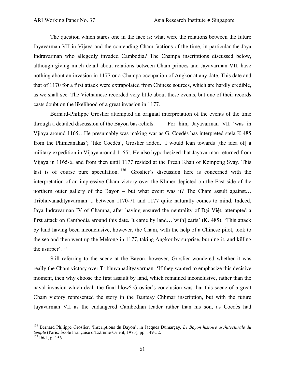The question which stares one in the face is: what were the relations between the future Jayavarman VII in Vijaya and the contending Cham factions of the time, in particular the Jaya Indravarman who allegedly invaded Cambodia? The Champa inscriptions discussed below, although giving much detail about relations between Cham princes and Jayavarman VII, have nothing about an invasion in 1177 or a Champa occupation of Angkor at any date. This date and that of 1170 for a first attack were extrapolated from Chinese sources, which are hardly credible, as we shall see. The Vietnamese recorded very little about these events, but one of their records casts doubt on the likelihood of a great invasion in 1177.

 Bernard-Philippe Groslier attempted an original interpretation of the events of the time through a detailed discussion of the Bayon bas-reliefs. For him, Jayavarman VII 'was in Vjiaya around 1165…He presumably was making war as G. Coedès has interpreted stela K 485 from the Phimeanakas'; 'like Coedès', Groslier added, 'I would lean towards [the idea of] a military expedition in Vijaya around 1165'. He also hypothesized that Jayavarman returned from Vijaya in 1165-6, and from then until 1177 resided at the Preah Khan of Kompong Svay. This last is of course pure speculation. [136](#page-60-0) Groslier's discussion here is concerned with the interpretation of an impressive Cham victory over the Khmer depicted on the East side of the northern outer gallery of the Bayon – but what event was it? The Cham assult against... Tribhuvanadityavarman ... between 1170-71 and 1177 quite naturally comes to mind. Indeed, Jaya Indravarman IV of Champa, after having ensured the neutrality of Đại Việt, attempted a first attack on Cambodia around this date. It came by land…[with] carts' (K. 485). 'This attack by land having been inconclusive, however, the Cham, with the help of a Chinese pilot, took to the sea and then went up the Mekong in 1177, taking Angkor by surprise, burning it, and killing the usurper'. $137$ 

 Still referring to the scene at the Bayon, however, Groslier wondered whether it was really the Cham victory over Tribhūvanādityavarman: 'If they wanted to emphasize this decisive moment, then why choose the first assault by land, which remained inconclusive, rather than the naval invasion which dealt the final blow? Groslier's conclusion was that this scene of a great Cham victory represented the story in the Banteay Chhmar inscription, but with the future Jayavarman VII as the endangered Cambodian leader rather than his son, as Coedès had

<span id="page-60-0"></span><sup>136</sup> Bernard Philippe Groslier, 'Inscriptions du Bayon', in Jacques Dumarçay, *Le Bayon histoire architecturale du temple* (Paris: École Française d'Extrême-Orient, 1973), pp. 149-52.<br><sup>137</sup> Ibid., p. 156.

<span id="page-60-1"></span>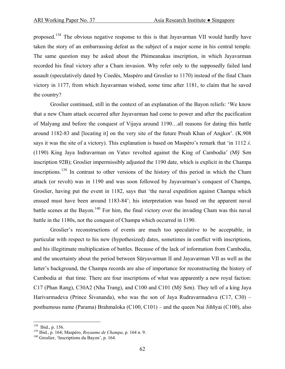proposed.[138](#page-61-0) The obvious negative response to this is that Jayavarman VII would hardly have taken the story of an embarrassing defeat as the subject of a major scene in his central temple. The same question may be asked about the Phimeanakas inscription, in which Jayavarman recorded his final victory after a Cham invasion. Why refer only to the supposedly failed land assault (speculatively dated by Coedès, Maspéro and Groslier to 1170) instead of the final Cham victory in 1177, from which Jayavarman wished, some time after 1181, to claim that he saved the country?

 Groslier continued, still in the context of an explanation of the Bayon reliefs: 'We know that a new Cham attack occurred after Jayavarman had come to power and after the pacification of Malyang and before the conquest of Vijaya around 1190…all reasons for dating this battle around 1182-83 and [locating it] on the very site of the future Preah Khan of Angkor'. (K.908 says it was the site of a victory). This explanation is based on Maspéro's remark that 'in 1112 *ś*. (1190) King Jaya Indravarman on Vatuv revolted against the King of Cambodia' (Mỹ Sơn inscription 92B); Groslier impermissibly adjusted the 1190 date, which is explicit in the Champa inscriptions.<sup>[139](#page-61-1)</sup> In contrast to other versions of the history of this period in which the Cham attack (or revolt) was in 1190 and was soon followed by Jayavarman's conquest of Champa, Groslier, having put the event in 1182, says that 'the naval expedition against Champa which ensued must have been around 1183-84'; his interpretation was based on the apparent naval battle scenes at the Bayon.<sup>[140](#page-61-2)</sup> For him, the final victory over the invading Cham was this naval battle in the 1180s, not the conquest of Champa which occurred in 1190.

 Groslier's reconstructions of events are much too speculative to be acceptable, in particular with respect to his new (hypothesized) dates, sometimes in conflict with inscriptions, and his illegitimate multiplication of battles. Because of the lack of information from Cambodia, and the uncertainty about the period between Sūryavarman II and Jayavarman VII as well as the latter's background, the Champa records are also of importance for reconstructing the history of Cambodia at that time. There are four inscriptions of what was apparently a new royal faction: C17 (Phan Rang), C30A2 (Nha Trang), and C100 and C101 (Mỹ Sơn). They tell of a king Jaya Harivarmadeva (Prince Śivananda), who was the son of Jaya Rudravarmadeva (C17, C30) – posthumous name (Parama) Brahmaloka (C100, C101) – and the queen Nai Jiññyaï (C100), also

<span id="page-61-1"></span><span id="page-61-0"></span><sup>&</sup>lt;sup>138</sup> Ibid., p. 156.<br><sup>139</sup> Ibid., p. 164; Maspéro, *Royaume de Champa*, p. 164 n. 9.<br><sup>140</sup> Groslier, 'Inscriptions du Bayon', p. 164.

<span id="page-61-2"></span>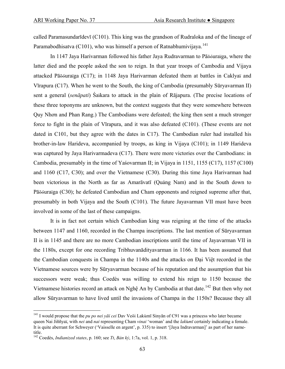called Paramasundarīdevī (C101). This king was the grandson of Rudraloka and of the lineage of Paramabodhisatva (C101), who was himself a person of Ratnabhumivijaya.<sup>[141](#page-62-0)</sup>

 In 1147 Jaya Harivarman followed his father Jaya Rudravarman to Pāõóuraïga, where the latter died and the people asked the son to reign. In that year troops of Cambodia and Vijaya attacked Pāõóuraïga (C17); in 1148 Jaya Harivarman defeated them at battles in Caklyaï and Vīrapura (C17). When he went to the South, the king of Cambodia (presumably Sūryavarman II) sent a general (*senāpati*) Śaïkara to attack in the plain of Rājapura. (The precise locations of these three toponyms are unknown, but the context suggests that they were somewhere between Quy Nhơn and Phan Rang.) The Cambodians were defeated; the king then sent a much stronger force to fight in the plain of Vīrapura, and it was also defeated (C101). (These events are not dated in C101, but they agree with the dates in C17). The Cambodian ruler had installed his brother-in-law Harideva, accompanied by troops, as king in Vijaya (C101); in 1149 Harideva was captured by Jaya Harivarmadeva (C17). There were more victories over the Cambodians: in Cambodia, presumably in the time of Yaśovarman II; in Vijaya in 1151, 1155 (C17), 1157 (C100) and 1160 (C17, C30); and over the Vietnamese (C30). During this time Jaya Harivarman had been victorious in the North as far as Amarāvatī (Quảng Nam) and in the South down to Pāõóuraïga (C30); he defeated Cambodian and Cham opponents and reigned supreme after that, presumably in both Vijaya and the South (C101). The future Jayavarman VII must have been involved in some of the last of these campaigns.

 It is in fact not certain which Cambodian king was reigning at the time of the attacks between 1147 and 1160, recorded in the Champa inscriptions. The last mention of Sūryavarman II is in 1145 and there are no more Cambodian inscriptions until the time of Jayavarman VII in the 1180s, except for one recording Tribhuvanādityavarman in 1166. It has been assumed that the Cambodian conquests in Champa in the 1140s and the attacks on Đại Việt recorded in the Vietnamese sources were by Sūryavarman because of his reputation and the assumption that his successors were weak; thus Coedès was willing to extend his reign to 1150 because the Vietnamese histories record an attack on Nghệ An by Cambodia at that date.<sup>[142](#page-62-1)</sup> But then why not allow Sūryavarman to have lived until the invasions of Champa in the 1150s? Because they all

<span id="page-62-0"></span><sup>141</sup> I would propose that the *pu po nei yāï cei* Dav Veõi Lakùmī Sinyān of C91 was a princess who later became queen Nai Jiññyaï, with *nei* and *nai* representing Cham *vinai* 'woman' and the *lak*ù*mī* certainly indicating a female. It is quite aberrant for Schweyer ('Vaisselle en argent', p. 335) to insert '[Jaya Indravarman]' as part of her nametitle.

<span id="page-62-1"></span><sup>142</sup> Coedès, *Indianized states*, p. 160; see *Tt*, *Bản kỷ*, 1:7a, vol. 1, p. 318.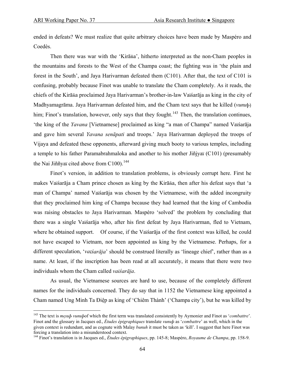ended in defeats? We must realize that quite arbitrary choices have been made by Maspéro and Coedès.

 Then there was war with the 'Kirāña', hitherto interpreted as the non-Cham peoples in the mountains and forests to the West of the Champa coast; the fighting was in 'the plain and forest in the South', and Jaya Harivarman defeated them (C101). After that, the text of C101 is confusing, probably because Finot was unable to translate the Cham completely. As it reads, the chiefs of the Kirāña proclaimed Jaya Harivarman's brother-in-law Vaïśarāja as king in the city of Madhyamagrāma. Jaya Harivarman defeated him, and the Cham text says that he killed (*vunu*þ) him; Finot's translation, however, only says that they fought.<sup>[143](#page-63-0)</sup> Then, the translation continues, 'the king of the *Yavana* [Vietnamese] proclaimed as king "a man of Champa" named Vaïśarāja and gave him several *Yavana senāpati* and troops.' Jaya Harivarman deployed the troops of Vijaya and defeated these opponents, afterward giving much booty to various temples, including a temple to his father Paramabrahmaloka and another to his mother Jiñjyaï (C101) (presumably the Nai Jiññyaï cited above from  $C100$ ).<sup>[144](#page-63-1)</sup>

 Finot's version, in addition to translation problems, is obviously corrupt here. First he makes Vaïśarāja a Cham prince chosen as king by the Kirāña, then after his defeat says that 'a man of Champa' named Vaïśarāja was chosen by the Vietnamese, with the added incongruity that they proclaimed him king of Champa because they had learned that the king of Cambodia was raising obstacles to Jaya Harivarman. Maspéro 'solved' the problem by concluding that there was a single Vaïśarāja who, after his first defeat by Jaya Harivarman, fled to Vietnam, where he obtained support. Of course, if the Vaïśarāja of the first context was killed, he could not have escaped to Vietnam, nor been appointed as king by the Vietnamese. Perhaps, for a different speculation, '*vaïśarāja*' should be construed literally as 'lineage chief', rather than as a name. At least, if the inscription has been read at all accurately, it means that there were two individuals whom the Cham called *vaïśarāja*.

 As usual, the Vietnamese sources are hard to use, because of the completely different names for the individuals concerned. They do say that in 1152 the Vietnamese king appointed a Cham named Ung Minh Ta Ðiệp as king of 'Chiêm Thành' ('Champa city'), but he was killed by

<span id="page-63-0"></span><sup>143</sup> The text is *mçsuþ vunuþ*of which the first term was translated consistently by Aymonier and Finot as '*combattre*'. Finot and the glossary in Jacques ed., *Études épigraphiques* translate *vunuþ* as '*combattre*' as well, which in the given context is redundant, and as cognate with Malay *bunuh* it must be taken as 'kill'. I suggest that here Finot was forcing a translation into a misunderstood context.

<span id="page-63-1"></span><sup>144</sup> Finot's translation is in Jacques ed., *Études épigraphiques*, pp. 145-8; Maspéro, *Royaume de Champa*, pp. 158-9.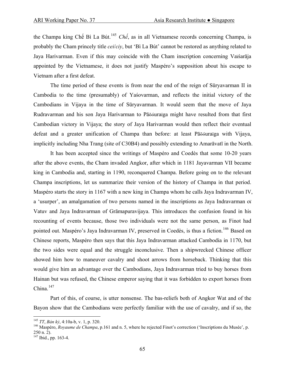the Champa king Chế Bì La Bút.[145](#page-64-0) *Chế*, as in all Vietnamese records concerning Champa, is probably the Cham princely title *cei*/*ciy*, but 'Bì La Bút' cannot be restored as anything related to Jaya Harivarman. Even if this may coincide with the Cham inscription concerning Vaïśarāja appointed by the Vietnamese, it does not justify Maspéro's supposition about his escape to Vietnam after a first defeat.

 The time period of these events is from near the end of the reign of Sūryavarman II in Cambodia to the time (presumably) of Yaśovarman, and reflects the initial victory of the Cambodians in Vijaya in the time of Sūryavarman. It would seem that the move of Jaya Rudravarman and his son Jaya Harivarman to Pāõóuraïga might have resulted from that first Cambodian victory in Vijaya; the story of Jaya Harivarman would then reflect their eventual defeat and a greater unification of Champa than before: at least Pāõóuraïga with Vijaya, implicitly including Nha Trang (site of C30B4) and possibly extending to Amarāvatī in the North.

 It has been accepted since the writings of Maspéro and Coedès that some 10-20 years after the above events, the Cham invaded Angkor, after which in 1181 Jayavarman VII became king in Cambodia and, starting in 1190, reconquered Champa. Before going on to the relevant Champa inscriptions, let us summarize their version of the history of Champa in that period. Maspéro starts the story in 1167 with a new king in Champa whom he calls Jaya Indravarman IV, a 'usurper', an amalgamation of two persons named in the inscriptions as Jaya Indravarman oï Vatuv and Jaya Indravarman of Grāmapuravijaya. This introduces the confusion found in his recounting of events because, those two individuals were not the same person, as Finot had pointed out. Maspéro's Jaya Indravarman IV, preserved in Coedès, is thus a fiction.<sup>[146](#page-64-1)</sup> Based on Chinese reports, Maspéro then says that this Jaya Indravarman attacked Cambodia in 1170, but the two sides were equal and the struggle inconclusive. Then a shipwrecked Chinese officer showed him how to maneuver cavalry and shoot arrows from horseback. Thinking that this would give him an advantage over the Cambodians, Jaya Indravarman tried to buy horses from Hainan but was refused, the Chinese emperor saying that it was forbidden to export horses from China. $147$ 

 Part of this, of course, is utter nonsense. The bas-reliefs both of Angkor Wat and of the Bayon show that the Cambodians were perfectly familiar with the use of cavalry, and if so, the

<span id="page-64-1"></span><span id="page-64-0"></span>

<sup>&</sup>lt;sup>145</sup> *TT*, *Bản kỷ*, 4:10a-b, v. 1, p. 320.<br><sup>146</sup> Maspéro, *Royaume de Champa*, p.161 and n. 5, where he rejected Finot's correction ('Inscriptions du Musée', p. 250 n. 2).

<span id="page-64-2"></span> $147$  Ibid., pp. 163-4.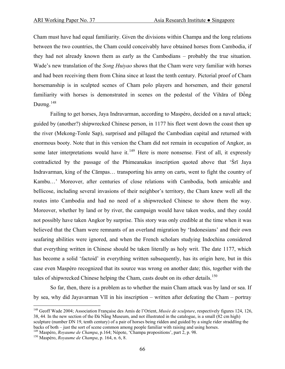Cham must have had equal familiarity. Given the divisions within Champa and the long relations between the two countries, the Cham could conceivably have obtained horses from Cambodia, if they had not already known them as early as the Cambodians – probably the true situation. Wade's new translation of the *Song Huiyao* shows that the Cham were very familiar with horses and had been receiving them from China since at least the tenth century. Pictorial proof of Cham horsemanship is in sculpted scenes of Cham polo players and horsemen, and their general familiarity with horses is demonstrated in scenes on the pedestal of the Vihāra of Đồng Dương.<sup>[148](#page-65-0)</sup>

 Failing to get horses, Jaya Indravarman, according to Maspéro, decided on a naval attack; guided by (another?) shipwrecked Chinese person, in 1177 his fleet went down the coast then up the river (Mekong-Tonle Sap), surprised and pillaged the Cambodian capital and returned with enormous booty. Note that in this version the Cham did not remain in occupation of Angkor, as some later interpretations would have it. $149$  Here is more nonsense. First of all, it expressly contradicted by the passage of the Phimeanakas inscription quoted above that 'Śrī Jaya Indravarman, king of the Cāmpas… transporting his army on carts, went to fight the country of Kambu…' Moreover, after centuries of close relations with Cambodia, both amicable and bellicose, including several invasions of their neighbor's territory, the Cham knew well all the routes into Cambodia and had no need of a shipwrecked Chinese to show them the way. Moreover, whether by land or by river, the campaign would have taken weeks, and they could not possibly have taken Angkor by surprise. This story was only credible at the time when it was believed that the Cham were remnants of an overland migration by 'Indonesians' and their own seafaring abilities were ignored, and when the French scholars studying Indochina considered that everything written in Chinese should be taken literally as holy writ. The date 1177, which has become a solid 'factoid' in everything written subsequently, has its origin here, but in this case even Maspéro recognized that its source was wrong on another date; this, together with the tales of shipwrecked Chinese helping the Cham, casts doubt on its other details.<sup>[150](#page-65-2)</sup>

 So far, then, there is a problem as to whether the main Cham attack was by land or sea. If by sea, why did Jayavarman VII in his inscription – written after defeating the Cham – portray

<span id="page-65-0"></span><sup>148</sup> Geoff Wade 2004; Association Française des Amis de l'Orient, *Musée de sculpture*, respectively figures 124, 126, 38, 44. In the new section of the Đà Nẵng Museum, and not illustrated in the catalogue, is a small (82 cm high) sculpture (number DN 19, tenth century) of a pair of horses being ridden and guided by a single rider straddling the backs of both – just the sort of scene common among people familiar with raising and using horses.

<span id="page-65-1"></span><sup>&</sup>lt;sup>149</sup> Maspéro, *Royaume de Champa*, p.164; Népote, 'Champa propositions', part 2, p. 98. <sup>150</sup> Maspéro, *Royaume de Champa*, p. 164, n. 6, 8.

<span id="page-65-2"></span>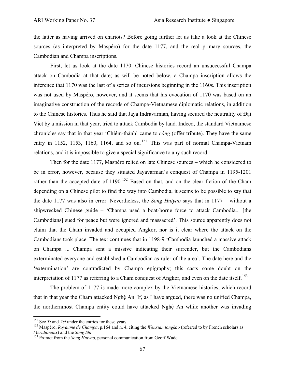the latter as having arrived on chariots? Before going further let us take a look at the Chinese sources (as interpreted by Maspéro) for the date 1177, and the real primary sources, the Cambodian and Champa inscriptions.

 First, let us look at the date 1170. Chinese histories record an unsuccessful Champa attack on Cambodia at that date; as will be noted below, a Champa inscription allows the inference that 1170 was the last of a series of incursions beginning in the 1160s. This inscription was not used by Maspéro, however, and it seems that his evocation of 1170 was based on an imaginative construction of the records of Champa-Vietnamese diplomatic relations, in addition to the Chinese histories. Thus he said that Jaya Indravarman, having secured the neutrality of Đại Viet by a mission in that year, tried to attack Cambodia by land. Indeed, the standard Vietnamese chronicles say that in that year 'Chiêm-thành' came to *cống* (offer tribute). They have the same entry in 1152, 1153, 1160, 1164, and so on.<sup>[151](#page-66-0)</sup> This was part of normal Champa-Vietnam relations, and it is impossible to give a special significance to any such record.

 Then for the date 1177, Maspéro relied on late Chinese sources – which he considered to be in error, however, because they situated Jayavarman's conquest of Champa in 1195-1201 rather than the accepted date of 1190.<sup>152</sup> Based on that, and on the clear fiction of the Cham depending on a Chinese pilot to find the way into Cambodia, it seems to be possible to say that the date 1177 was also in error. Nevertheless, the *Song Huiyao* says that in 1177 – without a shipwrecked Chinese guide – 'Champa used a boat-borne force to attack Cambodia... [the Cambodians] sued for peace but were ignored and massacred'. This source apparently does not claim that the Cham invaded and occupied Angkor, nor is it clear where the attack on the Cambodians took place. The text continues that in 1198-9 'Cambodia launched a massive attack on Champa ... Champa sent a missive indicating their surrender, but the Cambodians exterminated everyone and established a Cambodian as ruler of the area'. The date here and the 'extermination' are contradicted by Champa epigraphy; this casts some doubt on the interpretation of 1177 as referring to a Cham conquest of Angkor, and even on the date itself.<sup>[153](#page-66-2)</sup>

 The problem of 1177 is made more complex by the Vietnamese histories, which record that in that year the Cham attacked Nghệ An. If, as I have argued, there was no unified Champa, the northernmost Champa entity could have attacked Nghệ An while another was invading

<span id="page-66-1"></span><span id="page-66-0"></span><sup>&</sup>lt;sup>151</sup> See *Tt* and *Vsl* under the entries for these years.<br><sup>152</sup> Maspéro, *Royaume de Champa*, p.164 and n. 4, citing the *Wenxian tongkao* (referred to by French scholars as *Méridionaux*) and the *Song Shi*. <sup>153</sup> Extract from the *Song Huiyao*, personal communication from Geoff Wade.

<span id="page-66-2"></span>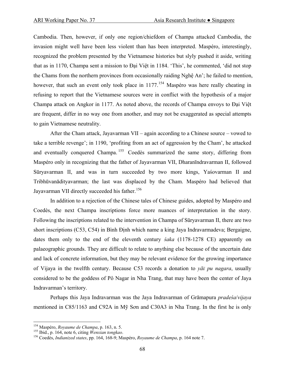Cambodia. Then, however, if only one region/chiefdom of Champa attacked Cambodia, the invasion might well have been less violent than has been interpreted. Maspéro, interestingly, recognized the problem presented by the Vietnamese histories but slyly pushed it aside, writing that as in 1170, Champa sent a mission to Đại Việt in 1184. 'This', he commented, 'did not stop the Chams from the northern provinces from occasionally raiding Nghệ An'; he failed to mention, however, that such an event only took place in 1177.<sup>[154](#page-67-0)</sup> Maspéro was here really cheating in refusing to report that the Vietnamese sources were in conflict with the hypothesis of a major Champa attack on Angkor in 1177. As noted above, the records of Champa envoys to Đại Việt are frequent, differ in no way one from another, and may not be exaggerated as special attempts to gain Vietnamese neutrality.

 After the Cham attack, Jayavarman VII – again according to a Chinese source – vowed to take a terrible revenge'; in 1190, 'profiting from an act of aggression by the Cham', he attacked and eventually conquered Champa. <sup>[155](#page-67-1)</sup> Coedès summarized the same story, differing from Maspéro only in recognizing that the father of Jayavarman VII, Dharanīndravarman II, followed Sūryavarman II, and was in turn succeeded by two more kings, Yaśovarman II and Tribhūvanādityavarman; the last was displaced by the Cham. Maspéro had believed that Jayavarman VII directly succeeded his father.<sup>[156](#page-67-2)</sup>

 In addition to a rejection of the Chinese tales of Chinese guides, adopted by Maspéro and Coedès, the next Champa inscriptions force more nuances of interpretation in the story. Following the inscriptions related to the intervention in Champa of Sūryavarman II, there are two short inscriptions (C53, C54) in Bình Định which name a king Jaya Indravarmadeva; Bergaigne, dates them only to the end of the eleventh century *śaka* (1178-1278 CE) apparently on palaeographic grounds. They are difficult to relate to anything else because of the uncertain date and lack of concrete information, but they may be relevant evidence for the growing importance of Vijaya in the twelfth century. Because C53 records a donation to *yāï pu nagara*, usually considered to be the goddess of Pô Nagar in Nha Trang, that may have been the center of Jaya Indravarman's territory.

 Perhaps this Jaya Indravarman was the Jaya Indravarman of Grāmapura *pradeśa*/*vijaya* mentioned in C85/1163 and C92A in Mỹ Sơn and C30A3 in Nha Trang. In the first he is only

<span id="page-67-2"></span><span id="page-67-1"></span>

<span id="page-67-0"></span><sup>&</sup>lt;sup>154</sup> Maspéro, *Royaume de Champa*, p. 163, n. 5.<br><sup>155</sup> Ibid., p. 164, note 6, citing *Wenxian tongkao*.<br><sup>156</sup> Coedès, *Indianized states*, pp. 164, 168-9; Maspéro, *Royaume de Champa*, p. 164 note 7.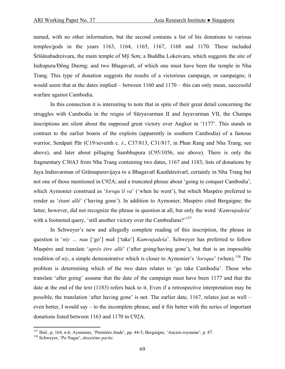named, with no other information, but the second contains a list of his donations to various temples/gods in the years 1163, 1164, 1165, 1167, 1168 and 1170. These included Śrīśānabadreśvara, the main temple of Mỹ Sơn; a Buddha Lokeśvara, which suggests the site of Indrapura/Ðông Dương; and two Bhagavatī, of which one must have been the temple in Nha Trang. This type of donation suggests the results of a victorious campaign, or campaigns; it would seem that at the dates implied – between 1160 and 1170 – this can only mean, successful warfare against Cambodia.

 In this connection it is interesting to note that in spite of their great detail concerning the struggles with Cambodia in the reigns of Sūryavarman II and Jayavarman VII, the Champa inscriptions are silent about the supposed great victory over Angkor in '1177'. This stands in contrast to the earlier boasts of the exploits (apparently in southern Cambodia) of a famous warrior, Senāpati Pār (C19/seventh c. *ś.*, C37/813, C31/817, in Phan Rang and Nha Trang, see above), and later about pillaging Śambhupura (C95/1056, see above). There is only the fragmentary C30A3 from Nha Trang containing two dates, 1167 and 1183; lists of donations by Jaya Indravarman of Grāmapuravijaya to a Bhagavatī Kauthāreśvarī, certainly in Nha Trang but not one of those mentioned in C92A; and a truncated phrase about 'going to conquer Cambodia', which Aymonier construed as '*lorsqu'il va*' ('when he went'), but which Maspéro preferred to render as '*étant allé*' ('having gone'). In addition to Aymonier, Maspéro cited Bergaigne; the latter, however, did not recognize the phrase in question at all, but only the word '*Kamvujadeśa*' with a footnoted query, 'still another victory over the Cambodians?'<sup>[157](#page-68-0)</sup>

 In Schweyer's new and allegedly complete reading of this inscription, the phrase in question is '*niy … nau* ['go'] *mak* ['take'] *Kamvujadeśa*'. Schweyer has preferred to follow Maspéro and translate '*après être allé*' ('after going/having gone'), but that is an impossible rendition of *niy*, a simple demonstrative which is closer to Aymonier's '*lorsque*' (when).<sup>[158](#page-68-1)</sup> The problem is determining which of the two dates relates to 'go take Cambodia'. Those who translate 'after going' assume that the date of the campaign must have been 1177 and that the date at the end of the text (1183) refers back to it. Even if a retrospective interpretation may be possible, the translation 'after having gone' is not. The earlier date, 1167, relates just as well – even better, I would say – to the incomplete phrase, and it fits better with the series of important donations listed between 1163 and 1170 in C92A.

1

<span id="page-68-0"></span><sup>157</sup> Ibid., p. 164, n.6; Aymonier, 'Première étude', pp. 44-5; Bergaigne, 'Ancien royaume', p. 87. 158 Schweyer, 'Po Nagar', *deuxième partie*.

<span id="page-68-1"></span>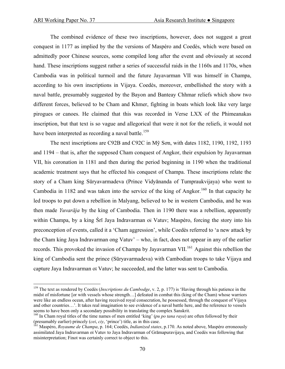The combined evidence of these two inscriptions, however, does not suggest a great conquest in 1177 as implied by the the versions of Maspéro and Coedès, which were based on admittedly poor Chinese sources, some compiled long after the event and obviously at second hand. These inscriptions suggest rather a series of successful raids in the 1160s and 1170s, when Cambodia was in political turmoil and the future Jayavarman VII was himself in Champa, according to his own inscriptions in Vijaya. Coedès, moreover, embellished the story with a naval battle, presumably suggested by the Bayon and Banteay Chhmar reliefs which show two different forces, believed to be Cham and Khmer, fighting in boats which look like very large pirogues or canoes. He claimed that this was recorded in Verse LXX of the Phimeanakas inscription, but that text is so vague and allegorical that were it not for the reliefs, it would not have been interpreted as recording a naval battle.<sup>[159](#page-69-0)</sup>

 The next inscriptions are C92B and C92C in Mỹ Sơn, with dates 1182, 1190, 1192, 1193 and 1194 – that is, after the supposed Cham conquest of Angkor, their expulsion by Jayavarman VII, his coronation in 1181 and then during the period beginning in 1190 when the traditional academic treatment says that he effected his conquest of Champa. These inscriptions relate the story of a Cham king Sūryavarmadeva (Prince Vidyānanda of Tumpraukvijaya) who went to Cambodia in 1182 and was taken into the service of the king of Angkor.<sup>[160](#page-69-1)</sup> In that capacity he led troops to put down a rebellion in Malyang, believed to be in western Cambodia, and he was then made *Yuvarāja* by the king of Cambodia. Then in 1190 there was a rebellion, apparently within Champa, by a king Śrī Jaya Indravarman oï Vatuv; Maspéro, forcing the story into his preconception of events, called it a 'Cham aggression', while Coedès referred to 'a new attack by the Cham king Jaya Indravarman ong Vatuv' – who, in fact, does not appear in any of the earlier records. This provoked the invasion of Champa by Jayavarman VII.<sup>[161](#page-69-2)</sup> Against this rebellion the king of Cambodia sent the prince (Sūryavarmadeva) with Cambodian troops to take Vijaya and capture Jaya Indravarman oï Vatuv; he succeeded, and the latter was sent to Cambodia.

<span id="page-69-0"></span><sup>159</sup> The text as rendered by Coedès (*Inscriptions du Cambodge*, v. 2, p. 177) is 'Having through his patience in the midst of misfortune [or with vessels whose strength…] defeated in combat this (king of the Cham) whose warriors were like an endless ocean, after having received royal consecration, he possessed, through the conquest of Vijaya and other countries…'. It takes real imagination to see evidence of a naval battle here, and the reference to vessels seems to have been only a secondary possibility in translating the complex Sanskrit.

<span id="page-69-1"></span><sup>&</sup>lt;sup>160</sup> In Cham royal titles of the time names of men entitled 'king' (*pu po tana raya*) are often followed by their (presumably earlier) princely (*cei*, *ciy*, 'prince') title, as in this case.<br><sup>161</sup> Maspéro, *Royaume de Champa*, p. 164; Coedès, *Indianized states*, p.170. As noted above, Maspéro erroneously

<span id="page-69-2"></span>assimilated Jaya Indravarman oï Vatuv to Jaya Indravarman of Grāmapuravijaya, and Coedès was following that misinterpretation; Finot was certainly correct to object to this.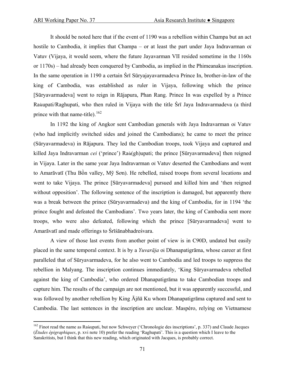It should be noted here that if the event of 1190 was a rebellion within Champa but an act hostile to Cambodia, it implies that Champa – or at least the part under Jaya Indravarman oï Vatuv (Vijaya, it would seem, where the future Jayavarman VII resided sometime in the 1160s or 1170s) – had already been conquered by Cambodia, as implied in the Phimeanakas inscription. In the same operation in 1190 a certain Śrī Sūryajayavarmadeva Prince In, brother-in-law of the king of Cambodia, was established as ruler in Vijaya, following which the prince [Sūryavarmadeva] went to reign in Rājapura, Phan Rang. Prince In was expelled by a Prince Raùupati/Raghupati, who then ruled in Vijaya with the title Śrī Jaya Indravarmadeva (a third prince with that name-title).  $^{162}$  $^{162}$  $^{162}$ 

 In 1192 the king of Angkor sent Cambodian generals with Jaya Indravarman oï Vatuv (who had implicitly switched sides and joined the Cambodians); he came to meet the prince (Sūryavarmadeva) in Rājapura. They led the Cambodian troops, took Vijaya and captured and killed Jaya Indravarman *cei* ('prince') Raù(gh)upati; the prince [Sūryavarmadeva] then reigned in Vijaya. Later in the same year Jaya Indravarman oï Vatuv deserted the Cambodians and went to Amarāvatī (Thu Bồn valley, Mỹ Sơn). He rebelled, raised troops from several locations and went to take Vijaya. The prince [Sūryavarmadeva] pursued and killed him and 'then reigned without opposition'. The following sentence of the inscription is damaged, but apparently there was a break between the prince (Sūryavarmadeva) and the king of Cambodia, for in 1194 'the prince fought and defeated the Cambodians'. Two years later, the king of Cambodia sent more troops, who were also defeated, following which the prince [Sūryavarmadeva] went to Amarāvatī and made offerings to Śrīśānabhadreśvara.

 A view of those last events from another point of view is in C90D, undated but easily placed in the same temporal context. It is by a *Yuvarāja* oï Dhanapatigrāma, whose career at first paralleled that of Sūryavarmadeva, for he also went to Cambodia and led troops to suppress the rebellion in Malyang. The inscription continues immediately, 'King Sūryavarmadeva rebelled against the king of Cambodia', who ordered Dhanapatigrāma to take Cambodian troops and capture him. The results of the campaign are not mentioned, but it was apparently successful, and was followed by another rebellion by King Ājñā Ku whom Dhanapatigrāma captured and sent to Cambodia. The last sentences in the inscription are unclear. Maspéro, relying on Vietnamese

<span id="page-70-0"></span><sup>&</sup>lt;sup>162</sup> Finot read the name as Raùupati, but now Schweyer ('Chronologie des inscriptions', p. 337) and Claude Jacques (*Études épigraphiques*, p. xvi note 10) prefer the reading 'Raghupati'. This is a question which I leave to the Sanskritists, but I think that this new reading, which originated with Jacques, is probably correct.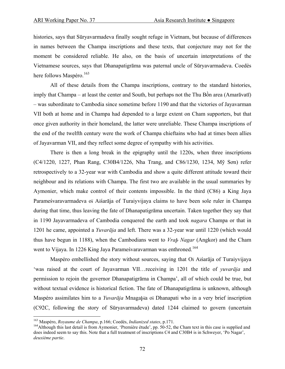histories, says that Sūryavarmadeva finally sought refuge in Vietnam, but because of differences in names between the Champa inscriptions and these texts, that conjecture may not for the moment be considered reliable. He also, on the basis of uncertain interpretations of the Vietnamese sources, says that Dhanapatigrāma was paternal uncle of Sūryavarmadeva. Coedès here follows Maspéro.<sup>[163](#page-71-0)</sup>

 All of these details from the Champa inscriptions, contrary to the standard histories, imply that Champa – at least the center and South, but perhaps not the Thu Bồn area (Amarāvatī) – was subordinate to Cambodia since sometime before 1190 and that the victories of Jayavarman VII both at home and in Champa had depended to a large extent on Cham supporters, but that once given authority in their homeland, the latter were unreliable. These Champa inscriptions of the end of the twelfth century were the work of Champa chieftains who had at times been allies of Jayavarman VII, and they reflect some degree of sympathy with his activities.

 There is then a long break in the epigraphy until the 1220s, when three inscriptions (C4/1220, 1227, Phan Rang, C30B4/1226, Nha Trang, and C86/1230, 1234, Mỹ Sơn) refer retrospectively to a 32-year war with Cambodia and show a quite different attitude toward their neighbour and its relations with Champa. The first two are available in the usual summaries by Aymonier, which make control of their contents impossible. In the third (C86) a King Jaya Parameśvaravarmadeva oï Aïśarāja of Turaiyvijaya claims to have been sole ruler in Champa during that time, thus leaving the fate of Dhanapatigrāma uncertain. Taken together they say that in 1190 Jayavarmadeva of Cambodia conquered the earth and took *nagara* Champa or that in 1201 he came, appointed a *Yuvarāja* and left. There was a 32-year war until 1220 (which would thus have begun in 1188), when the Cambodians went to *Vraþ Nagar* (Angkor) and the Cham went to Vijaya. In 1226 King Jaya Parameśvaravarman was enthroned.<sup>[164](#page-71-1)</sup>

 Maspéro embellished the story without sources, saying that Oï Aïśarāja of Turaiyvijaya 'was raised at the court of Jayavarman VII…receiving in 1201 the title of *yuvarāja* and permission to rejoin the governor Dhanapatigrāma in Champa', all of which could be true, but without textual evidence is historical fiction. The fate of Dhanapatigrāma is unknown, although Maspéro assimilates him to a *Yuvarāja* Mnagaþïa oï Dhanapati who in a very brief inscription (C92C, following the story of Sūryavarmadeva) dated 1244 claimed to govern (uncertain

<span id="page-71-1"></span><span id="page-71-0"></span><sup>&</sup>lt;sup>163</sup> Maspéro, *Royaume de Champa*, p.166; Coedès, *Indianized states*, p.171.<br><sup>164</sup>Although this last detail is from Aymonier, 'Première étude', pp. 50-52, the Cham text in this case is supplied and does indeed seem to say this. Note that a full treatment of inscriptions C4 and C30B4 is in Schweyer, 'Po Nagar', *deuxième partie*.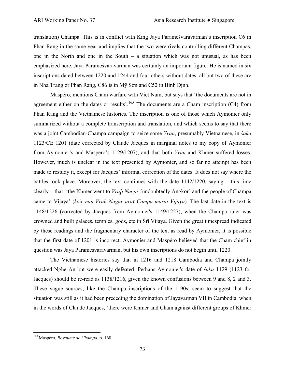translation) Champa. This is in conflict with King Jaya Parameśvaravarman's inscription C6 in Phan Rang in the same year and implies that the two were rivals controlling different Champas, one in the North and one in the South – a situation which was not unusual, as has been emphasized here. Jaya Parameśvaravarman was certainly an important figure. He is named in six inscriptions dated between 1220 and 1244 and four others without dates; all but two of these are in Nha Trang or Phan Rang, C86 is in Mỹ Sơn and C52 in Bình Ðịnh.

Maspéro, mentions Cham warfare with Viet Nam, but says that 'the documents are not in agreement either on the dates or results'.<sup>[165](#page-72-0)</sup> The documents are a Cham inscription (C4) from Phan Rang and the Vietnamese histories. The inscription is one of those which Aymonier only summarized without a complete transcription and translation, and which seems to say that there was a joint Cambodian-Champa campaign to seize some *Yvan*, presumably Vietnamese, in *śaka* 1123/CE 1201 (date corrected by Claude Jacques in marginal notes to my copy of Aymonier from Aymonier's and Maspero's 1129/1207), and that both *Yvan* and Khmer suffered losses. However, much is unclear in the text presented by Aymonier, and so far no attempt has been made to restudy it, except for Jacques' informal correction of the dates. It does not say where the battles took place. Moreover, the text continues with the date 1142/1220, saying – this time clearly – that 'the Khmer went to *Vraþ Nagar* [undoubtedly Angkor] and the people of Champa came to Vijaya' (*kvir nau Vrah Nagar uraï Campa marai Vijaya*). The last date in the text is 1148/1226 (corrected by Jacques from Aymonier's 1149/1227), when the Champa ruler was crowned and built palaces, temples, gods, etc in Śrī Vijaya. Given the great timespread indicated by these readings and the fragmentary character of the text as read by Aymonier, it is possible that the first date of 1201 is incorrect. Aymonier and Maspéro believed that the Cham chief in question was Jaya Parameśvaravarman, but his own inscriptions do not begin until 1220.

 The Vietnamese histories say that in 1216 and 1218 Cambodia and Champa jointly attacked Nghe An but were easily defeated. Perhaps Aymonier's date of *śaka* 1129 (1123 for Jacques) should be re-read as 1138/1216, given the known confusions between 9 and 8, 2 and 3. These vague sources, like the Champa inscriptions of the 1190s, seem to suggest that the situation was still as it had been preceding the domination of Jayavarman VII in Cambodia, when, in the words of Claude Jacques, 'there were Khmer and Cham against different groups of Khmer

<span id="page-72-0"></span><sup>165</sup> Maspéro, *Royaume de Champa*, p. 168.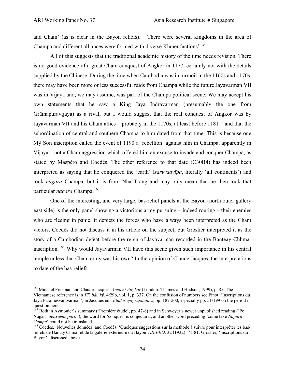$\overline{a}$ 

and Cham' (as is clear in the Bayon reliefs). 'There were several kingdoms in the area of Champa and different alliances were formed with diverse Khmer factions'.[166](#page-73-0)

 All of this suggests that the traditional academic history of the time needs revision. There is no good evidence of a great Cham conquest of Angkor in 1177, certainly not with the details supplied by the Chinese. During the time when Cambodia was in turmoil in the 1160s and 1170s, there may have been more or less successful raids from Champa while the future Jayavarman VII was in Vijaya and, we may assume, was part of the Champa political scene. We may accept his own statements that he saw a King Jaya Indravarman (presumably the one from Grāmapuravijaya) as a rival, but I would suggest that the real conquest of Angkor was by Jayavarman VII and his Cham allies – probably in the 1170s, at least before 1181 – and that the subordination of central and southern Champa to him dated from that time. This is because one Mỹ Sơn inscription called the event of 1190 a 'rebellion' against him in Champa, apparently in Vijaya – not a Cham aggression which offered him an excuse to invade and conquer Champa, as stated by Maspéro and Coedès. The other reference to that date (C30B4) has indeed been interpreted as saying that he conquered the 'earth' (*sarvvadvīpa*, literally 'all continents') and took *nagara* Champa, but it is from Nha Trang and may only mean that he then took that particular *nagara* Champa.<sup>[167](#page-73-1)</sup>

 One of the interesting, and very large, bas-relief panels at the Bayon (north outer gallery east side) is the only panel showing a victorious army pursuing – indeed routing – their enemies who are fleeing in panic; it depicts the forces who have always been interpreted as the Cham victors. Coedès did not discuss it in his article on the subject, but Groslier interpreted it as the story of a Cambodian defeat before the reign of Jayavarman recorded in the Banteay Chhmar inscription.<sup>[168](#page-73-2)</sup> Why would Jayavarman VII have this scene given such importance in his central temple unless that Cham army was his own? In the opinion of Claude Jacques, the interpretations to date of the bas-reliefs

<span id="page-73-0"></span><sup>166</sup> Michael Freeman and Claude Jacques, *Ancient Angkor* (London: Thames and Hudson, 1999), p. 85. The

Vietnamese reference is in *TT*, *bản ký*, 4:29b, vol. 1, p. 337. On the confusion of numbers see Finot, 'Inscriptions du Jaya Parameśvaravarman', in Jacques ed., *Études épigraphiques*, pp. 187-200, especially pp. 51/199 on the period in question here.

<span id="page-73-1"></span><sup>167</sup> Both in Aymonier's summary ('Première étude', pp. 47-8) and in Schweyer's newer unpublished reading ('Po Nagar', *deuxième partie*), the word for 'conquer' is conjectural, and another word preceding 'come take *Nagara Campa*' could not be translated.<br><sup>168</sup> Coedès, 'Nouvelles données' and Coedès, 'Quelques suggestions sur la méthode à suivre pour interpréter les bas-

<span id="page-73-2"></span>reliefs de Bantāy Chmàr et de la galérie extérieure du Bàyon', *BEFEO*, 32 (1932): 71-81; Groslier, 'Inscriptions du Bayon', discussed above.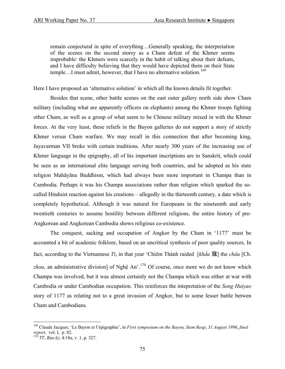remain conjectural in spite of everything…Generally speaking, the interpretation of the scenes on the second storey as a Cham defeat of the Khmer seems improbable: the Khmers were scarcely in the habit of talking about their defeats, and I have difficulty believing that they would have depicted them on their State temple...I must admit, however, that I have no alternative solution.<sup>[169](#page-74-0)</sup>

Here I have proposed an 'alternative solution' in which all the known details fit together.

 Besides that scene, other battle scenes on the east outer gallery north side show Cham military (including what are apparently officers on elephants) among the Khmer troops fighting other Cham, as well as a group of what seem to be Chinese military mixed in with the Khmer forces. At the very least, these reliefs in the Bayon galleries do not support a story of strictly Khmer versus Cham warfare. We may recall in this connection that after becoming king, Jayavarman VII broke with certain traditions. After nearly 300 years of the increasing use of Khmer language in the epigraphy, all of his important inscriptions are in Sanskrit, which could be seen as an international elite language serving both countries, and he adopted as his state religion Mahāyāna Buddhism, which had always been more important in Champa than in Cambodia. Perhaps it was his Champa associations rather than religion which sparked the socalled Hinduist reaction against his creations – allegedly in the thirteenth century, a date which is completely hypothetical. Although it was natural for Europeans in the nineteenth and early twentieth centuries to assume hostility between different religions, the entire history of pre-Angkorean and Angkorean Cambodia shows religious co-existence.

 The conquest, sacking and occupation of Angkor by the Cham in '1177' must be accounted a bit of academic folklore, based on an uncritical synthesis of poor quality sources. In fact, according to the Vietnamese *Tt*, in that year 'Chiêm Thành raided [*khấu* 寇] the *châu* [Ch. zhou, an administrative division] of Nghệ An'.<sup>170</sup> Of course, once more we do not know which Champa was involved, but it was almost certainly not the Champa which was either at war with Cambodia or under Cambodian occupation. This reinforces the intepretation of the *Song Huiyao* story of 1177 as relating not to a great invasion of Angkor, but to some lesser battle betwen Cham and Cambodians.

<span id="page-74-0"></span><sup>169</sup> Claude Jacques, 'Le Bayon et l'épigraphie', in *First symposium on the Bayon, Siem Reap*, *31 August 1996*, *final report*, vol. I, p. 82. 170 *TT*, *Bản kỷ*, 4:18a, v. 1, p. 327.

<span id="page-74-1"></span>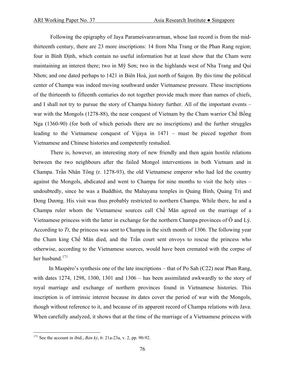Following the epigraphy of Jaya Parameśvaravarman, whose last record is from the midthirteenth century, there are 23 more inscriptions: 14 from Nha Trang or the Phan Rang region; four in Bình Ðịnh, which contain no useful information but at least show that the Cham were maintaining an interest there; two in Mỹ Sơn; two in the highlands west of Nha Trang and Qui Nhơn; and one dated perhaps to 1421 in Biên Hoà, just north of Saigon. By this time the political center of Champa was indeed moving southward under Vietnamese pressure. These inscriptions of the thirteenth to fifteenth centuries do not together provide much more than names of chiefs, and I shall not try to pursue the story of Champa history further. All of the important events – war with the Mongols (1278-88), the near conquest of Vietnam by the Cham warrior Chế Bồng Nga (1360-90) (for both of which periods there are no inscriptions) and the further struggles leading to the Vietnamese conquest of Vijaya in 1471 – must be pieced together from Vietnamese and Chinese histories and competently restudied.

 There is, however, an interesting story of new friendly and then again hostile relations between the two neighbours after the failed Mongol interventions in both Vietnam and in Champa. Trần Nhân Tông (r. 1278-93), the old Vietnamese emperor who had led the country against the Mongols, abdicated and went to Champa for nine months to visit the holy sites – undoubtedly, since he was a Buddhist, the Mahayana temples in Quảng Bình, Quảng Trị and Đong Dương. His visit was thus probably restricted to northern Champa. While there, he and a Champa ruler whom the Vietnamese sources call Chế Mân agreed on the marriage of a Vietnamese princess with the latter in exchange for the northern Champa provinces of  $\hat{O}$  and Lý. According to *Tt*, the princess was sent to Champa in the sixth month of 1306. The following year the Cham king Chế Mân died, and the Trần court sent envoys to rescue the princess who otherwise, according to the Vietnamese sources, would have been cremated with the corpse of her husband.<sup>[171](#page-75-0)</sup>

In Maspéro's synthesis one of the late inscriptions – that of Po Sah (C22) near Phan Rang, with dates 1274, 1298, 1300, 1301 and 1306 – has been assimilated awkwardly to the story of royal marriage and exchange of northern provinces found in Vietnamese histories. This inscription is of intrinsic interest because its dates cover the period of war with the Mongols, though without reference to it, and because of its apparent record of Champa relations with Java. When carefully analyzed, it shows that at the time of the marriage of a Vietnamese princess with

<span id="page-75-0"></span><sup>171</sup> See the account in ibid., *Bản kỷ*, 6: 21a-23a, v. 2, pp. 90-92.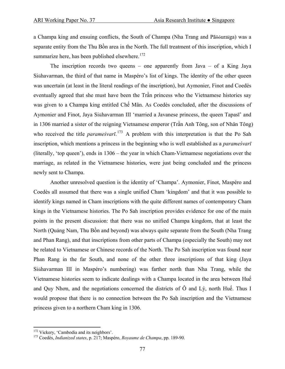a Champa king and ensuing conflicts, the South of Champa (Nha Trang and Pāõóuraïga) was a separate entity from the Thu Bồn area in the North. The full treatment of this inscription, which I summarize here, has been published elsewhere.<sup>[172](#page-76-0)</sup>

The inscription records two queens – one apparently from Java – of a King Jaya Siühavarman, the third of that name in Maspéro's list of kings. The identity of the other queen was uncertain (at least in the literal readings of the inscription), but Aymonier, Finot and Coedès eventually agreed that she must have been the Trần princess who the Vietnamese histories say was given to a Champa king entitled Chế Mân. As Coedès concluded, after the discussions of Aymonier and Finot, Jaya Siühavarman III 'married a Javanese princess, the queen Tapasī' and in 1306 married a sister of the reigning Vietnamese emperor (Trần Anh Tông, son of Nhân Tông) who received the title *parameśvarī*. [173](#page-76-1) A problem with this interpretation is that the Po Sah inscription, which mentions a princess in the beginning who is well established as a *parameśvarī* (literally, 'top queen'), ends in 1306 – the year in which Cham-Vietnamese negotiations over the marriage, as related in the Vietnamese histories, were just being concluded and the princess newly sent to Champa.

 Another unresolved question is the identity of 'Champa'. Aymonier, Finot, Maspéro and Coedès all assumed that there was a single unified Cham 'kingdom' and that it was possible to identify kings named in Cham inscriptions with the quite different names of contemporary Cham kings in the Vietnamese histories. The Po Sah inscription provides evidence for one of the main points in the present discussion: that there was no unified Champa kingdom, that at least the North (Quảng Nam, Thu Bồn and beyond) was always quite separate from the South (Nha Trang and Phan Rang), and that inscriptions from other parts of Champa (especially the South) may not be related to Vietnamese or Chinese records of the North. The Po Sah inscription was found near Phan Rang in the far South, and none of the other three inscriptions of that king (Jaya Siühavarman III in Maspéro's numbering) was farther north than Nha Trang, while the Vietnamese histories seem to indicate dealings with a Champa located in the area between Huế and Quy Nhơn, and the negotiations concerned the districts of Ô and Lý, north Huế. Thus I would propose that there is no connection between the Po Sah inscription and the Vietnamese princess given to a northern Cham king in 1306.

<span id="page-76-0"></span><sup>&</sup>lt;sup>172</sup> Vickery, 'Cambodia and its neighbors'.

<span id="page-76-1"></span><sup>&</sup>lt;sup>173</sup> Coedès, *Indianized states*, p. 217; Maspéro, *Royaume de Champa*, pp. 189-90.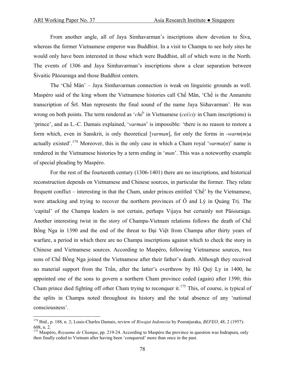$\overline{a}$ 

 From another angle, all of Jaya Simhavarman's inscriptions show devotion to Śiva, whereas the former Vietnamese emperor was Buddhist. In a visit to Champa to see holy sites he would only have been interested in those which were Buddhist, all of which were in the North. The events of 1306 and Jaya Simhavarman's inscriptions show a clear separation between Śivaitic Pāõóuraïga and those Buddhist centers.

 The 'Chế Mân' – Jaya Simhavarman connection is weak on linguistic grounds as well. Maspéro said of the king whom the Vietnamese histories call Chế Mân, 'Chế is the Annamite transcription of Śrī. Man represents the final sound of the name Jaya Siïhavarman'. He was wrong on both points. The term rendered as '*chế*' in Vietnamese (*cei*/*ciy* in Cham inscriptions) is 'prince', and as L.-C. Damais explained, '*varman*' is impossible: 'there is no reason to restore a form which, even in Sanskrit, is only theoretical [*varman*], for only the forms in -*warm*(*m*)*a* actually existed'.<sup>[174](#page-77-0)</sup> Moreover, this is the only case in which a Cham royal '*varma*(*n*)' name is rendered in the Vietnamese histories by a term ending in '*man*'. This was a noteworthy example of special pleading by Maspéro.

 For the rest of the fourteenth century (1306-1401) there are no inscriptions, and historical reconstruction depends on Vietnamese and Chinese sources, in particular the former. They relate frequent conflict – interesting in that the Cham, under princes entitled 'Chế' by the Vietnamese, were attacking and trying to recover the northern provinces of Ô and Lý in Quảng Trị. The 'capital' of the Champa leaders is not certain, perhaps Vijaya but certainly not Pāõóuraïga. Another interesting twist in the story of Champa-Vietnam relations follows the death of Chế Bồng Nga in 1390 and the end of the threat to Đại Việt from Champa after thirty years of warfare, a period in which there are no Champa inscriptions against which to check the story in Chinese and Vietnamese sources. According to Maspéro, following Vietnamese sources, two sons of Chế Bồng Nga joined the Vietnamese after their father's death. Although they received no material support from the Trần, after the latter's overthrow by Hồ Quý Ly in 1400, he appointed one of the sons to govern a northern Cham province ceded (again) after 1390; this Cham prince died fighting off other Cham trying to reconquer it.<sup>[175](#page-77-1)</sup> This, of course, is typical of the splits in Champa noted throughout its history and the total absence of any 'national consciousness'.

<span id="page-77-0"></span><sup>174</sup> Ibid., p. 188, n. 2; Louis-Charles Damais, review of *Riwajat Indonesia* by Poeratjaraka, *BEFEO*, 48, 2 (1957): 608, n. 2.

<span id="page-77-1"></span><sup>&</sup>lt;sup>175</sup> Maspéro, *Royaume de Champa*, pp. 219-24. According to Maspéro the province in question was Indrapura, only then finally ceded to Vietnam after having been 'conquered' more than once in the past.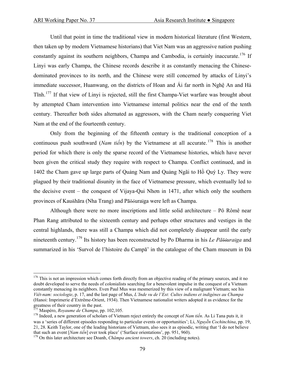Until that point in time the traditional view in modern historical literature (first Western, then taken up by modern Vietnamese historians) that Viet Nam was an aggressive nation pushing constantly against its southern neighbors, Champa and Cambodia, is certainly inaccurate.<sup>[176](#page-78-0)</sup> If Linyi was early Champa, the Chinese records describe it as constantly menacing the Chinesedominated provinces to its north, and the Chinese were still concerned by attacks of Linyi's immediate successor, Huanwang, on the districts of Hoan and Ái far north in Nghệ An and Hà Tĩnh.[177](#page-78-1) If that view of Linyi is rejected, still the first Champa-Viet warfare was brought about by attempted Cham intervention into Vietnamese internal politics near the end of the tenth century. Thereafter both sides alternated as aggressors, with the Cham nearly conquering Viet Nam at the end of the fourteenth century.

 Only from the beginning of the fifteenth century is the traditional conception of a continuous push southward (*Nam tiến*) by the Vietnamese at all accurate.<sup>[178](#page-78-2)</sup> This is another period for which there is only the sparse record of the Vietnamese histories, which have never been given the critical study they require with respect to Champa. Conflict continued, and in 1402 the Cham gave up large parts of Quảng Nam and Quảng Ngãi to Hồ Quý Ly. They were plagued by their traditional disunity in the face of Vietnamese pressure, which eventually led to the decisive event – the conquest of Vijaya-Qui Nhơn in 1471, after which only the southern provinces of Kauñhāra (Nha Trang) and Pāõóuraïga were left as Champa.

 Although there were no more inscriptions and little solid architecture – Pô Rômê near Phan Rang attributed to the sixteenth century and perhaps other structures and vestiges in the central highlands, there was still a Champa which did not completely disappear until the early nineteenth century.[179](#page-78-3) Its history has been reconstructed by Po Dharma in his *Le Pāõóuraïga* and summarized in his 'Survol de l'histoire du Campā' in the catalogue of the Cham museum in Đà

<span id="page-78-0"></span> $176$  This is not an impression which comes forth directly from an objective reading of the primary sources, and it no doubt developed to serve the needs of colonialists searching for a benevolent impulse in the conquest of a Vietnam constantly menacing its neighbors. Even Paul Mus was mesmerized by this view of a malignant Vietnam; see his *Viêt-nam: sociologie*, p. 17, and the last page of Mus, *L'Inde vu de l'Est: Cultes indiens et indigènes au Champa* (Hanoi: Imprimerie d'Extrême-Orient, 1934). Then Vietnamese nationalist writers adopted it as evidence for the greatness of their country in the past.<br><sup>177</sup> Maspéro, *Royaume de Champa*, pp. 102,105.

<span id="page-78-1"></span>

<span id="page-78-2"></span><sup>&</sup>lt;sup>178</sup> Indeed, a new generation of scholars of Vietnam reject entirely the concept of *Nam tiến*. As Li Tana puts it, it was a 'series of different episodes responding to particular events or opportunities'; Li, *Nguyễn Cochinchina*, pp. 19, 21, 28. Keith Taylor, one of the leading historians of Vietnam, also sees it as episodic, writing that 'I do not believe that such an event [Nam tiến] ever took place' ('Surface orientations', pp. 951, 960).

<span id="page-78-3"></span><sup>&</sup>lt;sup>179</sup> On this later architecture see Doanh, *Chămpa ancient towers*, ch. 20 (including notes).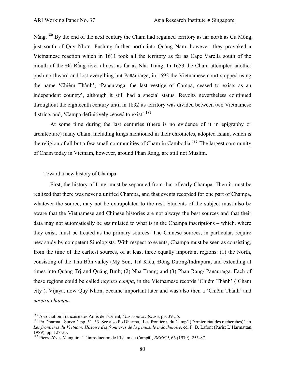$N\tilde{a}$ ng.<sup>[180](#page-79-0)</sup> By the end of the next century the Cham had regained territory as far north as Cù Mông, just south of Quy Nhơn. Pushing farther north into Quảng Nam, however, they provoked a Vietnamese reaction which in 1611 took all the territory as far as Cape Varella south of the mouth of the Đà Rằng river almost as far as Nha Trang. In 1653 the Cham attempted another push northward and lost everything but Pāõóuraïga, in 1692 the Vietnamese court stopped using the name 'Chiêm Thành'; 'Pāõóuraïga, the last vestige of Campā, ceased to exists as an independent country', although it still had a special status. Revolts nevertheless continued throughout the eighteenth century until in 1832 its territory was divided between two Vietnamese districts and, 'Campā definitively ceased to exist'.<sup>[181](#page-79-1)</sup>

 At some time during the last centuries (there is no evidence of it in epigraphy or architecture) many Cham, including kings mentioned in their chronicles, adopted Islam, which is the religion of all but a few small communities of Cham in Cambodia.<sup>[182](#page-79-2)</sup> The largest community of Cham today in Vietnam, however, around Phan Rang, are still not Muslim.

#### Toward a new history of Champa

 $\overline{a}$ 

 First, the history of Linyi must be separated from that of early Champa. Then it must be realized that there was never a unified Champa, and that events recorded for one part of Champa, whatever the source, may not be extrapolated to the rest. Students of the subject must also be aware that the Vietnamese and Chinese histories are not always the best sources and that their data may not automatically be assimilated to what is in the Champa inscriptions – which, where they exist, must be treated as the primary sources. The Chinese sources, in particular, require new study by competent Sinologists. With respect to events, Champa must be seen as consisting, from the time of the earliest sources, of at least three equally important regions: (1) the North, consisting of the Thu Bồn valley (Mỹ Sơn, Trà Kiệu, Ðông Dương/Indrapura, and extending at times into Quảng Trị and Quảng Bình; (2) Nha Trang; and (3) Phan Rang/ Pāõóuraïga. Each of these regions could be called *nagara campa*, in the Vietnamese records 'Chiêm Thành' ('Cham city'). Vijaya, now Quy Nhơn, became important later and was also then a 'Chiêm Thành' and *nagara champa*.

<span id="page-79-1"></span><span id="page-79-0"></span><sup>&</sup>lt;sup>180</sup> Association Française des Amis de l'Orient, *Musée de sculpture*, pp. 39-56.<br><sup>181</sup> Po Dharma, 'Survol', pp. 51, 53. See also Po Dharma, 'Les frontières du Campā (Dernier état des recherches)', in *Les frontières du Vietnam: Histoire des frontières de la péninsule indochinoise*, ed. P. B. Lafont (Paris: L'Harmattan, 1989), pp. 128-35.

<span id="page-79-2"></span><sup>182</sup> Pierre-Yves Manguin, 'L'introduction de l'Islam au Campā', *BEFEO*, 66 (1979): 255-87.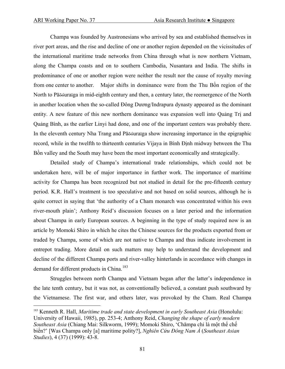$\overline{a}$ 

 Champa was founded by Austronesians who arrived by sea and established themselves in river port areas, and the rise and decline of one or another region depended on the vicissitudes of the international maritime trade networks from China through what is now northern Vietnam, along the Champa coasts and on to southern Cambodia, Nusantara and India. The shifts in predominance of one or another region were neither the result nor the cause of royalty moving from one center to another. Major shifts in dominance were from the Thu Bồn region of the North to Pāõóuraïga in mid-eighth century and then, a century later, the reemergence of the North in another location when the so-called Ðông Dương/Indrapura dynasty appeared as the dominant entity. A new feature of this new northern dominance was expansion well into Quảng Trị and Quảng Bình, as the earlier Linyi had done, and one of the important centers was probably there. In the eleventh century Nha Trang and Pāõóuraïga show increasing importance in the epigraphic record, while in the twelfth to thirteenth centuries Vijaya in Bình Ðịnh midway between the Thu Bồn valley and the South may have been the most important economically and strategically.

 Detailed study of Champa's international trade relationships, which could not be undertaken here, will be of major importance in further work. The importance of maritime activity for Champa has been recognized but not studied in detail for the pre-fifteenth century period. K.R. Hall's treatment is too speculative and not based on solid sources, although he is quite correct in saying that 'the authority of a Cham monarch was concentrated within his own river-mouth plain'; Anthony Reid's discussion focuses on a later period and the information about Champa in early European sources. A beginning in the type of study required now is an article by Momoki Shiro in which he cites the Chinese sources for the products exported from or traded by Champa, some of which are not native to Champa and thus indicate involvement in entrepot trading. More detail on such matters may help to understand the development and decline of the different Champa ports and river-valley hinterlands in accordance with changes in demand for different products in China.<sup>[183](#page-80-0)</sup>

 Struggles between north Champa and Vietnam began after the latter's independence in the late tenth century, but it was not, as conventionally believed, a constant push southward by the Vietnamese. The first war, and others later, was provoked by the Cham. Real Champa

<span id="page-80-0"></span><sup>&</sup>lt;sup>183</sup> Kenneth R. Hall, *Maritime trade and state development in early Southeast Asia* (Honolulu: University of Hawaii, 1985), pp. 253-4; Anthony Reid, *Changing the shape of early modern Southeast Asia* (Chiang Mai: Silkworm, 1999); Momoki Shiro, 'Chămpa chỉ là một thể chế biển?' [Was Champa only [a] maritime polity?], *Nghiên Cứu Đông Nam Á* (*Southeast Asian Studies*), 4 (37) (1999): 43-8.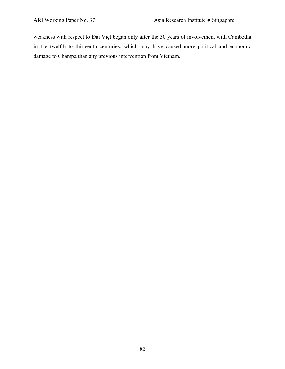weakness with respect to Đại Việt began only after the 30 years of involvement with Cambodia in the twelfth to thirteenth centuries, which may have caused more political and economic damage to Champa than any previous intervention from Vietnam.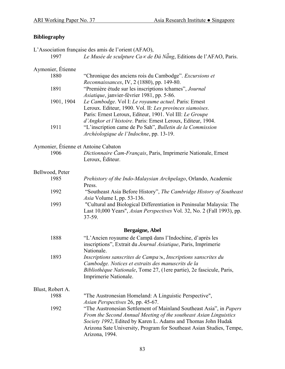# **Bibliography**

L'Association française des amis de l'orient (AFAO),

1997 *Le Musée de sculpture Ca*∝ *de Đà Nẵng*, Editions de l'AFAO, Paris.

## Aymonier, Étienne

| 1880       | "Chronique des anciens rois du Cambodge". Excursions et      |
|------------|--------------------------------------------------------------|
|            | Reconnaissances, IV, 2 (1880), pp. 149-80.                   |
| 1891       | "Première étude sur les inscriptions tchames", Journal       |
|            | <i>Asiatique</i> , janvier-février 1981, pp. 5-86.           |
| 1901, 1904 | Le Cambodge. Vol I: Le royaume actuel. Paris: Ernest         |
|            | Leroux. Editeur, 1900. Vol. II: Les provinces siamoises.     |
|            | Paris: Ernest Leroux, Editeur, 1901. Vol III: Le Groupe      |
|            | d'Angkor et l'histoire. Paris: Ernest Leroux, Editeur, 1904. |
| 1911       | "L'inscription came de Po Sah", Bulletin de la Commission    |
|            | Archéologique de l'Indochne, pp. 13-19.                      |

## Aymonier, Étienne et Antoine Cabaton

 1906 *Dictionnaire Čam-Français*, Paris, Imprimerie Nationale, Ernest Leroux, Éditeur.

#### Bellwood, Peter

| 1985                     | Prehistory of the Indo-Malaysian Archpelago, Orlando, Academic<br>Press.                                                                                                                                                           |
|--------------------------|------------------------------------------------------------------------------------------------------------------------------------------------------------------------------------------------------------------------------------|
| 1992                     | "Southeast Asia Before History", The Cambridge History of Southeast<br><i>Asia</i> Volume I, pp. 53-136.                                                                                                                           |
| 1993                     | "Cultural and Biological Differentiation in Peninsular Malaysia: The<br>Last 10,000 Years", <i>Asian Perspectives</i> Vol. 32, No. 2 (Fall 1993), pp.<br>$37 - 59$ .                                                               |
|                          | Bergaigne, Abel                                                                                                                                                                                                                    |
| 1888                     | "L'Ancien royaume de Campa dans l'Indochine, d'après les<br>inscriptions", Extrait du <i>Journal Asiatique</i> , Paris, Imprimerie<br>Nationale.                                                                                   |
| 1893                     | Inscriptions sanscrites de Campa $\gg$ , Inscriptions sanscrites du<br>Cambodge. Notices et extraits des manuscrits de la<br><i>Bibliothèque Nationale</i> , Tome 27, (1ere partie), 2e fascicule, Paris,<br>Imprimerie Nationale. |
| Blust, Robert A.<br>1988 | "The Austronesian Homeland: A Linguistic Perspective",                                                                                                                                                                             |

 *Asian Perspectives* 26, pp. 45-67. 1992 "The Austronesian Settlement of Mainland Southeast Asia", in *Papers From the Second Annual Meeting of the southeast Asian Linguistics Society 1992*, Edited by Karen L. Adams and Thomas John Hudak Arizona Sate University, Program for Southeast Asian Studies, Tempe, Arizona, 1994.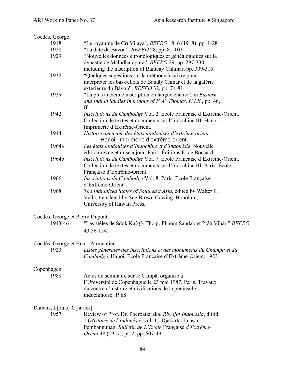| Coedès, George                     |                                                                                                                  |  |
|------------------------------------|------------------------------------------------------------------------------------------------------------------|--|
| 1918                               | "Le royaume de Çrī Vijaya", <i>BEFEO</i> 18, 6 (1918), pp. 1-28                                                  |  |
| 1928                               | "La date du Bayon", BEFEO 28, pp. 81-103                                                                         |  |
| 1929                               | "Nouvelles données chronologiques et généalogiques sur la                                                        |  |
|                                    | dynastie de Mahīdharapura", BEFEO 29, pp. 297-330,                                                               |  |
|                                    | including the inscription of Banteay Chhmar, pp. 309-315.                                                        |  |
| 1932                               | "Quelques sugestions sur la méthode à suivre pour                                                                |  |
|                                    | interpreter les bas-reliefs de Bantãy Chmàr et de la galérie                                                     |  |
|                                    | extérieure du Bàyon", BEFEO 32, pp. 71-81.                                                                       |  |
| 1939                               | "La plus ancienne inscription en langue chame", in <i>Eastern</i>                                                |  |
|                                    | and Indian Studies in honour of $F.W.$ Thomas, $C.I.E.,$ pp. 46,<br>ff.                                          |  |
| 1942.                              | Inscriptions du Cambodge Vol. 2. École Française d'Extrême-Orient.                                               |  |
|                                    | Collection de textes et documents sur l'Indochine III. Hanoi:                                                    |  |
|                                    | Imprimerie d'Extrême-Orient.                                                                                     |  |
| 1944                               | Histoire ancienne des états hindouisés d'extrême-orient.                                                         |  |
|                                    | Hanoi. Imprimerie d'extrême-orient.                                                                              |  |
| 1964a                              | Les états hindouisés d'Indochine et d'Indonésie. Nouvelle                                                        |  |
|                                    | édition revue et mise à jour. Paris: Éditions E. de Boccard.                                                     |  |
| 1964b                              | Inscriptions du Cambodge Vol. 7. École Française d'Extrême-Orient.                                               |  |
|                                    | Collection de textes et documents sur l'Indochine III. Paris: École                                              |  |
|                                    | Française d'Extrême-Orient.                                                                                      |  |
| 1966                               | Inscriptions du Cambodge Vol. 8. Paris, École Française                                                          |  |
|                                    | d'Extrême-Orient.                                                                                                |  |
| 1968                               | The Indianized States of Southeast Asia, edited by Walter F.<br>Vella, translated by Sue Brown Cowing. Honolulu, |  |
|                                    | University of Hawaii Press.                                                                                      |  |
|                                    |                                                                                                                  |  |
| Coedès, George et Pierre Dupont    |                                                                                                                  |  |
| 1943-46                            | "Les stèles de Sdòk Ka $\forall$ k Thom, Phnom Sandak et Práh Vihãr." BEFEO                                      |  |
|                                    | 43:56-154.                                                                                                       |  |
| Coedès, George et Henri Parmentier |                                                                                                                  |  |
| 1923                               | Listes générales des inscriptions et des monuments du Champa et du                                               |  |
|                                    | Cambodge, Hanoi, Ecole Française d'Extrême-Orient, 1923.                                                         |  |
|                                    |                                                                                                                  |  |
| Copenhagen                         |                                                                                                                  |  |
| 1988                               | Actes du séminaire sur le Campa, organisé à                                                                      |  |
|                                    | l'Université de Copenhague le 23 mai 1987, Paris, Travaux                                                        |  |
|                                    | du centre d'histoire et civilisations de la péninsule                                                            |  |
|                                    | indochinoise. 1988                                                                                               |  |
| Damais, L[ouis]-C[harles]          |                                                                                                                  |  |
| 1957                               | Review of Prof. Dr. Poerbatjaraka. Riwajat Indonesia, djilid                                                     |  |
|                                    | 1 (Histoire de l'Indonésie, vol. 1). Djakarta. Jajasan                                                           |  |
|                                    | Pembangunan. Bulletin de L'École Française d'Extrême-                                                            |  |
|                                    | <i>Orient</i> 48 (1957), pt. 2, pp. 607-49.                                                                      |  |
|                                    |                                                                                                                  |  |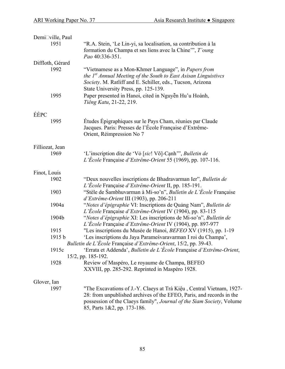| Demi⊡ville, Paul |        |                                                                                                                                                                                                                                                      |
|------------------|--------|------------------------------------------------------------------------------------------------------------------------------------------------------------------------------------------------------------------------------------------------------|
|                  | 1951   | "R.A. Stein, 'Le Lin-yi, sa localisation, sa contribution à la<br>formation du Champa et ses liens avec la Chine"", T'oung<br>Pao 40:336-351.                                                                                                        |
| Diffloth, Gérard |        |                                                                                                                                                                                                                                                      |
|                  | 1992   | "Vietnamese as a Mon-Khmer Language", in Papers from<br>the 1 <sup>st</sup> Annual Meeting of the South to East Asisan Linguistives<br>Society. M. Ratliff and E. Schiller, eds., Tucson, Arizona<br>State University Press, pp. 125-139.            |
|                  | 1995   | Paper presented in Hanoi, cited in Nguyễn Hu'u Hoành,<br>Tiếng Katu, 21-22, 219.                                                                                                                                                                     |
| ÉÉPC             |        |                                                                                                                                                                                                                                                      |
|                  | 1995   | Études Épigraphiques sur le Pays Cham, réunies par Claude<br>Jacques. Paris: Presses de l'École Française d'Extrême-<br>Orient, Réimpression No 7                                                                                                    |
| Filliozat, Jean  |        |                                                                                                                                                                                                                                                      |
|                  | 1969   | 'L'inscription dite de 'Vô [sic! Võ]-Cạnh'", Bulletin de<br>L'École Française d'Extrême-Orient 55 (1969), pp. 107-116.                                                                                                                               |
| Finot, Louis     |        |                                                                                                                                                                                                                                                      |
|                  | 1902   | "Deux nouvelles inscriptions de Bhadravarman Ier", Bulletin de<br>L'École Française d'Extrême-Orient II, pp. 185-191.                                                                                                                                |
|                  | 1903   | "Stèle de Sambhuvarman à Mi-so'n", Bulletin de L'École Française<br>d'Extrême-Orient III (1903), pp. 206-211                                                                                                                                         |
|                  | 1904a  | "Notes d'épigraphie VI: Inscriptions de Quảng Nam", Bulletin de<br>L'École Française d'Extrême-Orient IV (1904), pp. 83-115                                                                                                                          |
|                  | 1904b  | "Notes d'épigraphie XI: Les inscriptions de Mi-so'n", Bulletin de<br>L'École Française d'Extrême-Orient IV (1904), pp. 897-977                                                                                                                       |
|                  | 1915   | "Les inscriptions du Musée de Hanoi, BEFEO XV (1915), pp. 1-19                                                                                                                                                                                       |
|                  | 1915 b | 'Les inscriptions du Jaya Parameśvaravarman I roi du Champa',<br>Bulletin de L'École Française d'Extrême-Orient, 15/2, pp. 39-43.                                                                                                                    |
|                  | 1915c  | 'Errata et Addenda', Bulletin de L'École Française d'Extrême-Orient,                                                                                                                                                                                 |
|                  | 1928   | 15/2, pp. 185-192.<br>Review of Maspéro, Le royaume de Champa, BEFEO                                                                                                                                                                                 |
|                  |        | XXVIII, pp. 285-292. Reprinted in Maspéro 1928.                                                                                                                                                                                                      |
| Glover, Ian      |        |                                                                                                                                                                                                                                                      |
|                  | 1997   | "The Excavations of J.-Y. Claeys at Trà Kiệu, Central Vietnam, 1927-<br>28: from unpublished archives of the EFEO, Paris, and records in the<br>possession of the Claeys family", Journal of the Siam Society, Volume<br>85, Parts 1&2, pp. 173-186. |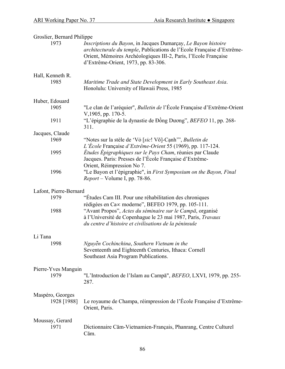| Groslier, Bernard Philippe      |                                                                                                                                                                                                                                                   |  |
|---------------------------------|---------------------------------------------------------------------------------------------------------------------------------------------------------------------------------------------------------------------------------------------------|--|
| 1973                            | Inscriptions du Bayon, in Jacques Dumarçay, Le Bayon histoire<br>architecturale du temple, Publications de l'Ecole Française d'Extrême-<br>Orient, Mémoires Archéologiques III-2, Paris, l'Ecole Française<br>d'Extrême-Orient, 1973, pp. 83-306. |  |
| Hall, Kenneth R.                |                                                                                                                                                                                                                                                   |  |
| 1985                            | Maritime Trade and State Development in Early Southeast Asia.<br>Honolulu: University of Hawaii Press, 1985                                                                                                                                       |  |
| Huber, Edouard                  |                                                                                                                                                                                                                                                   |  |
| 1905                            | "Le clan de l'aréquier", Bulletin de l'École Française d'Extrême-Orient<br>V, 1905, pp. 170-5.                                                                                                                                                    |  |
| 1911                            | "L'épigraphie de la dynastie de Đồng Dương", BEFEO 11, pp. 268-<br>311.                                                                                                                                                                           |  |
| Jacques, Claude                 |                                                                                                                                                                                                                                                   |  |
| 1969                            | "Notes sur la stèle de 'Vỏ [sic! Võ]-Cạnh'", Bulletin de                                                                                                                                                                                          |  |
|                                 | L'École Française d'Extrême-Orient 55 (1969), pp. 117-124.                                                                                                                                                                                        |  |
| 1995                            | Études Épigraphiques sur le Pays Cham, réunies par Claude<br>Jacques. Paris: Presses de l'École Française d'Extrême-                                                                                                                              |  |
|                                 | Orient, Réimpression No 7.                                                                                                                                                                                                                        |  |
| 1996                            | "Le Bayon et l'épigraphie", in First Symposium on the Bayon, Final<br><i>Report</i> – Volume I, pp. 78-86.                                                                                                                                        |  |
| Lafont, Pierre-Bernard          |                                                                                                                                                                                                                                                   |  |
| 1979                            | "Études Cam III. Pour une réhabilitation des chroniques                                                                                                                                                                                           |  |
|                                 | rédigées en Ca∝ moderne", BEFEO 1979, pp. 105-111.                                                                                                                                                                                                |  |
| 1988                            | "Avant Propos", Actes du séminaire sur le Campā, organisé<br>à l'Université de Copenhague le 23 mai 1987, Paris, Travaux<br>du centre d'histoire et civilisations de la péninsule                                                                 |  |
| Li Tana                         |                                                                                                                                                                                                                                                   |  |
| 1998                            | Nguyễn Cochinchina, Southern Vietnam in the<br>Seventeenth and Eighteenth Centuries, Ithaca: Cornell<br>Southeast Asia Program Publications.                                                                                                      |  |
| Pierre-Yves Manguin<br>1979     | "L'Introduction de l'Islam au Campā", BEFEO, LXVI, 1979, pp. 255-<br>287.                                                                                                                                                                         |  |
| Maspéro, Georges<br>1928 [1988] | Le royaume de Champa, réimpression de l'École Française d'Extrême-<br>Orient, Paris.                                                                                                                                                              |  |
| Moussay, Gerard<br>1971         | Dictionnaire Căm-Vietnamien-Français, Phanrang, Centre Culturel<br>Căm.                                                                                                                                                                           |  |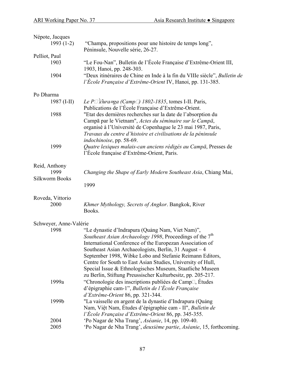| Népote, Jacques        |                                                                                                                                                                                                                                                                                                                                                                                                                                                                                                      |
|------------------------|------------------------------------------------------------------------------------------------------------------------------------------------------------------------------------------------------------------------------------------------------------------------------------------------------------------------------------------------------------------------------------------------------------------------------------------------------------------------------------------------------|
| $1993(1-2)$            | "Champa, propositions pour une histoire de temps long",<br>Péninsule, Nouvelle série, 26-27.                                                                                                                                                                                                                                                                                                                                                                                                         |
| Pelliot, Paul          |                                                                                                                                                                                                                                                                                                                                                                                                                                                                                                      |
| 1903                   | "Le Fou-Nan", Bulletin de l'École Française d'Extrême-Orient III,<br>1903, Hanoi, pp. 248-303.                                                                                                                                                                                                                                                                                                                                                                                                       |
| 1904                   | "Deux itinéraires de Chine en Inde à la fin du VIIIe siècle", Bulletin de<br>l'École Française d'Extrême-Orient IV, Hanoi, pp. 131-385.                                                                                                                                                                                                                                                                                                                                                              |
| Po Dharma              |                                                                                                                                                                                                                                                                                                                                                                                                                                                                                                      |
| 1987 $(I-II)$          | Le P $\Box$ l $\partial u$ ra=ga (Camp $\Box$ ) 1802-1835, tomes I-II. Paris,<br>Publications de l'École Française d'Extrême-Orient.                                                                                                                                                                                                                                                                                                                                                                 |
| 1988                   | "Etat des dernières recherches sur la date de l'absorption du<br>Campā par le Vietnam", Actes du séminaire sur le Campā,<br>organisé à l'Université de Copenhague le 23 mai 1987, Paris,<br>Travaux du centre d'histoire et civilisations de la péninsule                                                                                                                                                                                                                                            |
|                        | indochinoise, pp. 58-69.                                                                                                                                                                                                                                                                                                                                                                                                                                                                             |
| 1999                   | Quatre lexiques malais-can anciens rédigés au Campā, Presses de<br>l'École française d'Extrême-Orient, Paris.                                                                                                                                                                                                                                                                                                                                                                                        |
| Reid, Anthony          |                                                                                                                                                                                                                                                                                                                                                                                                                                                                                                      |
| 1999<br>Silkworm Books | Changing the Shape of Early Modern Southeast Asia, Chiang Mai,                                                                                                                                                                                                                                                                                                                                                                                                                                       |
|                        | 1999                                                                                                                                                                                                                                                                                                                                                                                                                                                                                                 |
| Roveda, Vittorio       |                                                                                                                                                                                                                                                                                                                                                                                                                                                                                                      |
| 2000                   | Khmer Mythology, Secrets of Angkor. Bangkok, River<br>Books.                                                                                                                                                                                                                                                                                                                                                                                                                                         |
| Schweyer, Anne-Valérie |                                                                                                                                                                                                                                                                                                                                                                                                                                                                                                      |
| 1998                   | "Le dynastie d'Indrapura (Quảng Nam, Viet Nam)",<br>Southeast Asian Archaeology 1998, Proceedings of the 7 <sup>th</sup><br>International Conference of the Europezan Association of<br>Southeast Asian Archaeologists, Berlin, 31 August $-4$<br>September 1998, Wibke Lobo and Stefanie Reimann Editors,<br>Centre for South to East Asian Studies, University of Hull,<br>Special Issue & Ethnologisches Museum, Staatliche Museen<br>zu Berlin, Stiftung Preussischer Kulturbesitz, pp. 205-217. |
| 1999a                  | "Chronologie des inscriptions publiées de Camp <sup>[1]</sup> , Études<br>d'épigraphie cam-1", Bulletin de l'École Française<br>d'Extrême-Orient 86, pp. 321-344.                                                                                                                                                                                                                                                                                                                                    |
| 1999b                  | "La vaisselle en argent de la dynastie d'Indrapura (Quảng<br>Nam, Việt Nam, Études d'épigraphie cam - II", Bulletin de<br>l'École Française d'Extrême-Orient 86, pp. 345-355.                                                                                                                                                                                                                                                                                                                        |
| 2004                   | 'Po Nagar de Nha Trang', Aséanie, 14, pp. 109-40.                                                                                                                                                                                                                                                                                                                                                                                                                                                    |
| 2005                   | 'Po Nagar de Nha Trang', <i>deuxième partie, Aséanie</i> , 15, forthcoming.                                                                                                                                                                                                                                                                                                                                                                                                                          |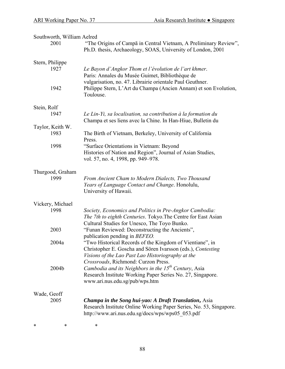| Southworth, William Aelred |                                                                                                                                                                                                                     |
|----------------------------|---------------------------------------------------------------------------------------------------------------------------------------------------------------------------------------------------------------------|
| 2001                       | "The Origins of Campa in Central Vietnam, A Preliminary Review",<br>Ph.D. thesis, Archaeology, SOAS, University of London, 2001                                                                                     |
| Stern, Philippe<br>1927    | Le Bayon d'Angkor Thom et l'évolution de l'art khmer.<br>Paris: Annales du Musée Guimet, Bibliothèque de                                                                                                            |
| 1942                       | vulgarisation, no. 47. Librairie orientale Paul Geuthner.<br>Philippe Stern, L'Art du Champa (Ancien Annam) et son Evolution,<br>Toulouse.                                                                          |
| Stein, Rolf                |                                                                                                                                                                                                                     |
| 1947                       | Le Lin-Yi, sa localisation, sa contribution à la formation du<br>Champa et ses liens avec la Chine. In Han-Hiue, Bulletin du                                                                                        |
| Taylor, Keith W.           |                                                                                                                                                                                                                     |
| 1983                       | The Birth of Vietnam, Berkeley, University of California<br>Press.                                                                                                                                                  |
| 1998                       | "Surface Orientations in Vietnam: Beyond<br>Histories of Nation and Region", Journal of Asian Studies,<br>vol. 57, no. 4, 1998, pp. 949–978.                                                                        |
| Thurgood, Graham           |                                                                                                                                                                                                                     |
| 1999                       | From Ancient Cham to Modern Dialects, Two Thousand<br>Years of Language Contact and Change. Honolulu,<br>University of Hawaii.                                                                                      |
| Vickery, Michael           |                                                                                                                                                                                                                     |
| 1998                       | Society, Economics and Politics in Pre-Angkor Cambodia:                                                                                                                                                             |
|                            | The 7th to eighth Centuries. Tokyo. The Centre for East Asian<br>Cultural Studies for Unesco, The Toyo Bunko.                                                                                                       |
| 2003                       | "Funan Reviewed: Deconstructing the Ancients",<br>publication pending in <i>BEFEO</i> .                                                                                                                             |
| 2004a                      | "Two Historical Records of the Kingdom of Vientiane", in<br>Christopher E. Goscha and Sören Ivarsson (eds.), Contesting<br>Visions of the Lao Past Lao Historiography at the<br>Crossroads, Richmond: Curzon Press. |
| 2004b                      | Cambodia and its Neighbors in the 15 <sup>th</sup> Century, Asia<br>Research Institute Working Paper Series No. 27, Singapore.<br>www.ari.nus.edu.sg/pub/wps.htm                                                    |
| Wade, Geoff<br>2005        | <b>Champa in the Song hui-yao: A Draft Translation, Asia</b><br>Research Institute Online Working Paper Series, No. 53, Singapore.<br>http://www.ari.nus.edu.sg/docs/wps/wps05 053.pdf                              |

\* \* \*